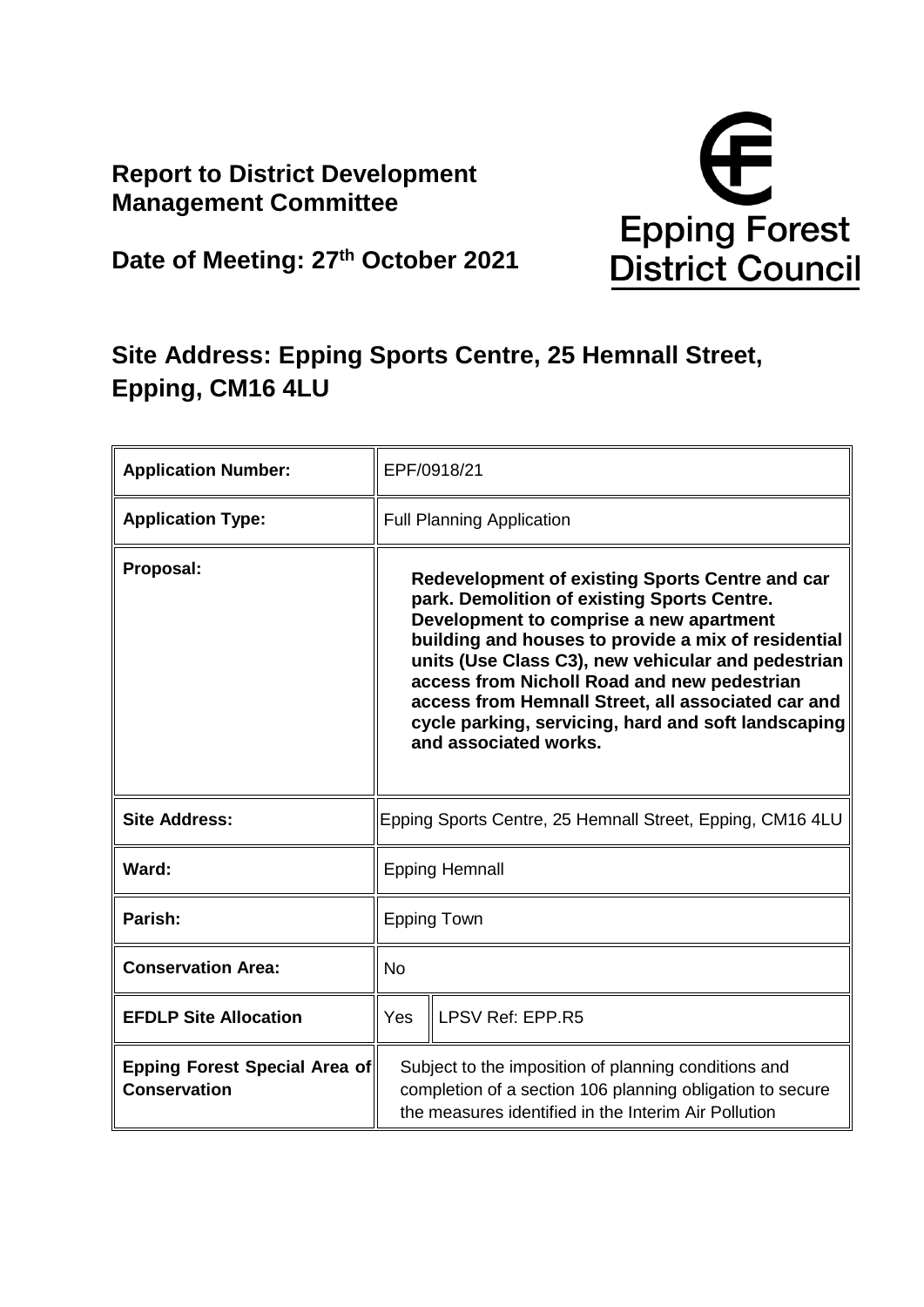## **Report to District Development Management Committee**



**Date of Meeting: 27th October 2021**

# **Site Address: Epping Sports Centre, 25 Hemnall Street, Epping, CM16 4LU**

| <b>Application Number:</b>                           | EPF/0918/21                                                                                                                                                                                                                                                                                                                                                                                                                                 |  |
|------------------------------------------------------|---------------------------------------------------------------------------------------------------------------------------------------------------------------------------------------------------------------------------------------------------------------------------------------------------------------------------------------------------------------------------------------------------------------------------------------------|--|
| <b>Application Type:</b>                             | <b>Full Planning Application</b>                                                                                                                                                                                                                                                                                                                                                                                                            |  |
| Proposal:                                            | Redevelopment of existing Sports Centre and car<br>park. Demolition of existing Sports Centre.<br>Development to comprise a new apartment<br>building and houses to provide a mix of residential<br>units (Use Class C3), new vehicular and pedestrian<br>access from Nicholl Road and new pedestrian<br>access from Hemnall Street, all associated car and<br>cycle parking, servicing, hard and soft landscaping<br>and associated works. |  |
| <b>Site Address:</b>                                 | Epping Sports Centre, 25 Hemnall Street, Epping, CM16 4LU                                                                                                                                                                                                                                                                                                                                                                                   |  |
| Ward:                                                | <b>Epping Hemnall</b>                                                                                                                                                                                                                                                                                                                                                                                                                       |  |
| Parish:                                              | <b>Epping Town</b>                                                                                                                                                                                                                                                                                                                                                                                                                          |  |
| <b>Conservation Area:</b>                            | <b>No</b>                                                                                                                                                                                                                                                                                                                                                                                                                                   |  |
| <b>EFDLP Site Allocation</b>                         | LPSV Ref: EPP.R5<br><b>Yes</b>                                                                                                                                                                                                                                                                                                                                                                                                              |  |
| Epping Forest Special Area of<br><b>Conservation</b> | Subject to the imposition of planning conditions and<br>completion of a section 106 planning obligation to secure<br>the measures identified in the Interim Air Pollution                                                                                                                                                                                                                                                                   |  |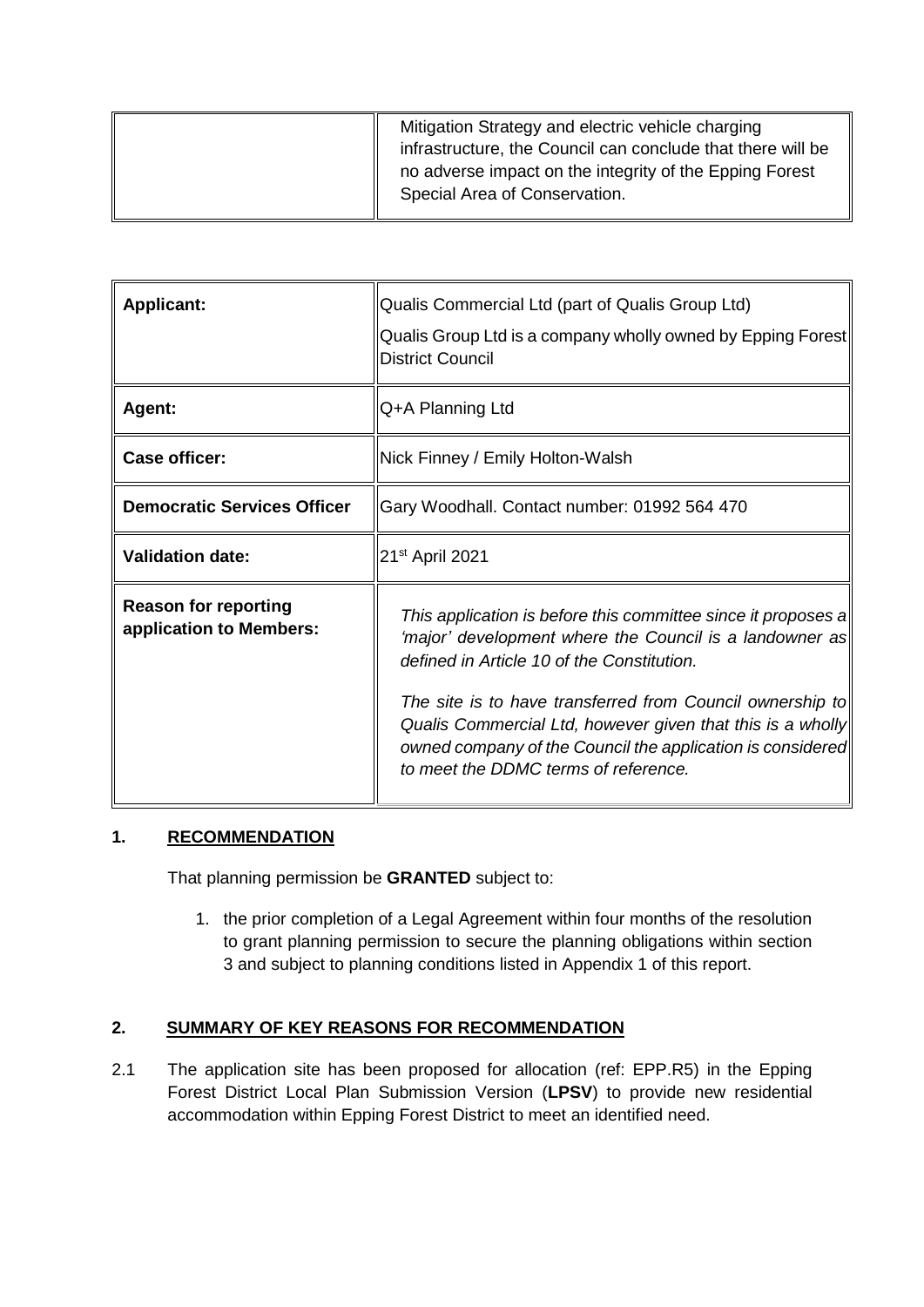| Mitigation Strategy and electric vehicle charging<br>infrastructure, the Council can conclude that there will be<br>no adverse impact on the integrity of the Epping Forest<br>Special Area of Conservation. |
|--------------------------------------------------------------------------------------------------------------------------------------------------------------------------------------------------------------|
|                                                                                                                                                                                                              |

| <b>Applicant:</b>                                      | Qualis Commercial Ltd (part of Qualis Group Ltd)<br>Qualis Group Ltd is a company wholly owned by Epping Forest<br><b>District Council</b>                                                                                                                                                                                                                                                              |
|--------------------------------------------------------|---------------------------------------------------------------------------------------------------------------------------------------------------------------------------------------------------------------------------------------------------------------------------------------------------------------------------------------------------------------------------------------------------------|
| Agent:                                                 | Q+A Planning Ltd                                                                                                                                                                                                                                                                                                                                                                                        |
| <b>Case officer:</b>                                   | Nick Finney / Emily Holton-Walsh                                                                                                                                                                                                                                                                                                                                                                        |
| <b>Democratic Services Officer</b>                     | Gary Woodhall. Contact number: 01992 564 470                                                                                                                                                                                                                                                                                                                                                            |
| <b>Validation date:</b>                                | 21 <sup>st</sup> April 2021                                                                                                                                                                                                                                                                                                                                                                             |
| <b>Reason for reporting</b><br>application to Members: | This application is before this committee since it proposes a<br>'major' development where the Council is a landowner as<br>defined in Article 10 of the Constitution.<br>The site is to have transferred from Council ownership to<br>Qualis Commercial Ltd, however given that this is a wholly<br>owned company of the Council the application is considered<br>to meet the DDMC terms of reference. |

## **1. RECOMMENDATION**

That planning permission be **GRANTED** subject to:

1. the prior completion of a Legal Agreement within four months of the resolution to grant planning permission to secure the planning obligations within section 3 and subject to planning conditions listed in Appendix 1 of this report.

## **2. SUMMARY OF KEY REASONS FOR RECOMMENDATION**

2.1 The application site has been proposed for allocation (ref: EPP.R5) in the Epping Forest District Local Plan Submission Version (**LPSV**) to provide new residential accommodation within Epping Forest District to meet an identified need.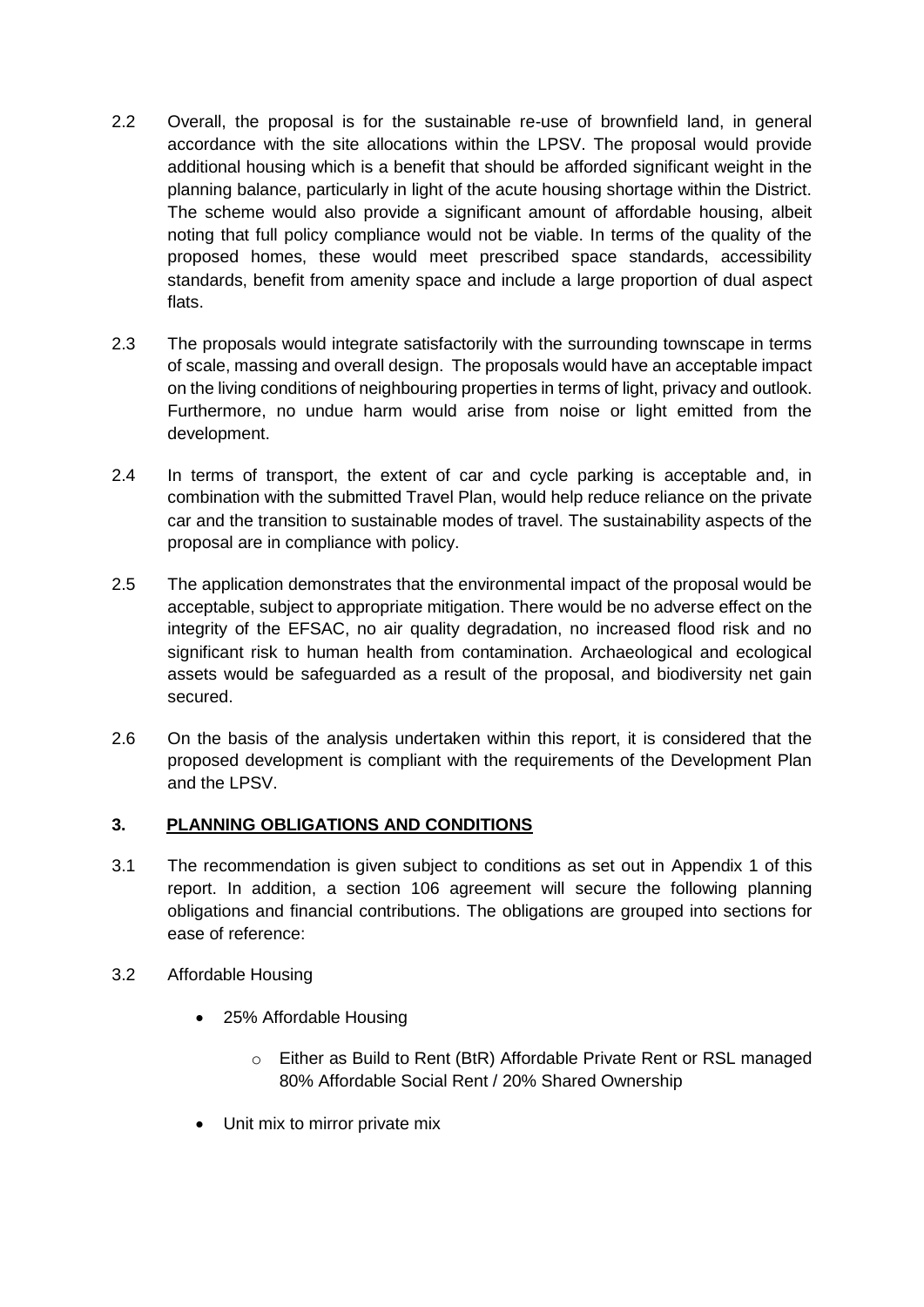- 2.2 Overall, the proposal is for the sustainable re-use of brownfield land, in general accordance with the site allocations within the LPSV. The proposal would provide additional housing which is a benefit that should be afforded significant weight in the planning balance, particularly in light of the acute housing shortage within the District. The scheme would also provide a significant amount of affordable housing, albeit noting that full policy compliance would not be viable. In terms of the quality of the proposed homes, these would meet prescribed space standards, accessibility standards, benefit from amenity space and include a large proportion of dual aspect flats.
- 2.3 The proposals would integrate satisfactorily with the surrounding townscape in terms of scale, massing and overall design. The proposals would have an acceptable impact on the living conditions of neighbouring properties in terms of light, privacy and outlook. Furthermore, no undue harm would arise from noise or light emitted from the development.
- 2.4 In terms of transport, the extent of car and cycle parking is acceptable and, in combination with the submitted Travel Plan, would help reduce reliance on the private car and the transition to sustainable modes of travel. The sustainability aspects of the proposal are in compliance with policy.
- 2.5 The application demonstrates that the environmental impact of the proposal would be acceptable, subject to appropriate mitigation. There would be no adverse effect on the integrity of the EFSAC, no air quality degradation, no increased flood risk and no significant risk to human health from contamination. Archaeological and ecological assets would be safeguarded as a result of the proposal, and biodiversity net gain secured.
- 2.6 On the basis of the analysis undertaken within this report, it is considered that the proposed development is compliant with the requirements of the Development Plan and the LPSV.

## **3. PLANNING OBLIGATIONS AND CONDITIONS**

- 3.1 The recommendation is given subject to conditions as set out in Appendix 1 of this report. In addition, a section 106 agreement will secure the following planning obligations and financial contributions. The obligations are grouped into sections for ease of reference:
- 3.2 Affordable Housing
	- 25% Affordable Housing
		- o Either as Build to Rent (BtR) Affordable Private Rent or RSL managed 80% Affordable Social Rent / 20% Shared Ownership
	- Unit mix to mirror private mix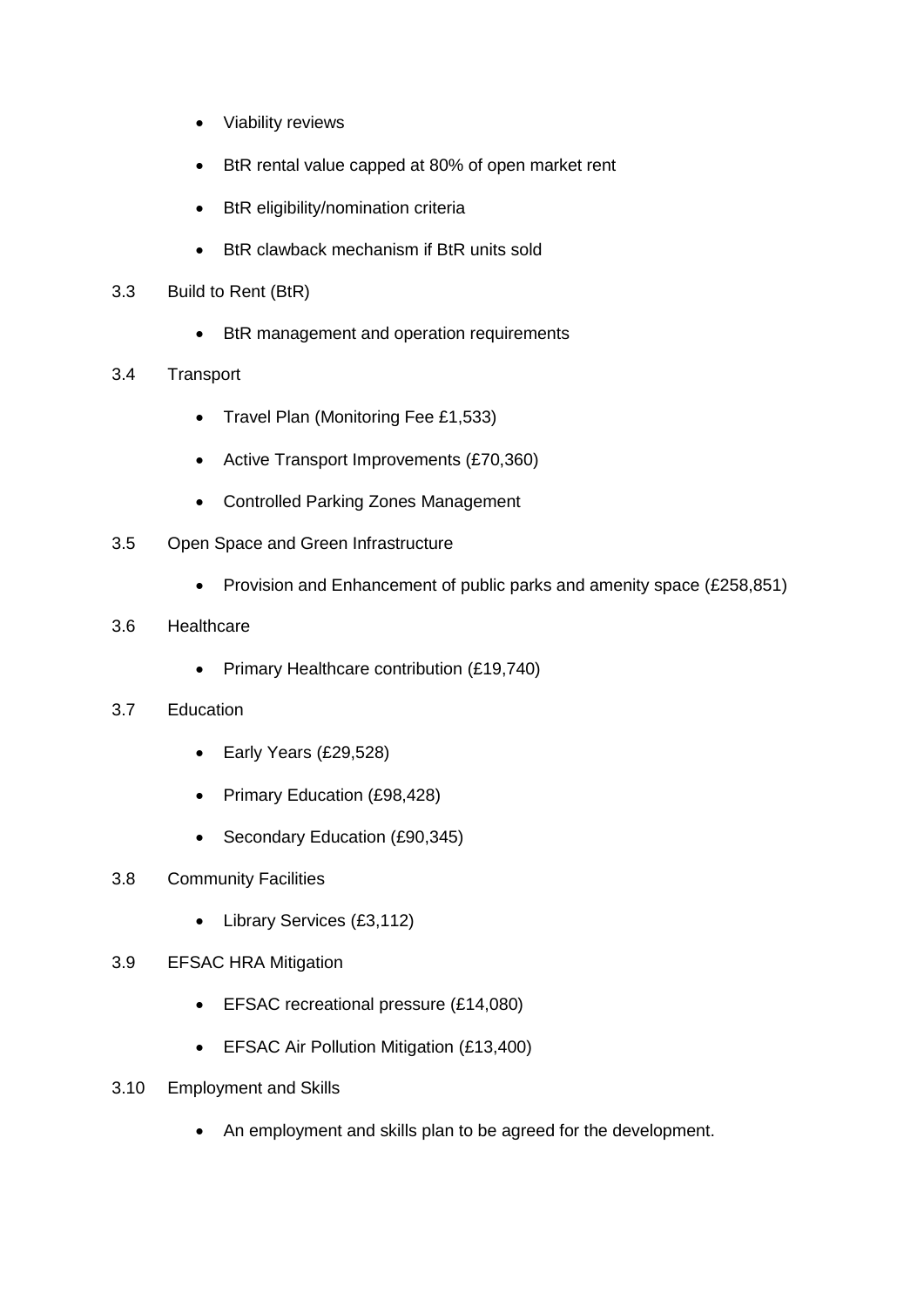- Viability reviews
- BtR rental value capped at 80% of open market rent
- BtR eligibility/nomination criteria
- BtR clawback mechanism if BtR units sold
- 3.3 Build to Rent (BtR)
	- BtR management and operation requirements
- 3.4 Transport
	- Travel Plan (Monitoring Fee £1,533)
	- Active Transport Improvements (£70,360)
	- Controlled Parking Zones Management
- 3.5 Open Space and Green Infrastructure
	- Provision and Enhancement of public parks and amenity space (£258,851)
- 3.6 Healthcare
	- Primary Healthcare contribution (£19,740)
- 3.7 Education
	- Early Years (£29,528)
	- Primary Education (£98,428)
	- Secondary Education (£90,345)
- 3.8 Community Facilities
	- Library Services (£3,112)
- 3.9 EFSAC HRA Mitigation
	- **EFSAC recreational pressure (£14,080)**
	- **EFSAC Air Pollution Mitigation (£13,400)**
- 3.10 Employment and Skills
	- An employment and skills plan to be agreed for the development.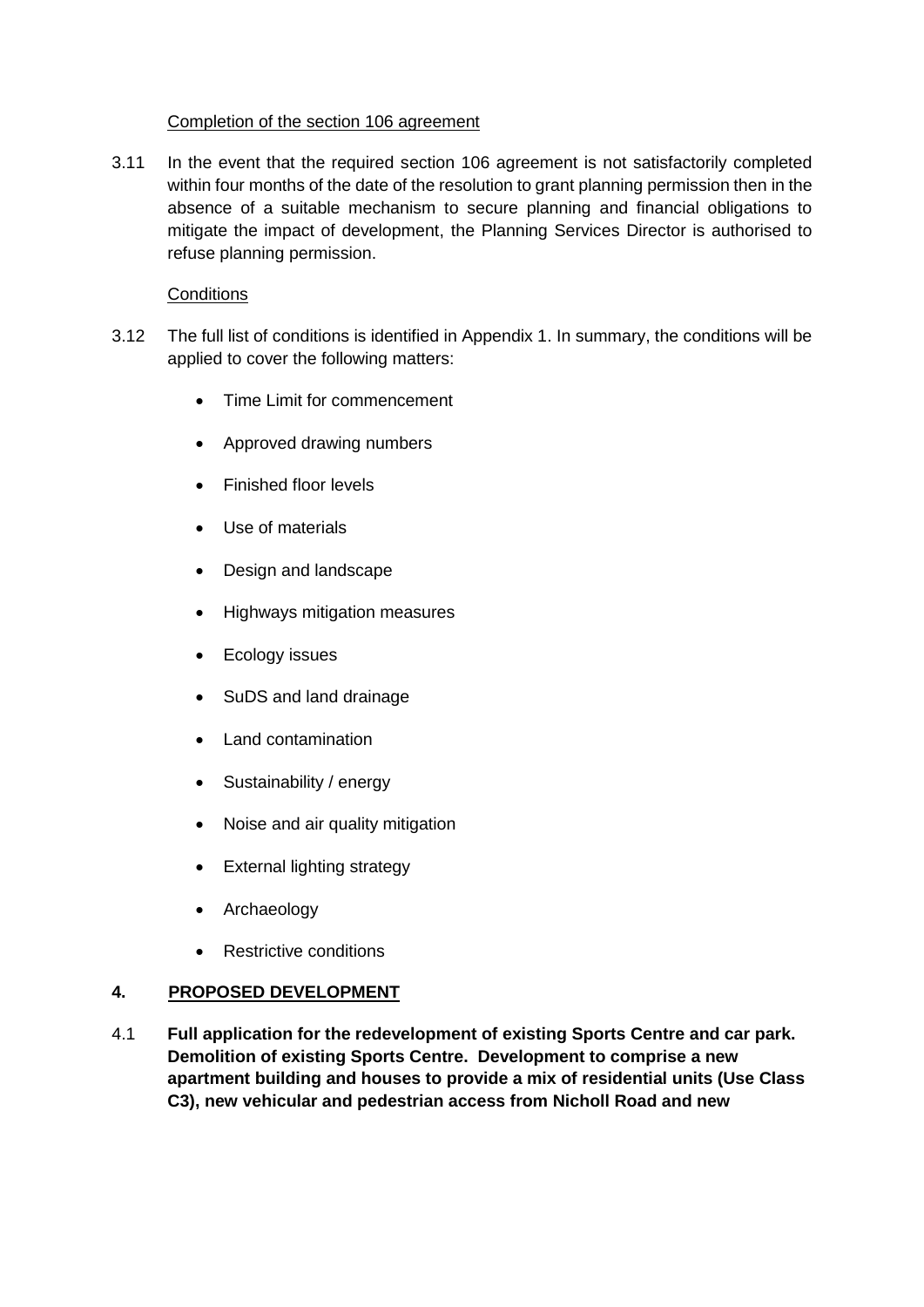#### Completion of the section 106 agreement

3.11 In the event that the required section 106 agreement is not satisfactorily completed within four months of the date of the resolution to grant planning permission then in the absence of a suitable mechanism to secure planning and financial obligations to mitigate the impact of development, the Planning Services Director is authorised to refuse planning permission.

## **Conditions**

- 3.12 The full list of conditions is identified in Appendix 1. In summary, the conditions will be applied to cover the following matters:
	- Time Limit for commencement
	- Approved drawing numbers
	- Finished floor levels
	- Use of materials
	- Design and landscape
	- Highways mitigation measures
	- Ecology issues
	- SuDS and land drainage
	- Land contamination
	- Sustainability / energy
	- Noise and air quality mitigation
	- External lighting strategy
	- Archaeology
	- Restrictive conditions

## **4. PROPOSED DEVELOPMENT**

4.1 **Full application for the redevelopment of existing Sports Centre and car park. Demolition of existing Sports Centre. Development to comprise a new apartment building and houses to provide a mix of residential units (Use Class C3), new vehicular and pedestrian access from Nicholl Road and new**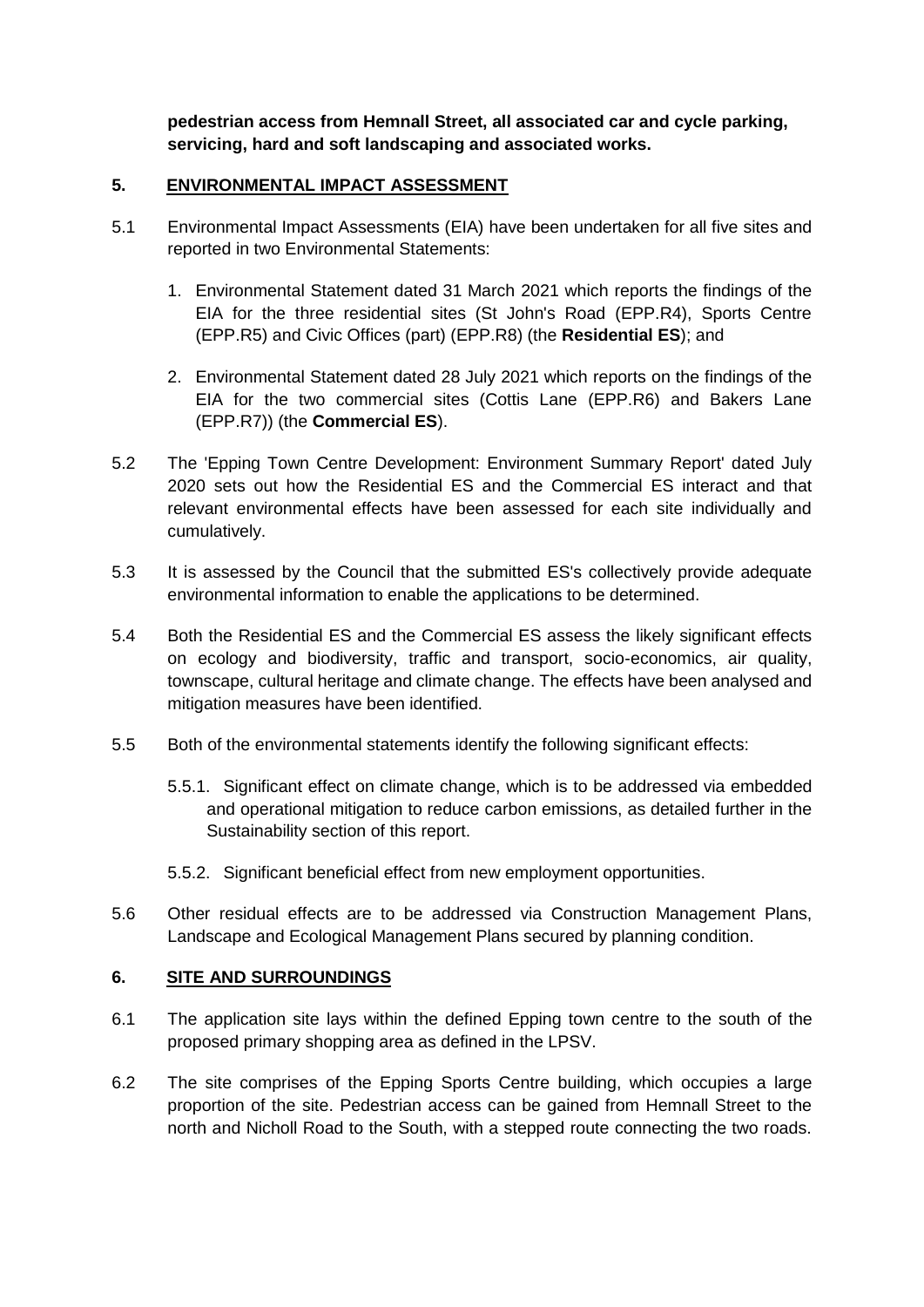**pedestrian access from Hemnall Street, all associated car and cycle parking, servicing, hard and soft landscaping and associated works.** 

#### **5. ENVIRONMENTAL IMPACT ASSESSMENT**

- 5.1 Environmental Impact Assessments (EIA) have been undertaken for all five sites and reported in two Environmental Statements:
	- 1. Environmental Statement dated 31 March 2021 which reports the findings of the EIA for the three residential sites (St John's Road (EPP.R4), Sports Centre (EPP.R5) and Civic Offices (part) (EPP.R8) (the **Residential ES**); and
	- 2. Environmental Statement dated 28 July 2021 which reports on the findings of the EIA for the two commercial sites (Cottis Lane (EPP.R6) and Bakers Lane (EPP.R7)) (the **Commercial ES**).
- 5.2 The 'Epping Town Centre Development: Environment Summary Report' dated July 2020 sets out how the Residential ES and the Commercial ES interact and that relevant environmental effects have been assessed for each site individually and cumulatively.
- 5.3 It is assessed by the Council that the submitted ES's collectively provide adequate environmental information to enable the applications to be determined.
- 5.4 Both the Residential ES and the Commercial ES assess the likely significant effects on ecology and biodiversity, traffic and transport, socio-economics, air quality, townscape, cultural heritage and climate change. The effects have been analysed and mitigation measures have been identified.
- 5.5 Both of the environmental statements identify the following significant effects:
	- 5.5.1. Significant effect on climate change, which is to be addressed via embedded and operational mitigation to reduce carbon emissions, as detailed further in the Sustainability section of this report.
	- 5.5.2. Significant beneficial effect from new employment opportunities.
- 5.6 Other residual effects are to be addressed via Construction Management Plans, Landscape and Ecological Management Plans secured by planning condition.

#### **6. SITE AND SURROUNDINGS**

- 6.1 The application site lays within the defined Epping town centre to the south of the proposed primary shopping area as defined in the LPSV.
- 6.2 The site comprises of the Epping Sports Centre building, which occupies a large proportion of the site. Pedestrian access can be gained from Hemnall Street to the north and Nicholl Road to the South, with a stepped route connecting the two roads.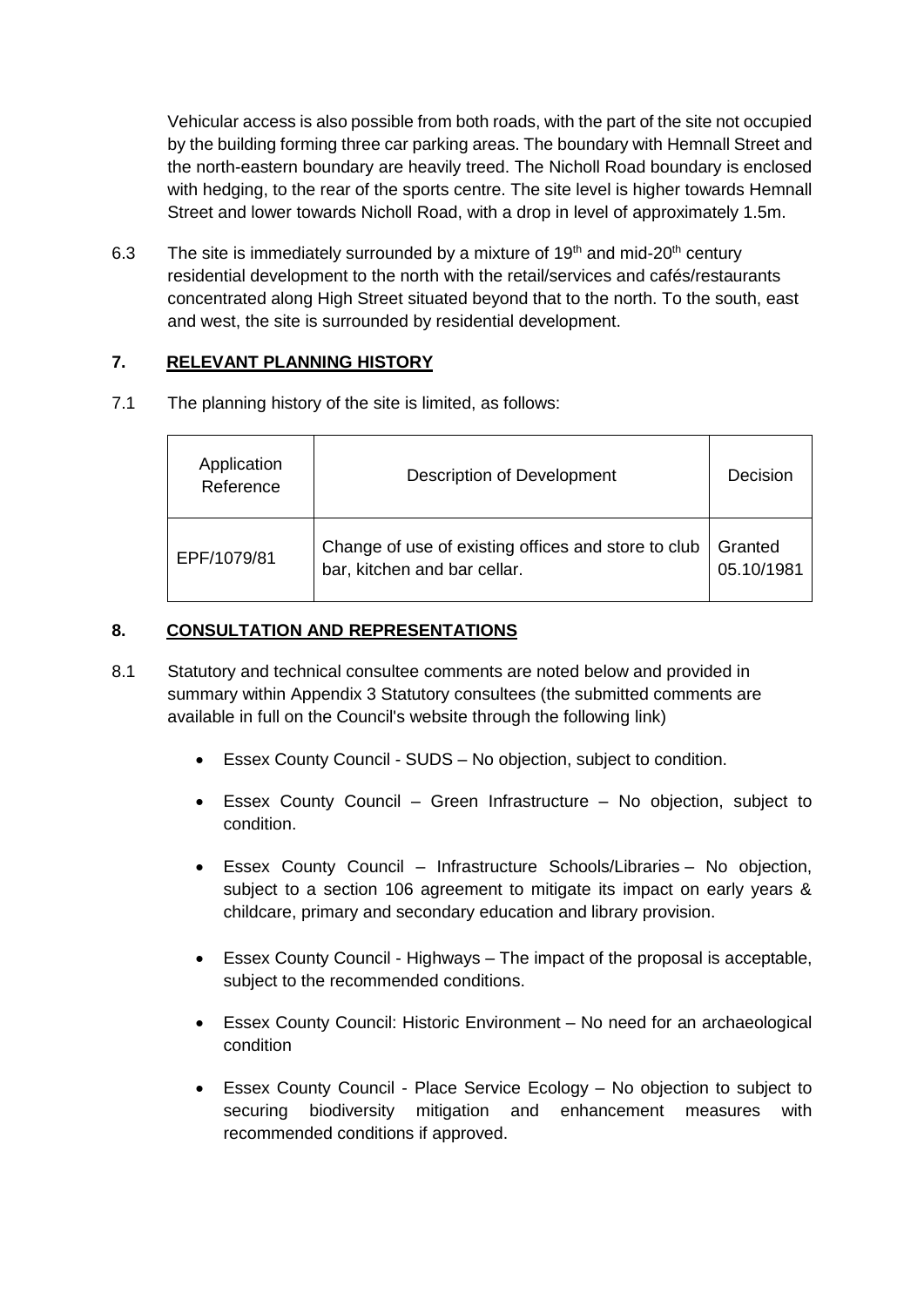Vehicular access is also possible from both roads, with the part of the site not occupied by the building forming three car parking areas. The boundary with Hemnall Street and the north-eastern boundary are heavily treed. The Nicholl Road boundary is enclosed with hedging, to the rear of the sports centre. The site level is higher towards Hemnall Street and lower towards Nicholl Road, with a drop in level of approximately 1.5m.

6.3 The site is immediately surrounded by a mixture of 19<sup>th</sup> and mid-20<sup>th</sup> century residential development to the north with the retail/services and cafés/restaurants concentrated along High Street situated beyond that to the north. To the south, east and west, the site is surrounded by residential development.

## **7. RELEVANT PLANNING HISTORY**

7.1 The planning history of the site is limited, as follows:

| Application<br>Reference | Description of Development                                                          | Decision              |
|--------------------------|-------------------------------------------------------------------------------------|-----------------------|
| EPF/1079/81              | Change of use of existing offices and store to club<br>bar, kitchen and bar cellar. | Granted<br>05.10/1981 |

## **8. CONSULTATION AND REPRESENTATIONS**

- 8.1 Statutory and technical consultee comments are noted below and provided in summary within Appendix 3 Statutory consultees (the submitted comments are available in full on the Council's website through the following [link\)](http://plan1.eppingforestdc.gov.uk/Northgate/PlanningExplorer/Generic/StdDetails.aspx?PT=Consultees&TYPE=PL/ConsulteesPK.xml&PARAM0=650514&XSLT=/Northgate/PlanningExplorer/SiteFiles/Skins/EppingForest/xslt/PL/PLConsultees.xslt&FT=Consultees&DAURI=PLANNING&XMLSIDE=/Northgate/PlanningExplorer/SiteFiles/Skins/EppingForest/Menus/PL.xml) 
	- Essex County Council SUDS No objection, subject to condition.
	- Essex County Council Green Infrastructure No objection, subject to condition.
	- Essex County Council Infrastructure Schools/Libraries No objection, subject to a section 106 agreement to mitigate its impact on early years & childcare, primary and secondary education and library provision.
	- Essex County Council Highways The impact of the proposal is acceptable, subject to the recommended conditions.
	- Essex County Council: Historic Environment No need for an archaeological condition
	- Essex County Council Place Service Ecology No objection to subject to securing biodiversity mitigation and enhancement measures with recommended conditions if approved.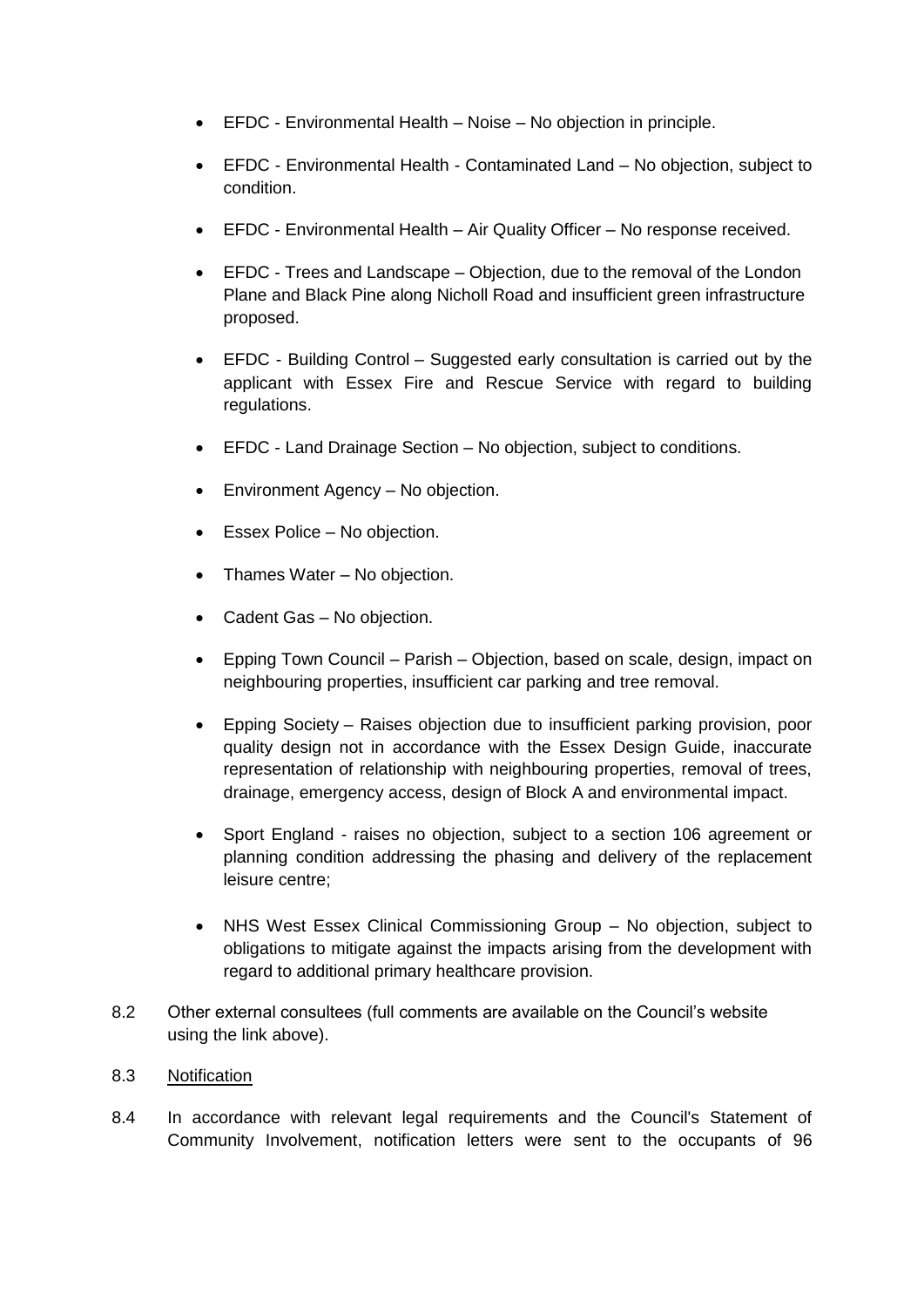- EFDC Environmental Health Noise No objection in principle.
- EFDC Environmental Health Contaminated Land No objection, subject to condition.
- EFDC Environmental Health Air Quality Officer No response received.
- EFDC Trees and Landscape Objection, due to the removal of the London Plane and Black Pine along Nicholl Road and insufficient green infrastructure proposed.
- EFDC Building Control Suggested early consultation is carried out by the applicant with Essex Fire and Rescue Service with regard to building regulations.
- EFDC Land Drainage Section No objection, subject to conditions.
- Environment Agency No objection.
- Essex Police No objection.
- Thames Water No objection.
- Cadent Gas No objection.
- Epping Town Council Parish Objection, based on scale, design, impact on neighbouring properties, insufficient car parking and tree removal.
- Epping Society Raises objection due to insufficient parking provision, poor quality design not in accordance with the Essex Design Guide, inaccurate representation of relationship with neighbouring properties, removal of trees, drainage, emergency access, design of Block A and environmental impact.
- Sport England raises no objection, subject to a section 106 agreement or planning condition addressing the phasing and delivery of the replacement leisure centre;
- NHS West Essex Clinical Commissioning Group No objection, subject to obligations to mitigate against the impacts arising from the development with regard to additional primary healthcare provision.
- 8.2 Other external consultees (full comments are available on the Council's website using the link above).
- 8.3 Notification
- 8.4 In accordance with relevant legal requirements and the Council's Statement of Community Involvement, notification letters were sent to the occupants of 96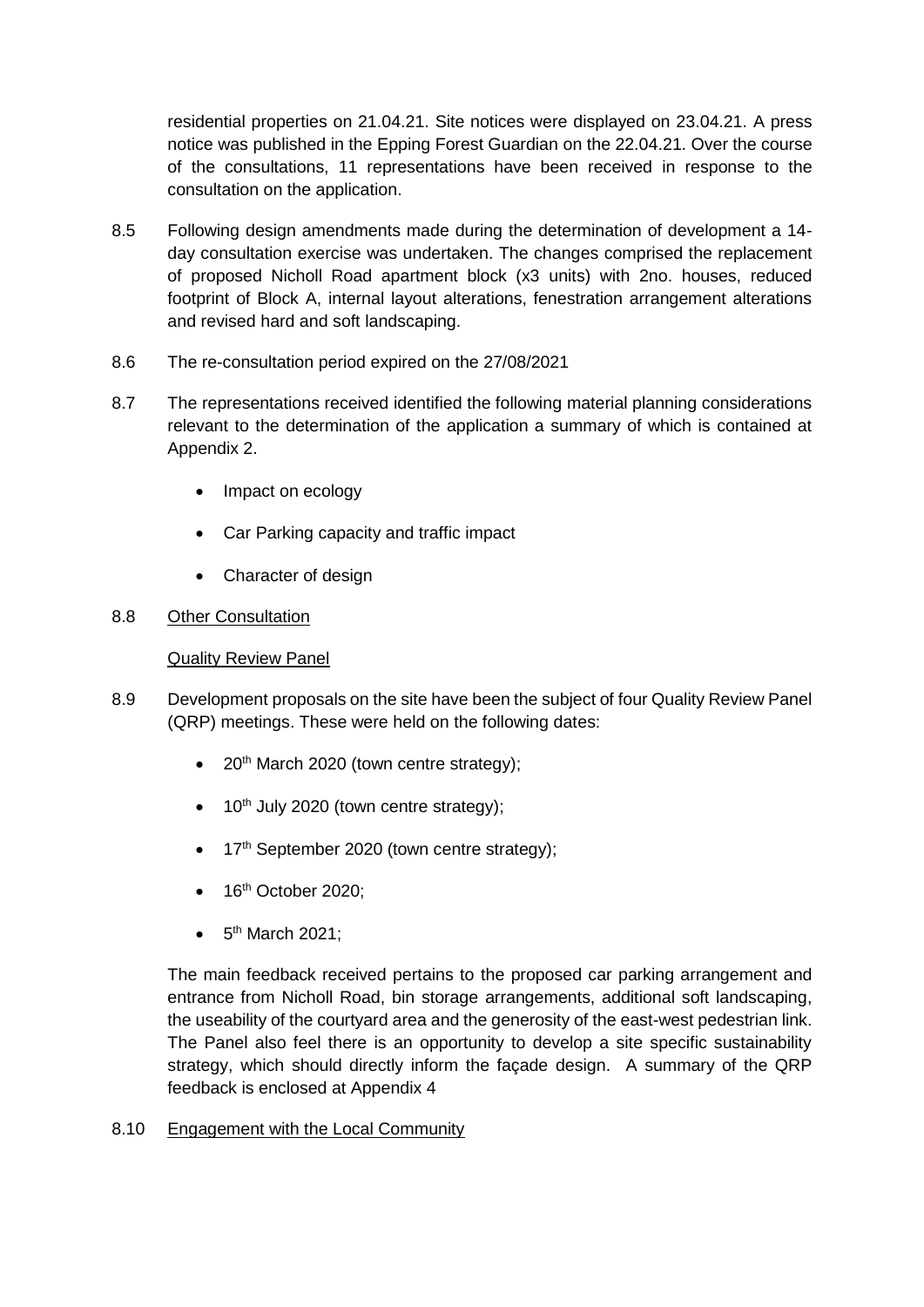residential properties on 21.04.21. Site notices were displayed on 23.04.21. A press notice was published in the Epping Forest Guardian on the 22.04.21. Over the course of the consultations, 11 representations have been received in response to the consultation on the application.

- 8.5 Following design amendments made during the determination of development a 14 day consultation exercise was undertaken. The changes comprised the replacement of proposed Nicholl Road apartment block (x3 units) with 2no. houses, reduced footprint of Block A, internal layout alterations, fenestration arrangement alterations and revised hard and soft landscaping.
- 8.6 The re-consultation period expired on the 27/08/2021
- 8.7 The representations received identified the following material planning considerations relevant to the determination of the application a summary of which is contained at Appendix 2.
	- Impact on ecology
	- Car Parking capacity and traffic impact
	- Character of design

## 8.8 Other Consultation

#### Quality Review Panel

- 8.9 Development proposals on the site have been the subject of four Quality Review Panel (QRP) meetings. These were held on the following dates:
	- $\bullet$  20<sup>th</sup> March 2020 (town centre strategy);
	- $\bullet$  10<sup>th</sup> July 2020 (town centre strategy);
	- 17<sup>th</sup> September 2020 (town centre strategy);
	- $\bullet$  16<sup>th</sup> October 2020;
	- $\bullet$  5<sup>th</sup> March 2021;

The main feedback received pertains to the proposed car parking arrangement and entrance from Nicholl Road, bin storage arrangements, additional soft landscaping, the useability of the courtyard area and the generosity of the east-west pedestrian link. The Panel also feel there is an opportunity to develop a site specific sustainability strategy, which should directly inform the façade design. A summary of the QRP feedback is enclosed at Appendix 4

8.10 Engagement with the Local Community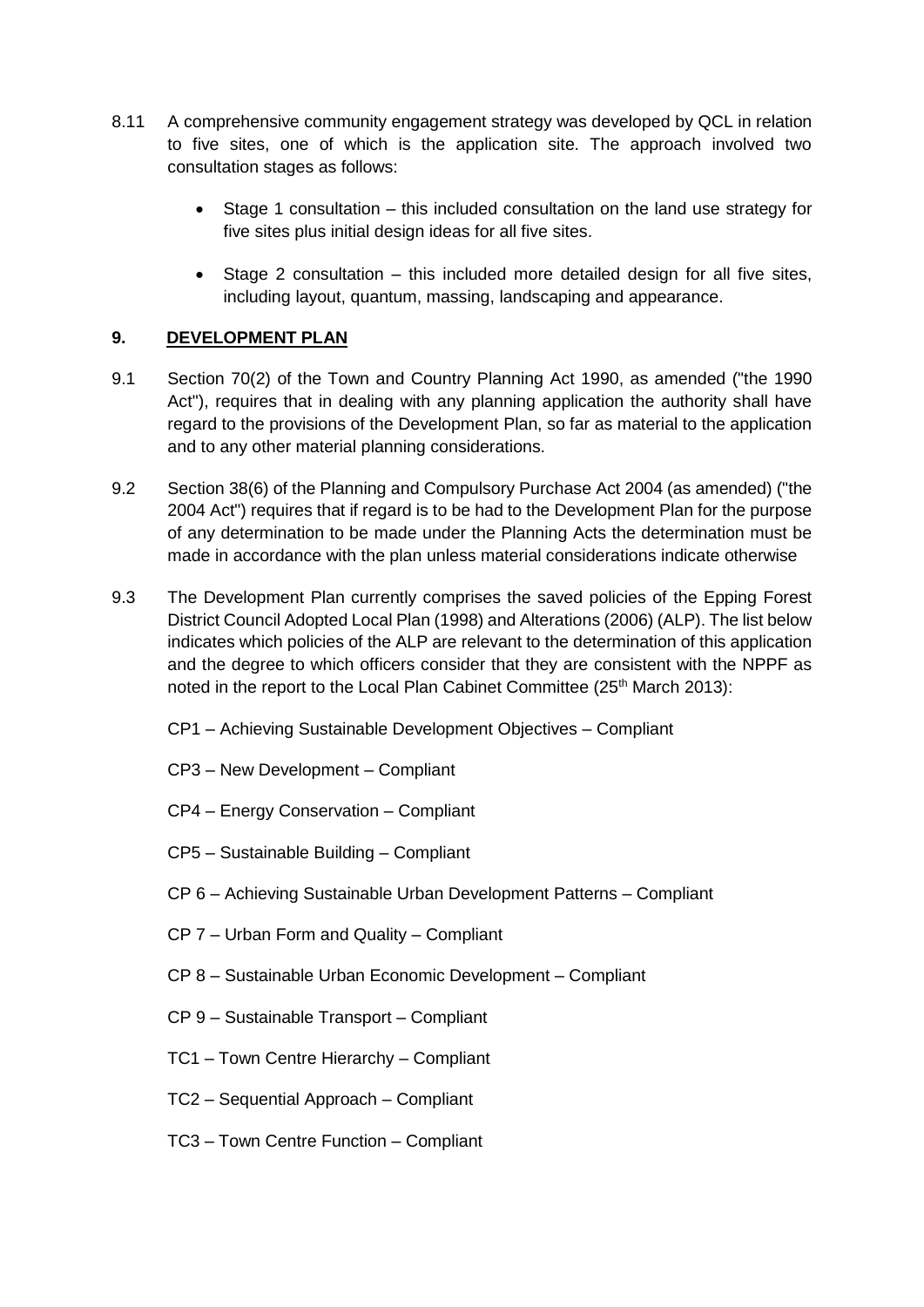- 8.11 A comprehensive community engagement strategy was developed by QCL in relation to five sites, one of which is the application site. The approach involved two consultation stages as follows:
	- Stage 1 consultation this included consultation on the land use strategy for five sites plus initial design ideas for all five sites.
	- Stage 2 consultation this included more detailed design for all five sites, including layout, quantum, massing, landscaping and appearance.

## **9. DEVELOPMENT PLAN**

- 9.1 Section 70(2) of the Town and Country Planning Act 1990, as amended ("the 1990 Act"), requires that in dealing with any planning application the authority shall have regard to the provisions of the Development Plan, so far as material to the application and to any other material planning considerations.
- 9.2 Section 38(6) of the Planning and Compulsory Purchase Act 2004 (as amended) ("the 2004 Act") requires that if regard is to be had to the Development Plan for the purpose of any determination to be made under the Planning Acts the determination must be made in accordance with the plan unless material considerations indicate otherwise
- 9.3 The Development Plan currently comprises the saved policies of the Epping Forest District Council Adopted Local Plan (1998) and Alterations (2006) (ALP). The list below indicates which policies of the ALP are relevant to the determination of this application and the degree to which officers consider that they are consistent with the NPPF as noted in the report to the Local Plan Cabinet Committee (25<sup>th</sup> March 2013):
	- CP1 Achieving Sustainable Development Objectives Compliant
	- CP3 New Development Compliant
	- CP4 Energy Conservation Compliant
	- CP5 Sustainable Building Compliant
	- CP 6 Achieving Sustainable Urban Development Patterns Compliant
	- CP 7 Urban Form and Quality Compliant
	- CP 8 Sustainable Urban Economic Development Compliant
	- CP 9 Sustainable Transport Compliant
	- TC1 Town Centre Hierarchy Compliant
	- TC2 Sequential Approach Compliant
	- TC3 Town Centre Function Compliant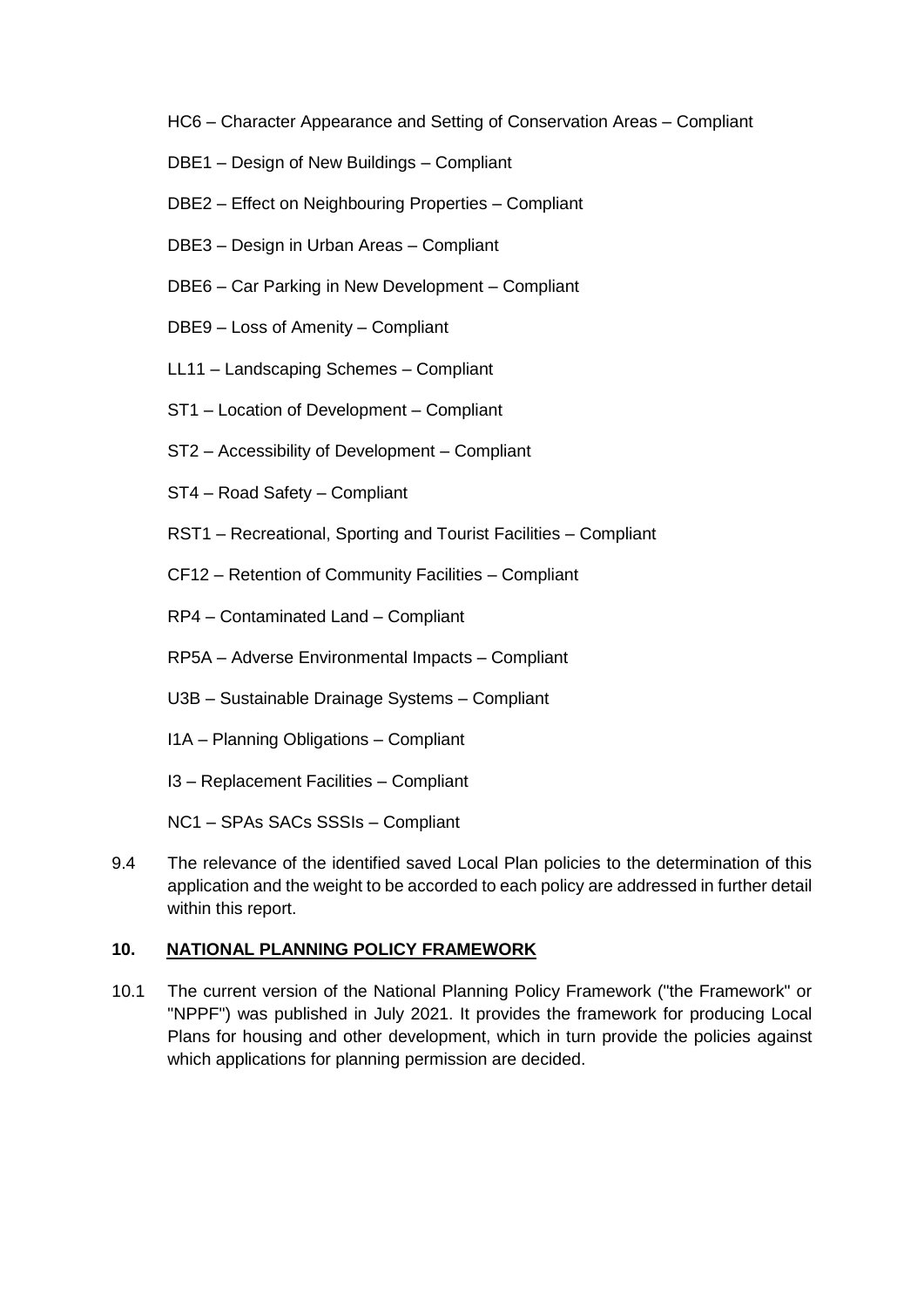- HC6 Character Appearance and Setting of Conservation Areas Compliant
- DBE1 Design of New Buildings Compliant
- DBE2 Effect on Neighbouring Properties Compliant
- DBE3 Design in Urban Areas Compliant
- DBE6 Car Parking in New Development Compliant
- DBE9 Loss of Amenity Compliant
- LL11 Landscaping Schemes Compliant
- ST1 Location of Development Compliant
- ST2 Accessibility of Development Compliant
- ST4 Road Safety Compliant
- RST1 Recreational, Sporting and Tourist Facilities Compliant
- CF12 Retention of Community Facilities Compliant
- RP4 Contaminated Land Compliant
- RP5A Adverse Environmental Impacts Compliant
- U3B Sustainable Drainage Systems Compliant
- I1A Planning Obligations Compliant
- I3 Replacement Facilities Compliant
- NC1 SPAs SACs SSSIs Compliant
- 9.4 The relevance of the identified saved Local Plan policies to the determination of this application and the weight to be accorded to each policy are addressed in further detail within this report.

#### **10. NATIONAL PLANNING POLICY FRAMEWORK**

10.1 The current version of the National Planning Policy Framework ("the Framework" or "NPPF") was published in July 2021. It provides the framework for producing Local Plans for housing and other development, which in turn provide the policies against which applications for planning permission are decided.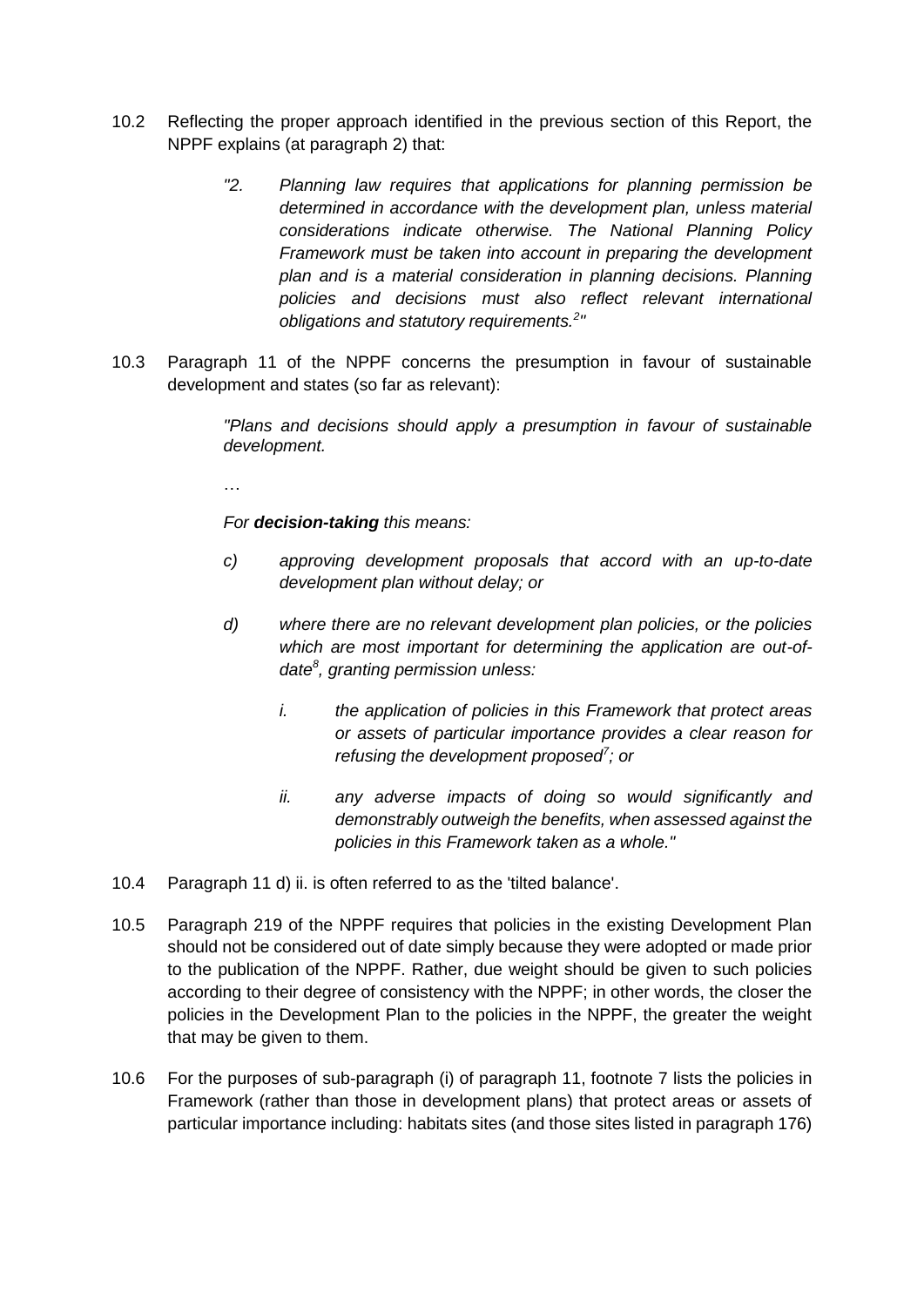- 10.2 Reflecting the proper approach identified in the previous section of this Report, the NPPF explains (at paragraph 2) that:
	- *"2. Planning law requires that applications for planning permission be determined in accordance with the development plan, unless material considerations indicate otherwise. The National Planning Policy Framework must be taken into account in preparing the development plan and is a material consideration in planning decisions. Planning policies and decisions must also reflect relevant international obligations and statutory requirements.<sup>2</sup> "*
- 10.3 Paragraph 11 of the NPPF concerns the presumption in favour of sustainable development and states (so far as relevant):

*"Plans and decisions should apply a presumption in favour of sustainable development.* 

…

*For decision-taking this means:*

- *c) approving development proposals that accord with an up-to-date development plan without delay; or*
- *d) where there are no relevant development plan policies, or the policies which are most important for determining the application are out-ofdate<sup>8</sup> , granting permission unless:* 
	- *i. the application of policies in this Framework that protect areas or assets of particular importance provides a clear reason for refusing the development proposed<sup>7</sup> ; or*
	- *ii. any adverse impacts of doing so would significantly and demonstrably outweigh the benefits, when assessed against the policies in this Framework taken as a whole."*
- 10.4 Paragraph 11 d) ii. is often referred to as the 'tilted balance'.
- 10.5 Paragraph 219 of the NPPF requires that policies in the existing Development Plan should not be considered out of date simply because they were adopted or made prior to the publication of the NPPF. Rather, due weight should be given to such policies according to their degree of consistency with the NPPF; in other words, the closer the policies in the Development Plan to the policies in the NPPF, the greater the weight that may be given to them.
- 10.6 For the purposes of sub-paragraph (i) of paragraph 11, footnote 7 lists the policies in Framework (rather than those in development plans) that protect areas or assets of particular importance including: habitats sites (and those sites listed in paragraph 176)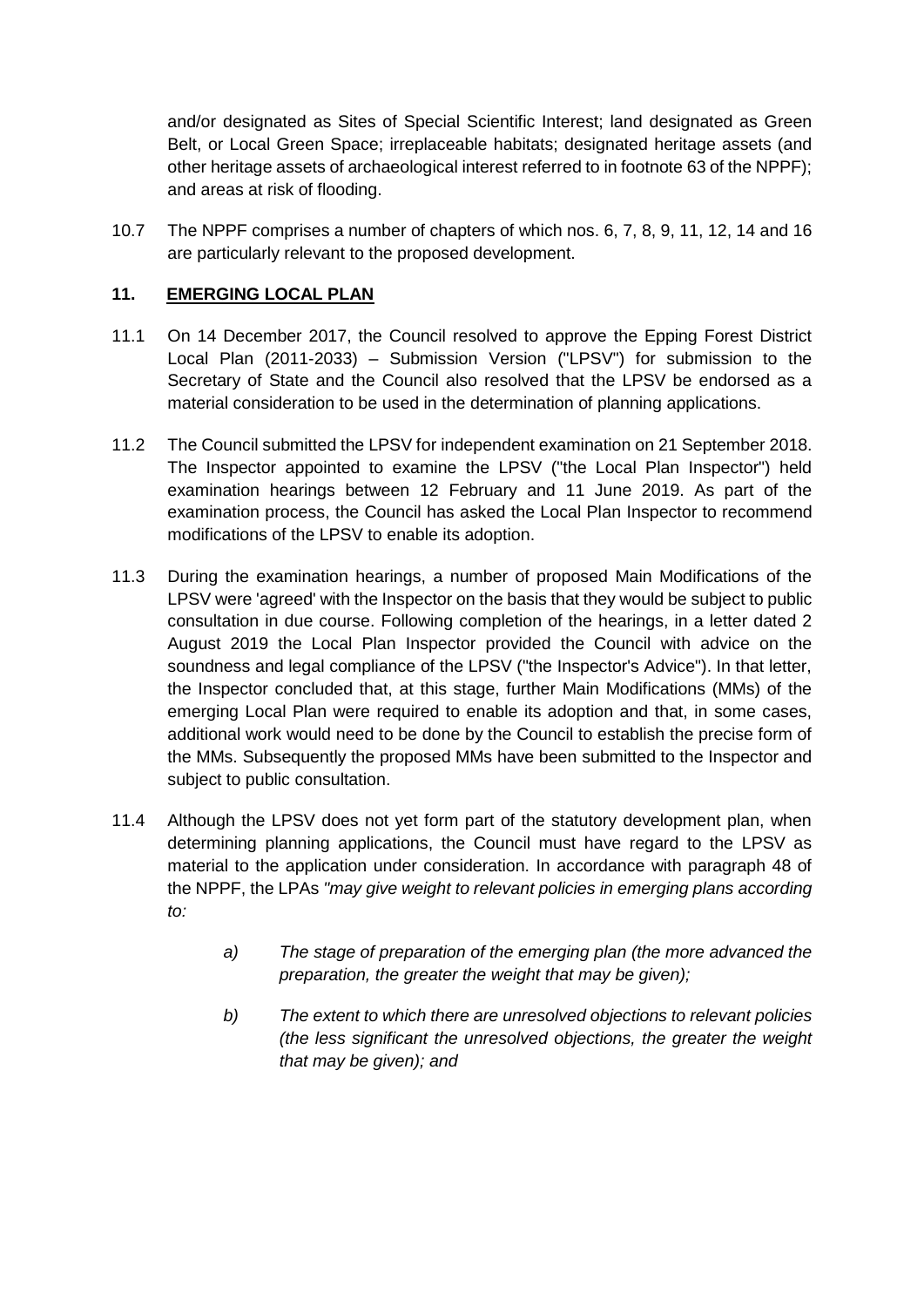and/or designated as Sites of Special Scientific Interest; land designated as Green Belt, or Local Green Space; irreplaceable habitats; designated heritage assets (and other heritage assets of archaeological interest referred to in footnote 63 of the NPPF); and areas at risk of flooding.

10.7 The NPPF comprises a number of chapters of which nos. 6, 7, 8, 9, 11, 12, 14 and 16 are particularly relevant to the proposed development.

## **11. EMERGING LOCAL PLAN**

- 11.1 On 14 December 2017, the Council resolved to approve the Epping Forest District Local Plan (2011-2033) – Submission Version ("LPSV") for submission to the Secretary of State and the Council also resolved that the LPSV be endorsed as a material consideration to be used in the determination of planning applications.
- 11.2 The Council submitted the LPSV for independent examination on 21 September 2018. The Inspector appointed to examine the LPSV ("the Local Plan Inspector") held examination hearings between 12 February and 11 June 2019. As part of the examination process, the Council has asked the Local Plan Inspector to recommend modifications of the LPSV to enable its adoption.
- 11.3 During the examination hearings, a number of proposed Main Modifications of the LPSV were 'agreed' with the Inspector on the basis that they would be subject to public consultation in due course. Following completion of the hearings, in a letter dated 2 August 2019 the Local Plan Inspector provided the Council with advice on the soundness and legal compliance of the LPSV ("the Inspector's Advice"). In that letter, the Inspector concluded that, at this stage, further Main Modifications (MMs) of the emerging Local Plan were required to enable its adoption and that, in some cases, additional work would need to be done by the Council to establish the precise form of the MMs. Subsequently the proposed MMs have been submitted to the Inspector and subject to public consultation.
- 11.4 Although the LPSV does not yet form part of the statutory development plan, when determining planning applications, the Council must have regard to the LPSV as material to the application under consideration. In accordance with paragraph 48 of the NPPF, the LPAs *"may give weight to relevant policies in emerging plans according to:*
	- *a) The stage of preparation of the emerging plan (the more advanced the preparation, the greater the weight that may be given);*
	- *b) The extent to which there are unresolved objections to relevant policies (the less significant the unresolved objections, the greater the weight that may be given); and*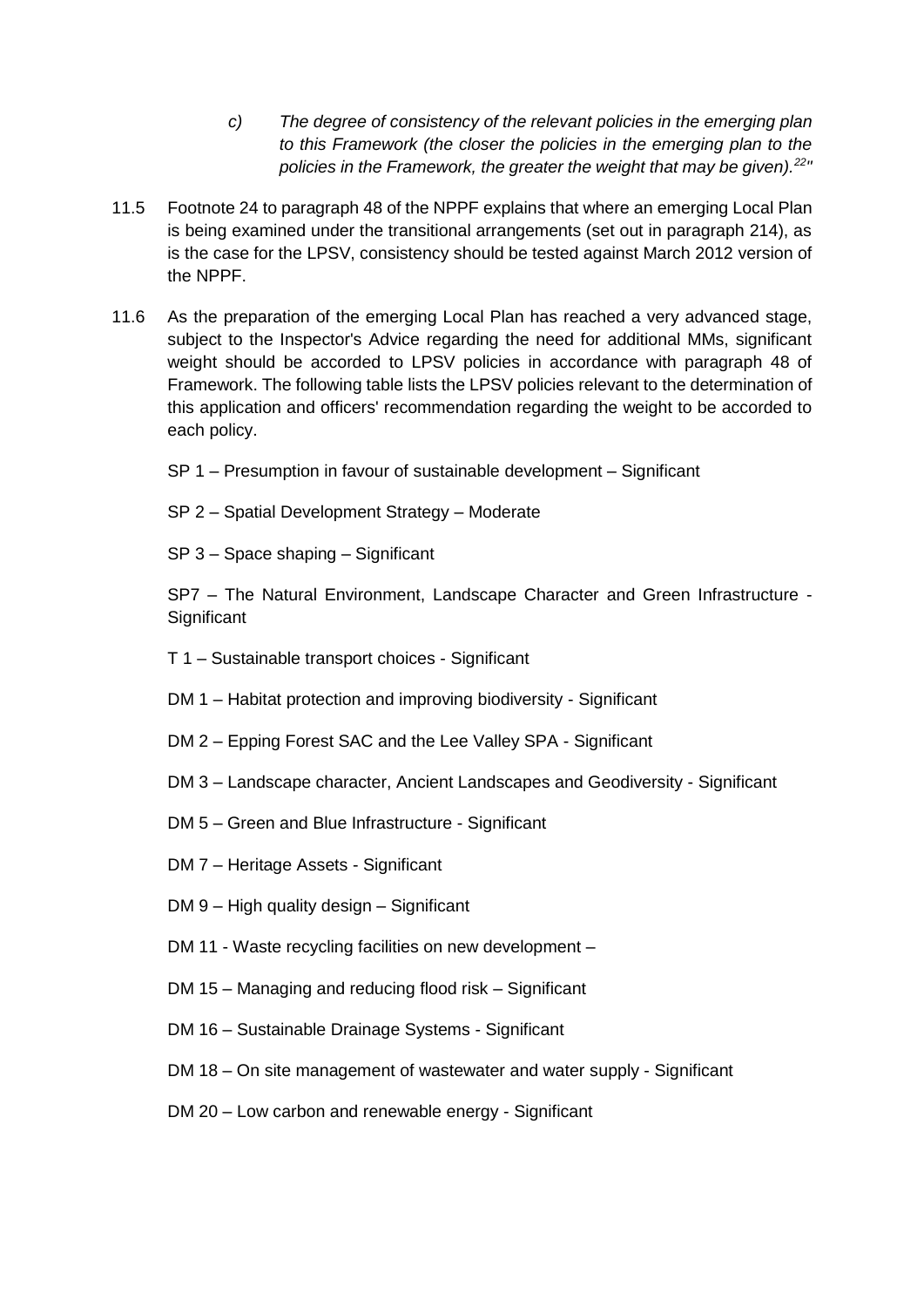- *c) The degree of consistency of the relevant policies in the emerging plan to this Framework (the closer the policies in the emerging plan to the policies in the Framework, the greater the weight that may be given).<sup>22</sup> "*
- 11.5 Footnote 24 to paragraph 48 of the NPPF explains that where an emerging Local Plan is being examined under the transitional arrangements (set out in paragraph 214), as is the case for the LPSV, consistency should be tested against March 2012 version of the NPPF.
- 11.6 As the preparation of the emerging Local Plan has reached a very advanced stage, subject to the Inspector's Advice regarding the need for additional MMs, significant weight should be accorded to LPSV policies in accordance with paragraph 48 of Framework. The following table lists the LPSV policies relevant to the determination of this application and officers' recommendation regarding the weight to be accorded to each policy.
	- SP 1 Presumption in favour of sustainable development Significant
	- SP 2 Spatial Development Strategy Moderate
	- SP 3 Space shaping Significant

SP7 – The Natural Environment, Landscape Character and Green Infrastructure - **Significant** 

- T 1 Sustainable transport choices Significant
- DM 1 Habitat protection and improving biodiversity Significant
- DM 2 Epping Forest SAC and the Lee Valley SPA Significant
- DM 3 Landscape character, Ancient Landscapes and Geodiversity Significant
- DM 5 Green and Blue Infrastructure Significant
- DM 7 Heritage Assets Significant
- DM 9 High quality design Significant
- DM 11 Waste recycling facilities on new development –
- DM 15 Managing and reducing flood risk Significant
- DM 16 Sustainable Drainage Systems Significant
- DM 18 On site management of wastewater and water supply Significant
- DM 20 Low carbon and renewable energy Significant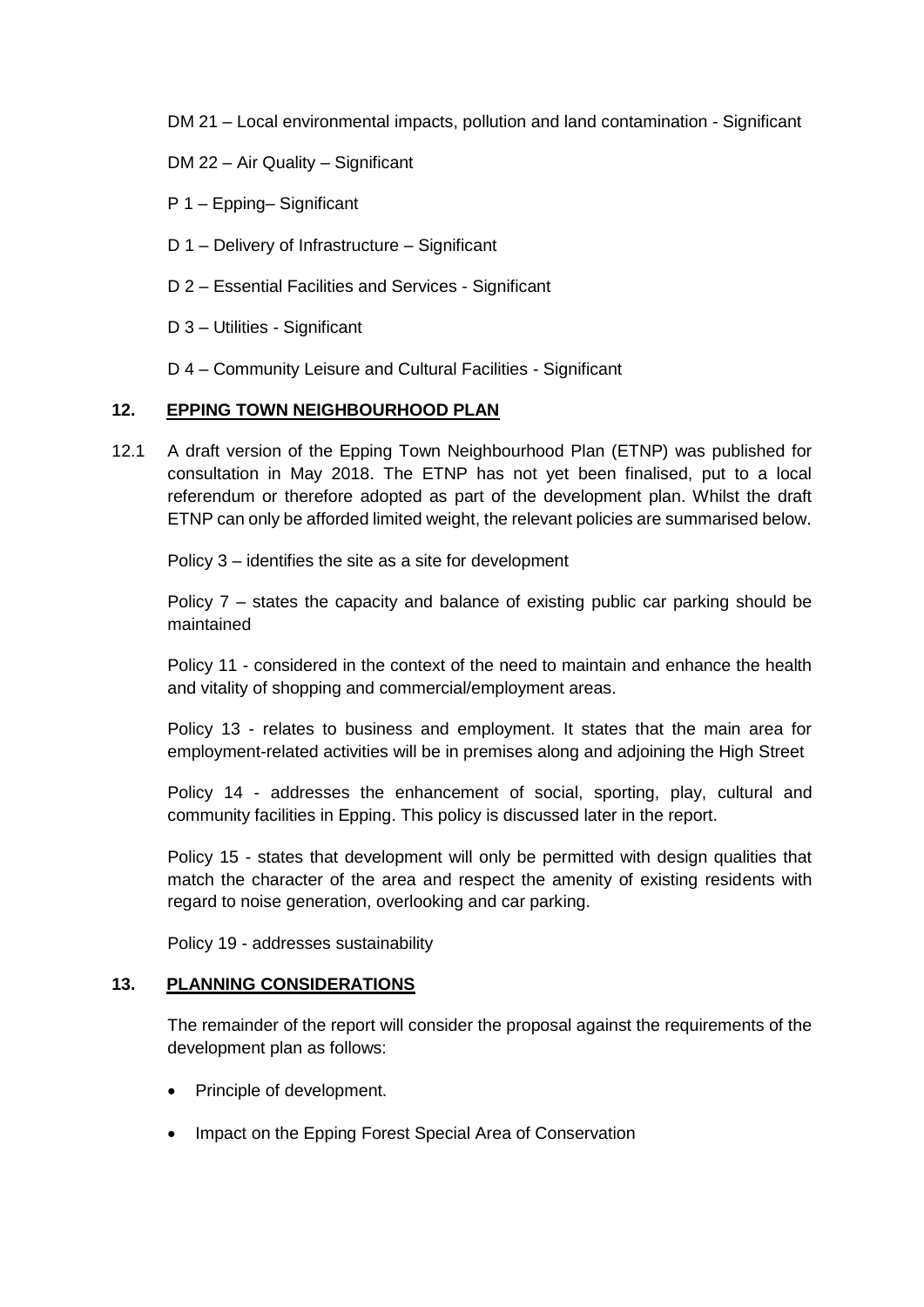DM 21 – Local environmental impacts, pollution and land contamination - Significant

DM 22 – Air Quality – Significant

P 1 – Epping– Significant

- D 1 Delivery of Infrastructure Significant
- D 2 Essential Facilities and Services Significant
- D 3 Utilities Significant
- D 4 Community Leisure and Cultural Facilities Significant

#### **12. EPPING TOWN NEIGHBOURHOOD PLAN**

12.1 A draft version of the Epping Town Neighbourhood Plan (ETNP) was published for consultation in May 2018. The ETNP has not yet been finalised, put to a local referendum or therefore adopted as part of the development plan. Whilst the draft ETNP can only be afforded limited weight, the relevant policies are summarised below.

Policy 3 – identifies the site as a site for development

Policy 7 – states the capacity and balance of existing public car parking should be maintained

Policy 11 - considered in the context of the need to maintain and enhance the health and vitality of shopping and commercial/employment areas.

Policy 13 - relates to business and employment. It states that the main area for employment-related activities will be in premises along and adjoining the High Street

Policy 14 - addresses the enhancement of social, sporting, play, cultural and community facilities in Epping. This policy is discussed later in the report.

Policy 15 - states that development will only be permitted with design qualities that match the character of the area and respect the amenity of existing residents with regard to noise generation, overlooking and car parking.

Policy 19 - addresses sustainability

#### **13. PLANNING CONSIDERATIONS**

The remainder of the report will consider the proposal against the requirements of the development plan as follows:

- Principle of development.
- Impact on the Epping Forest Special Area of Conservation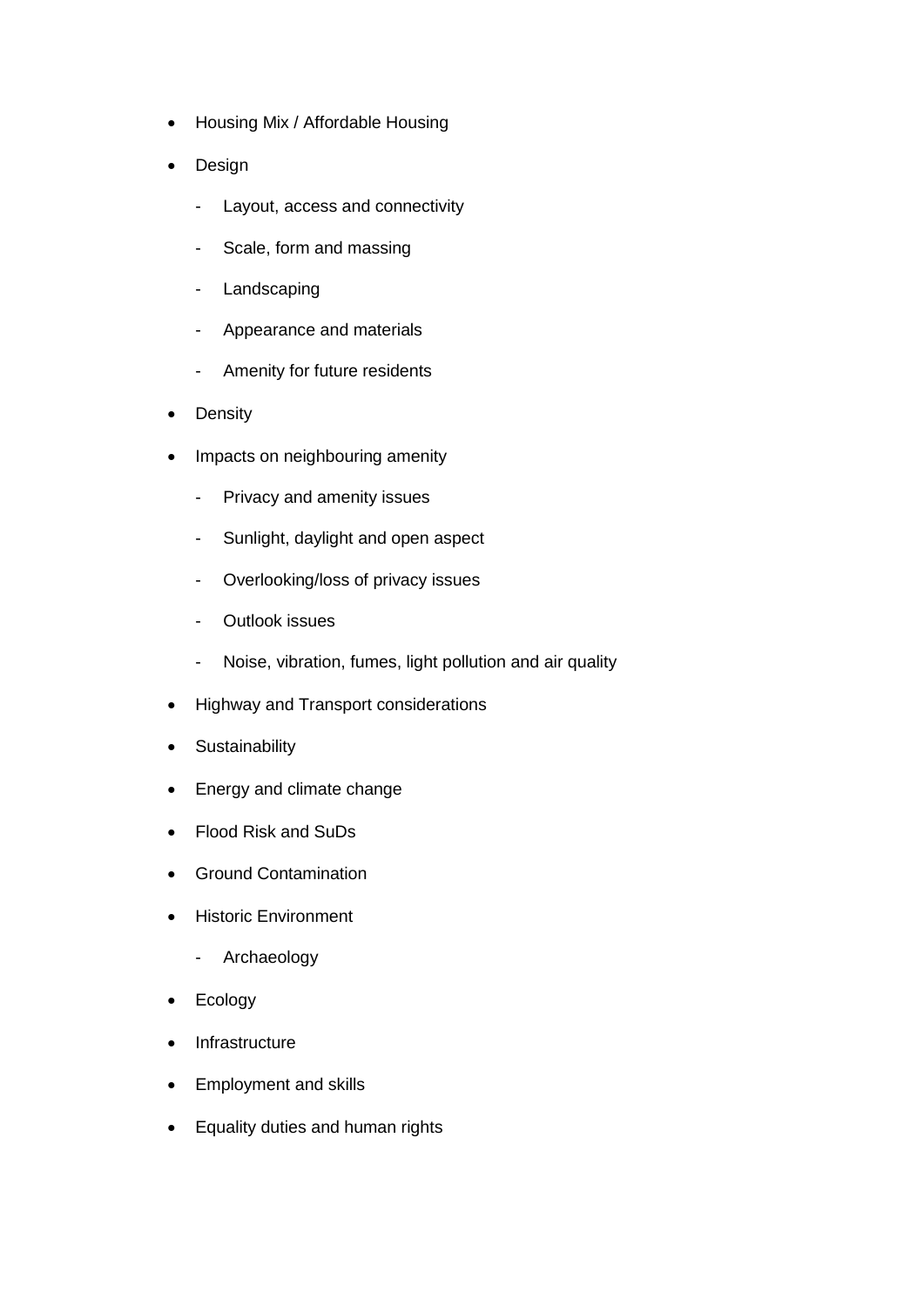- Housing Mix / Affordable Housing
- Design
	- Layout, access and connectivity
	- Scale, form and massing
	- Landscaping
	- Appearance and materials
	- Amenity for future residents
- Density
- Impacts on neighbouring amenity
	- Privacy and amenity issues
	- Sunlight, daylight and open aspect
	- Overlooking/loss of privacy issues
	- Outlook issues
	- Noise, vibration, fumes, light pollution and air quality
- Highway and Transport considerations
- Sustainability
- Energy and climate change
- Flood Risk and SuDs
- **•** Ground Contamination
- Historic Environment
	- Archaeology
- Ecology
- Infrastructure
- Employment and skills
- Equality duties and human rights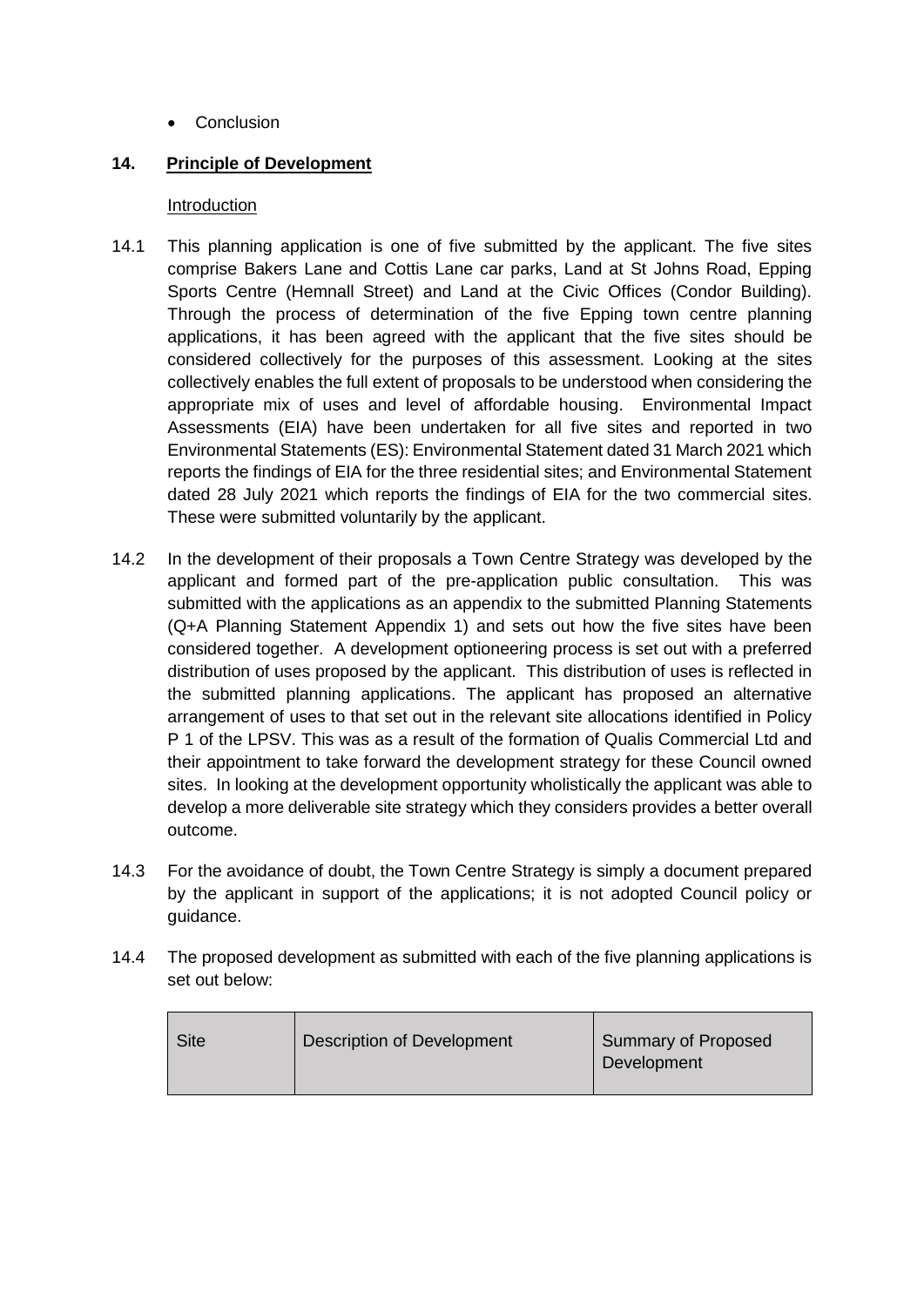• Conclusion

## **14. Principle of Development**

#### **Introduction**

- 14.1 This planning application is one of five submitted by the applicant. The five sites comprise Bakers Lane and Cottis Lane car parks, Land at St Johns Road, Epping Sports Centre (Hemnall Street) and Land at the Civic Offices (Condor Building). Through the process of determination of the five Epping town centre planning applications, it has been agreed with the applicant that the five sites should be considered collectively for the purposes of this assessment. Looking at the sites collectively enables the full extent of proposals to be understood when considering the appropriate mix of uses and level of affordable housing. Environmental Impact Assessments (EIA) have been undertaken for all five sites and reported in two Environmental Statements (ES): Environmental Statement dated 31 March 2021 which reports the findings of EIA for the three residential sites; and Environmental Statement dated 28 July 2021 which reports the findings of EIA for the two commercial sites. These were submitted voluntarily by the applicant.
- 14.2 In the development of their proposals a Town Centre Strategy was developed by the applicant and formed part of the pre-application public consultation. This was submitted with the applications as an appendix to the submitted Planning Statements (Q+A Planning Statement Appendix 1) and sets out how the five sites have been considered together. A development optioneering process is set out with a preferred distribution of uses proposed by the applicant. This distribution of uses is reflected in the submitted planning applications. The applicant has proposed an alternative arrangement of uses to that set out in the relevant site allocations identified in Policy P 1 of the LPSV. This was as a result of the formation of Qualis Commercial Ltd and their appointment to take forward the development strategy for these Council owned sites. In looking at the development opportunity wholistically the applicant was able to develop a more deliverable site strategy which they considers provides a better overall outcome.
- 14.3 For the avoidance of doubt, the Town Centre Strategy is simply a document prepared by the applicant in support of the applications; it is not adopted Council policy or guidance.
- 14.4 The proposed development as submitted with each of the five planning applications is set out below:

| <b>Site</b> | <b>Description of Development</b> | <b>Summary of Proposed</b><br>Development |
|-------------|-----------------------------------|-------------------------------------------|
|-------------|-----------------------------------|-------------------------------------------|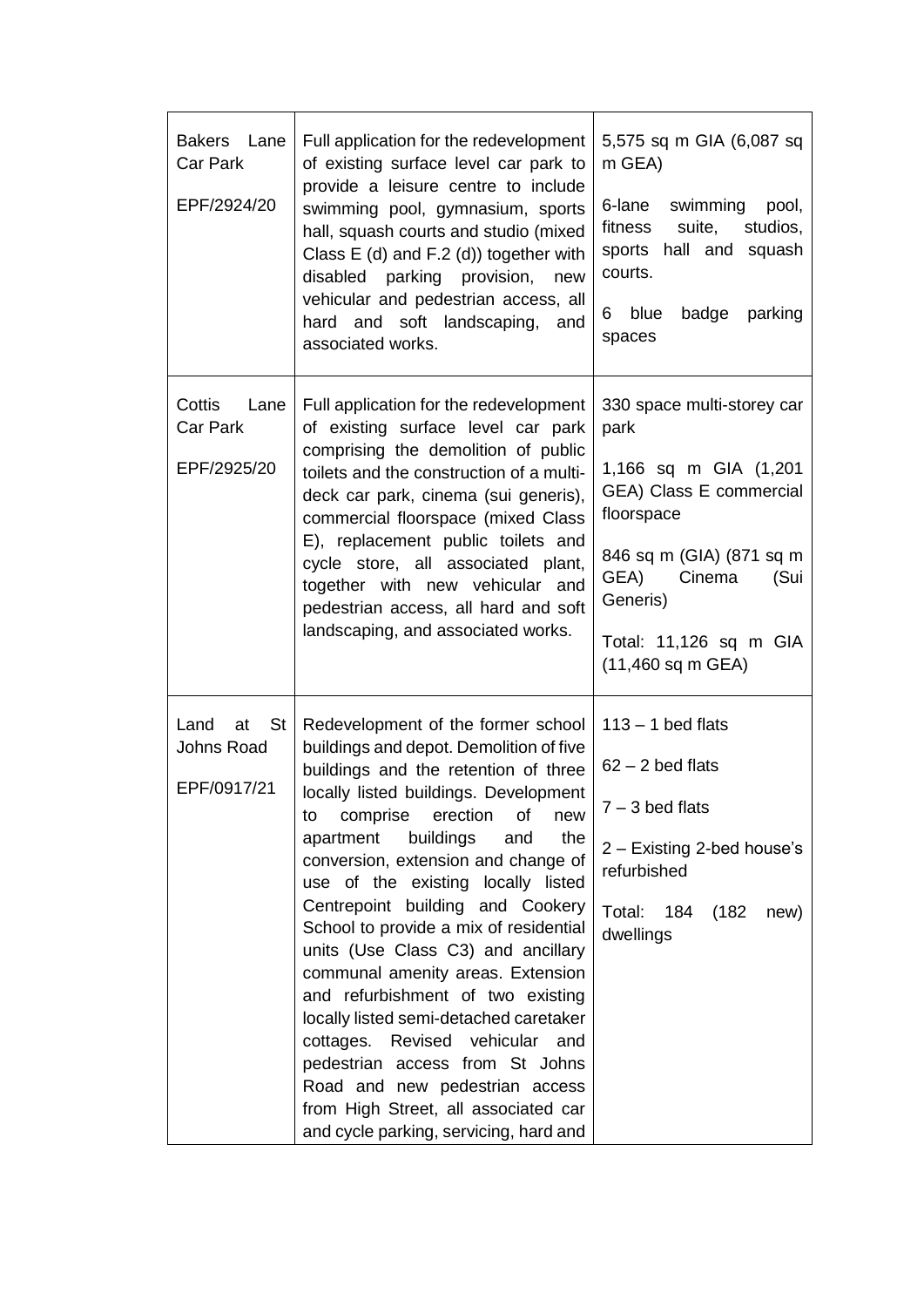| Bakers Lane<br>Car Park<br>EPF/2924/20          | Full application for the redevelopment<br>of existing surface level car park to<br>provide a leisure centre to include<br>swimming pool, gymnasium, sports<br>hall, squash courts and studio (mixed<br>Class E (d) and F.2 (d)) together with<br>disabled parking provision,<br>new<br>vehicular and pedestrian access, all<br>hard and soft landscaping, and<br>associated works.                                                                                                                                                                                                                                                                                                                                                                               | 5,575 sq m GIA (6,087 sq<br>m GEA)<br>6-lane<br>swimming pool,<br>suite,<br>studios,<br>fitness<br>sports hall and squash<br>courts.<br>blue<br>badge<br>parking<br>6.<br>spaces                                      |
|-------------------------------------------------|------------------------------------------------------------------------------------------------------------------------------------------------------------------------------------------------------------------------------------------------------------------------------------------------------------------------------------------------------------------------------------------------------------------------------------------------------------------------------------------------------------------------------------------------------------------------------------------------------------------------------------------------------------------------------------------------------------------------------------------------------------------|-----------------------------------------------------------------------------------------------------------------------------------------------------------------------------------------------------------------------|
| Cottis<br>Lane<br>Car Park<br>EPF/2925/20       | Full application for the redevelopment<br>of existing surface level car park<br>comprising the demolition of public<br>toilets and the construction of a multi-<br>deck car park, cinema (sui generis),<br>commercial floorspace (mixed Class<br>E), replacement public toilets and<br>cycle store, all associated plant,<br>together with new vehicular and<br>pedestrian access, all hard and soft<br>landscaping, and associated works.                                                                                                                                                                                                                                                                                                                       | 330 space multi-storey car<br>park<br>1,166 sq m GIA (1,201<br>GEA) Class E commercial<br>floorspace<br>846 sq m (GIA) (871 sq m<br>GEA)<br>Cinema<br>(Sui<br>Generis)<br>Total: 11,126 sq m GIA<br>(11,460 sq m GEA) |
| Land<br>St I<br>at<br>Johns Road<br>EPF/0917/21 | Redevelopment of the former school<br>buildings and depot. Demolition of five<br>buildings and the retention of three<br>locally listed buildings. Development<br>comprise<br>erection<br>to<br>οt<br>new<br>the<br>buildings<br>apartment<br>and<br>conversion, extension and change of<br>use of the existing locally listed<br>Centrepoint building and Cookery<br>School to provide a mix of residential<br>units (Use Class C3) and ancillary<br>communal amenity areas. Extension<br>and refurbishment of two existing<br>locally listed semi-detached caretaker<br>cottages. Revised vehicular and<br>pedestrian access from St Johns<br>Road and new pedestrian access<br>from High Street, all associated car<br>and cycle parking, servicing, hard and | $113 - 1$ bed flats<br>$62 - 2$ bed flats<br>$7 - 3$ bed flats<br>2 - Existing 2-bed house's<br>refurbished<br>Total:<br>184<br>(182)<br>new)<br>dwellings                                                            |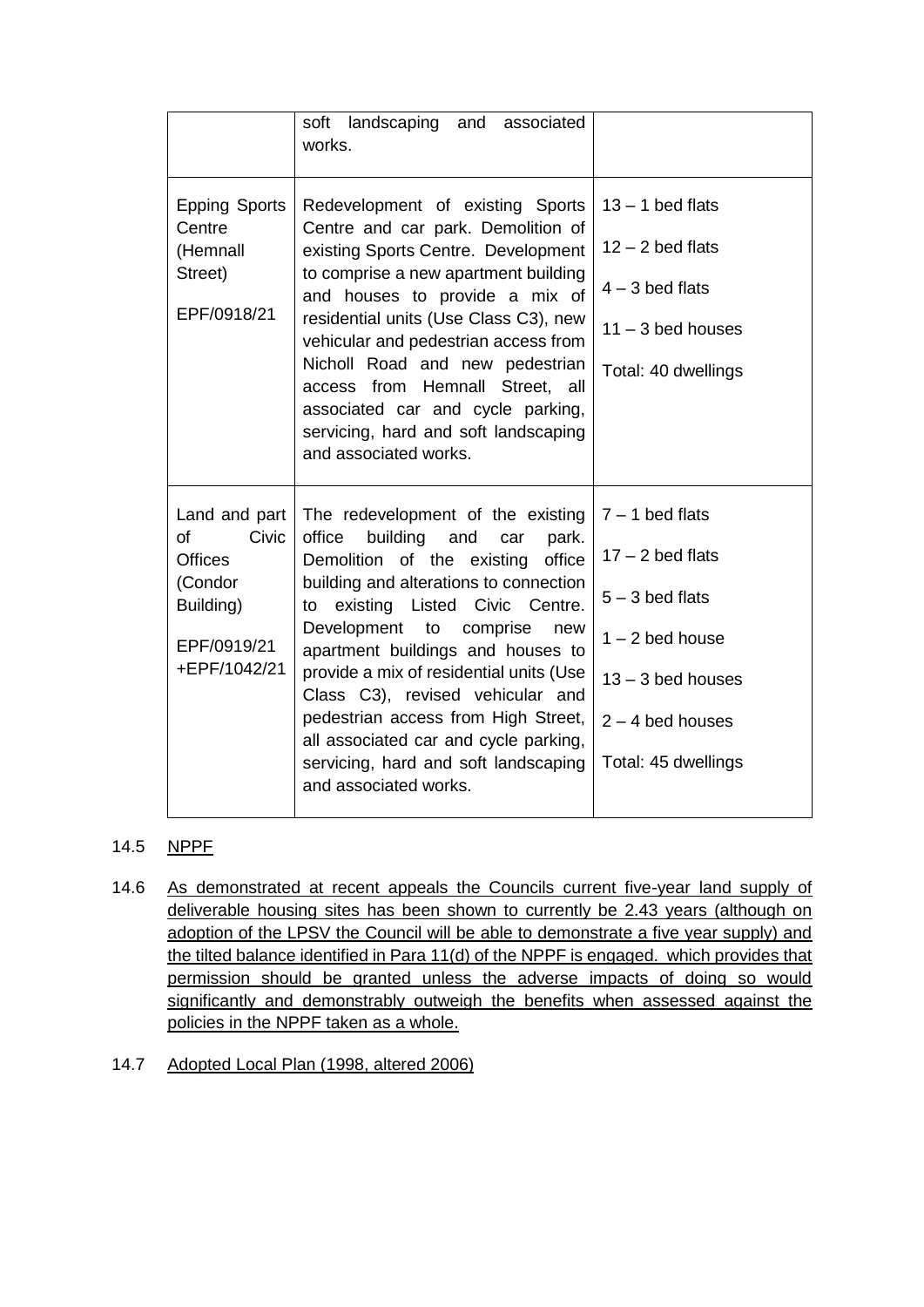|                                                                                                       | soft landscaping and associated<br>works.                                                                                                                                                                                                                                                                                                                                                                                                                                                                      |                                                                                                                                                       |
|-------------------------------------------------------------------------------------------------------|----------------------------------------------------------------------------------------------------------------------------------------------------------------------------------------------------------------------------------------------------------------------------------------------------------------------------------------------------------------------------------------------------------------------------------------------------------------------------------------------------------------|-------------------------------------------------------------------------------------------------------------------------------------------------------|
| <b>Epping Sports</b><br>Centre<br>(Hemnall<br>Street)<br>EPF/0918/21                                  | Redevelopment of existing Sports<br>Centre and car park. Demolition of<br>existing Sports Centre. Development<br>to comprise a new apartment building<br>and houses to provide a mix of<br>residential units (Use Class C3), new<br>vehicular and pedestrian access from<br>Nicholl Road and new pedestrian<br>access from Hemnall Street, all<br>associated car and cycle parking,<br>servicing, hard and soft landscaping<br>and associated works.                                                           | $13 - 1$ bed flats<br>$12 - 2$ bed flats<br>$4 - 3$ bed flats<br>$11 - 3$ bed houses<br>Total: 40 dwellings                                           |
| Land and part<br>Civic<br>of<br><b>Offices</b><br>(Condor<br>Building)<br>EPF/0919/21<br>+EPF/1042/21 | The redevelopment of the existing<br>office<br>building<br>and<br>car<br>park.<br>Demolition of the existing<br>office<br>building and alterations to connection<br>to existing Listed Civic Centre.<br>Development to<br>comprise<br>new<br>apartment buildings and houses to<br>provide a mix of residential units (Use<br>Class C3), revised vehicular and<br>pedestrian access from High Street,<br>all associated car and cycle parking,<br>servicing, hard and soft landscaping<br>and associated works. | $7 - 1$ bed flats<br>$17 - 2$ bed flats<br>$5 - 3$ bed flats<br>$1 - 2$ bed house<br>$13 - 3$ bed houses<br>$2 - 4$ bed houses<br>Total: 45 dwellings |

## 14.5 NPPF

- 14.6 As demonstrated at recent appeals the Councils current five-year land supply of deliverable housing sites has been shown to currently be 2.43 years (although on adoption of the LPSV the Council will be able to demonstrate a five year supply) and the tilted balance identified in Para 11(d) of the NPPF is engaged. which provides that permission should be granted unless the adverse impacts of doing so would significantly and demonstrably outweigh the benefits when assessed against the policies in the NPPF taken as a whole.
- 14.7 Adopted Local Plan (1998, altered 2006)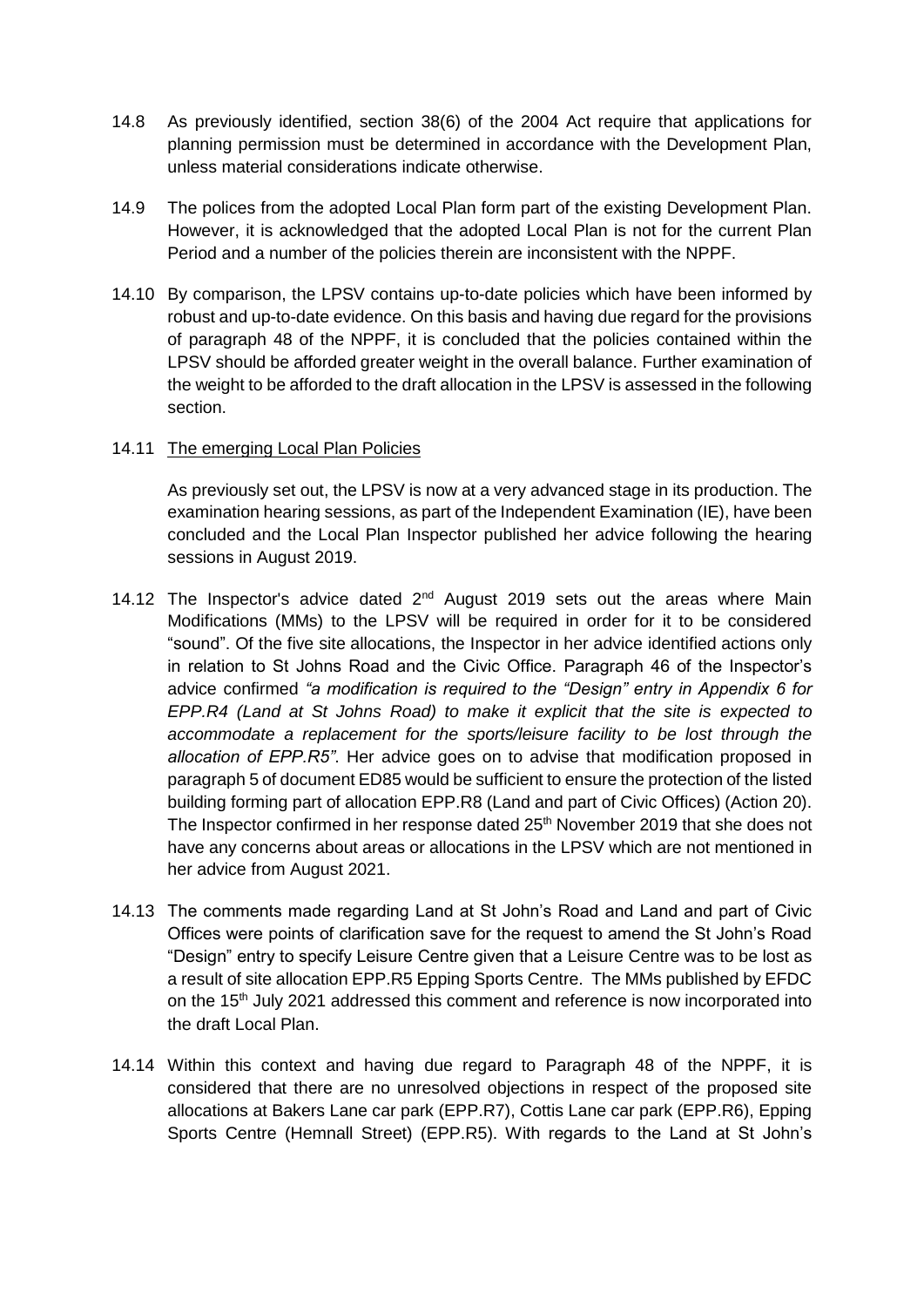- 14.8 As previously identified, section 38(6) of the 2004 Act require that applications for planning permission must be determined in accordance with the Development Plan, unless material considerations indicate otherwise.
- 14.9 The polices from the adopted Local Plan form part of the existing Development Plan. However, it is acknowledged that the adopted Local Plan is not for the current Plan Period and a number of the policies therein are inconsistent with the NPPF.
- 14.10 By comparison, the LPSV contains up-to-date policies which have been informed by robust and up-to-date evidence. On this basis and having due regard for the provisions of paragraph 48 of the NPPF, it is concluded that the policies contained within the LPSV should be afforded greater weight in the overall balance. Further examination of the weight to be afforded to the draft allocation in the LPSV is assessed in the following section.

#### 14.11 The emerging Local Plan Policies

As previously set out, the LPSV is now at a very advanced stage in its production. The examination hearing sessions, as part of the Independent Examination (IE), have been concluded and the Local Plan Inspector published her advice following the hearing sessions in August 2019.

- 14.12 The Inspector's advice dated 2<sup>nd</sup> August 2019 sets out the areas where Main Modifications (MMs) to the LPSV will be required in order for it to be considered "sound". Of the five site allocations, the Inspector in her advice identified actions only in relation to St Johns Road and the Civic Office. Paragraph 46 of the Inspector's advice confirmed *"a modification is required to the "Design" entry in Appendix 6 for EPP.R4 (Land at St Johns Road) to make it explicit that the site is expected to accommodate a replacement for the sports/leisure facility to be lost through the allocation of EPP.R5"*. Her advice goes on to advise that modification proposed in paragraph 5 of document ED85 would be sufficient to ensure the protection of the listed building forming part of allocation EPP.R8 (Land and part of Civic Offices) (Action 20). The Inspector confirmed in her response dated 25<sup>th</sup> November 2019 that she does not have any concerns about areas or allocations in the LPSV which are not mentioned in her advice from August 2021.
- 14.13 The comments made regarding Land at St John's Road and Land and part of Civic Offices were points of clarification save for the request to amend the St John's Road "Design" entry to specify Leisure Centre given that a Leisure Centre was to be lost as a result of site allocation EPP.R5 Epping Sports Centre. The MMs published by EFDC on the 15<sup>th</sup> July 2021 addressed this comment and reference is now incorporated into the draft Local Plan.
- 14.14 Within this context and having due regard to Paragraph 48 of the NPPF, it is considered that there are no unresolved objections in respect of the proposed site allocations at Bakers Lane car park (EPP.R7), Cottis Lane car park (EPP.R6), Epping Sports Centre (Hemnall Street) (EPP.R5). With regards to the Land at St John's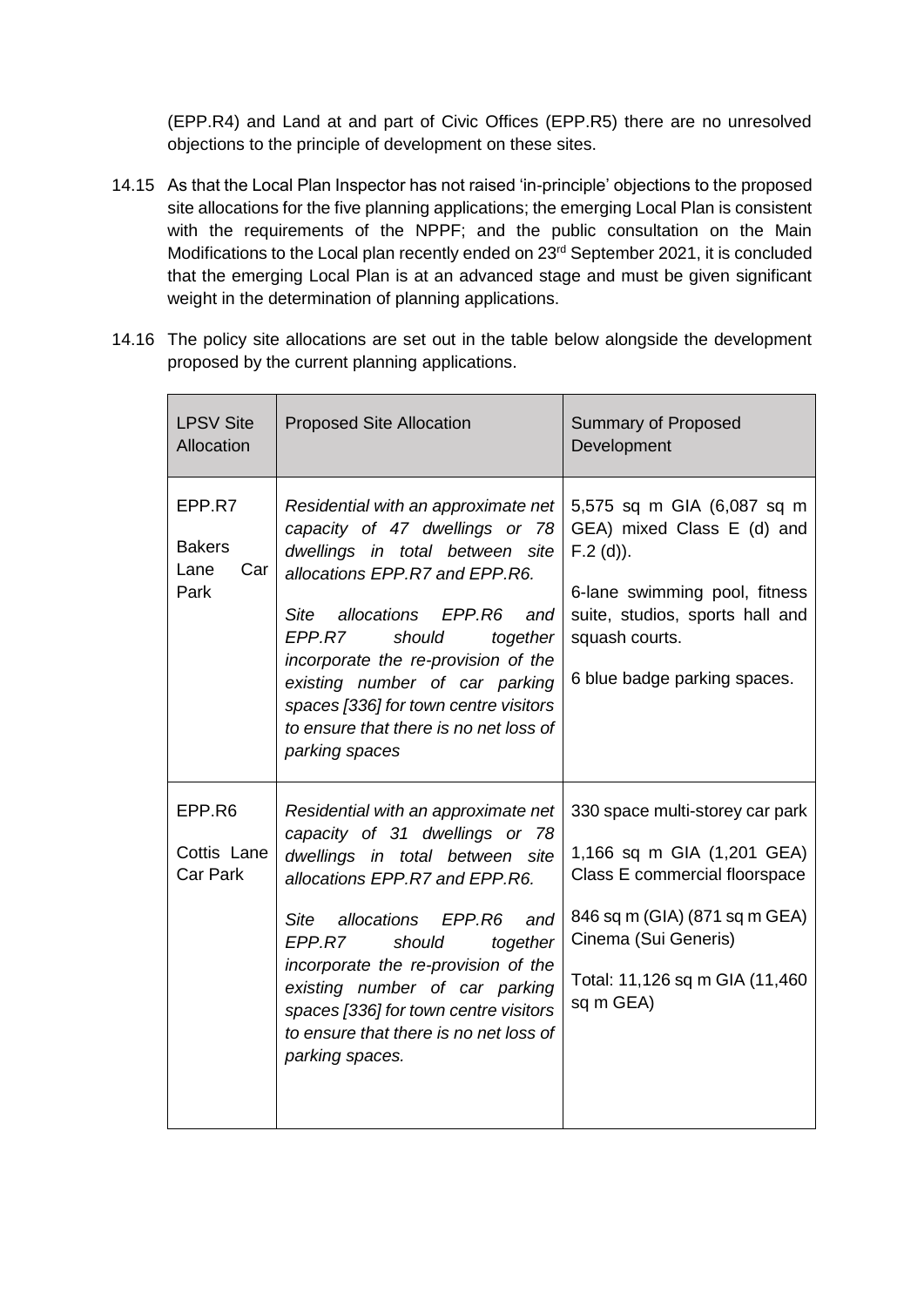(EPP.R4) and Land at and part of Civic Offices (EPP.R5) there are no unresolved objections to the principle of development on these sites.

- 14.15 As that the Local Plan Inspector has not raised 'in-principle' objections to the proposed site allocations for the five planning applications; the emerging Local Plan is consistent with the requirements of the NPPF; and the public consultation on the Main Modifications to the Local plan recently ended on 23<sup>rd</sup> September 2021, it is concluded that the emerging Local Plan is at an advanced stage and must be given significant weight in the determination of planning applications.
- 14.16 The policy site allocations are set out in the table below alongside the development proposed by the current planning applications.

| <b>LPSV Site</b><br>Allocation                 | <b>Proposed Site Allocation</b>                                                                                                                                                                                                                                                                                                                                                                   | <b>Summary of Proposed</b><br>Development                                                                                                                                                              |
|------------------------------------------------|---------------------------------------------------------------------------------------------------------------------------------------------------------------------------------------------------------------------------------------------------------------------------------------------------------------------------------------------------------------------------------------------------|--------------------------------------------------------------------------------------------------------------------------------------------------------------------------------------------------------|
| EPP.R7<br><b>Bakers</b><br>Lane<br>Car<br>Park | Residential with an approximate net<br>capacity of 47 dwellings or 78<br>dwellings in total between site<br>allocations EPP.R7 and EPP.R6.<br>allocations EPP.R6<br>Site<br>and<br>EPP.R7<br>should<br>together<br>incorporate the re-provision of the<br>existing number of car parking<br>spaces [336] for town centre visitors<br>to ensure that there is no net loss of<br>parking spaces     | 5,575 sq m GIA (6,087 sq m<br>GEA) mixed Class E (d) and<br>$F.2$ (d)).<br>6-lane swimming pool, fitness<br>suite, studios, sports hall and<br>squash courts.<br>6 blue badge parking spaces.          |
| EPP.R6<br>Cottis Lane<br><b>Car Park</b>       | Residential with an approximate net<br>capacity of 31 dwellings or 78<br>dwellings in total between site<br>allocations EPP.R7 and EPP.R6.<br>allocations<br>EPP.R6<br>and<br>Site<br>EPP.R7<br>should<br>together<br>incorporate the re-provision of the<br>existing number of car parking<br>spaces [336] for town centre visitors<br>to ensure that there is no net loss of<br>parking spaces. | 330 space multi-storey car park<br>1,166 sq m GIA (1,201 GEA)<br>Class E commercial floorspace<br>846 sq m (GIA) (871 sq m GEA)<br>Cinema (Sui Generis)<br>Total: 11,126 sq m GIA (11,460<br>sq m GEA) |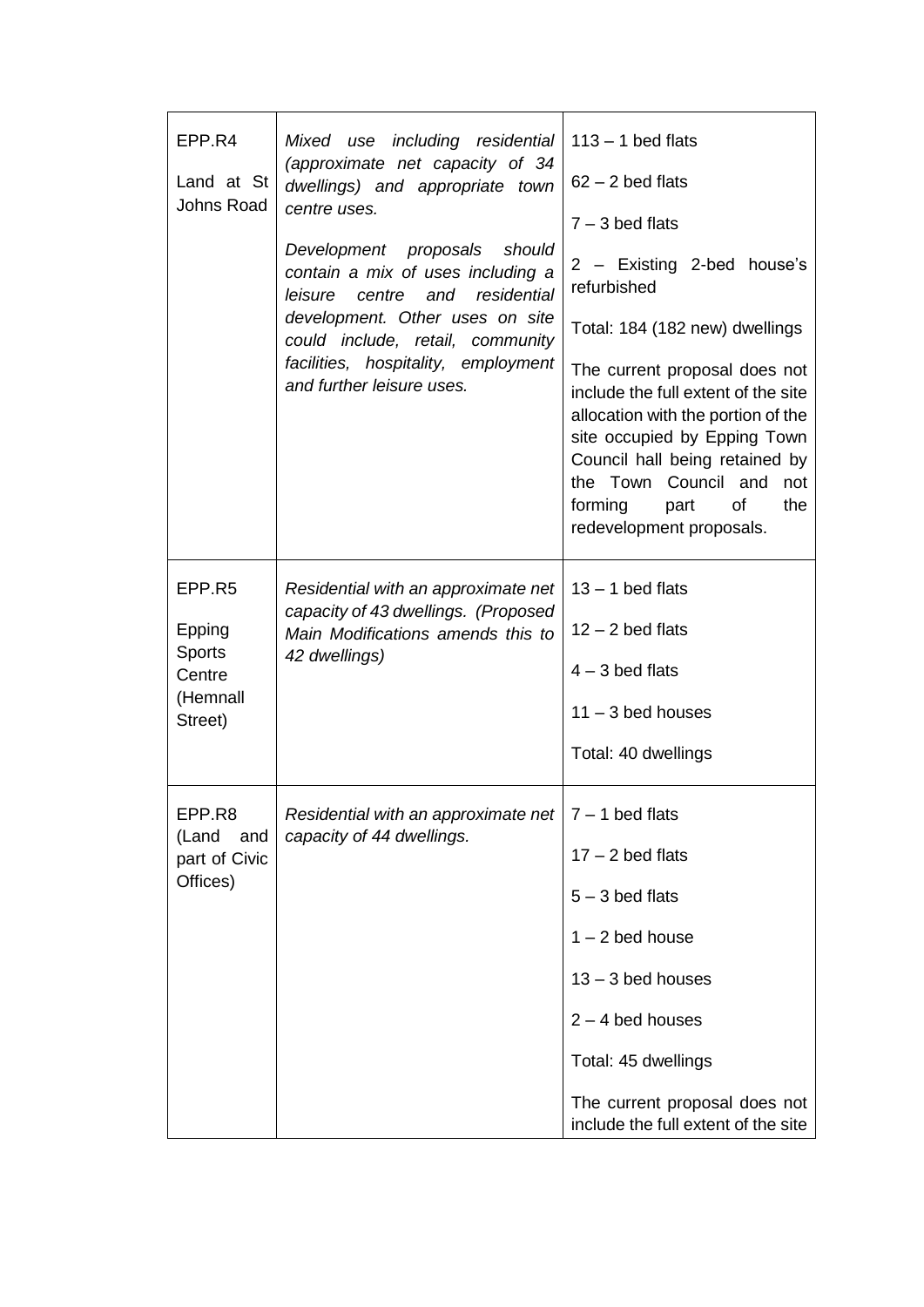| EPP.R4<br>Land at St<br>Johns Road                          | Mixed use including residential<br>(approximate net capacity of 34<br>dwellings) and appropriate town<br>centre uses.<br>Development proposals should<br>contain a mix of uses including a<br>residential<br>leisure<br>centre<br>and<br>development. Other uses on site<br>could include, retail, community<br>facilities, hospitality, employment<br>and further leisure uses. | $113 - 1$ bed flats<br>$62 - 2$ bed flats<br>$7 - 3$ bed flats<br>2 - Existing 2-bed house's<br>refurbished<br>Total: 184 (182 new) dwellings<br>The current proposal does not<br>include the full extent of the site<br>allocation with the portion of the<br>site occupied by Epping Town<br>Council hall being retained by<br>the Town Council and not<br>forming<br>of<br>the<br>part<br>redevelopment proposals. |
|-------------------------------------------------------------|----------------------------------------------------------------------------------------------------------------------------------------------------------------------------------------------------------------------------------------------------------------------------------------------------------------------------------------------------------------------------------|-----------------------------------------------------------------------------------------------------------------------------------------------------------------------------------------------------------------------------------------------------------------------------------------------------------------------------------------------------------------------------------------------------------------------|
| EPP.R5<br>Epping<br>Sports<br>Centre<br>(Hemnall<br>Street) | Residential with an approximate net<br>capacity of 43 dwellings. (Proposed<br>Main Modifications amends this to<br>42 dwellings)                                                                                                                                                                                                                                                 | $13 - 1$ bed flats<br>$12 - 2$ bed flats<br>$4 - 3$ bed flats<br>$11 - 3$ bed houses<br>Total: 40 dwellings                                                                                                                                                                                                                                                                                                           |
| EPP.R8<br>(Land and<br>part of Civic<br>Offices)            | Residential with an approximate net<br>capacity of 44 dwellings.                                                                                                                                                                                                                                                                                                                 | 7 – 1 bed flats<br>$17 - 2$ bed flats<br>$5 - 3$ bed flats<br>$1 - 2$ bed house<br>$13 - 3$ bed houses<br>$2 - 4$ bed houses<br>Total: 45 dwellings<br>The current proposal does not<br>include the full extent of the site                                                                                                                                                                                           |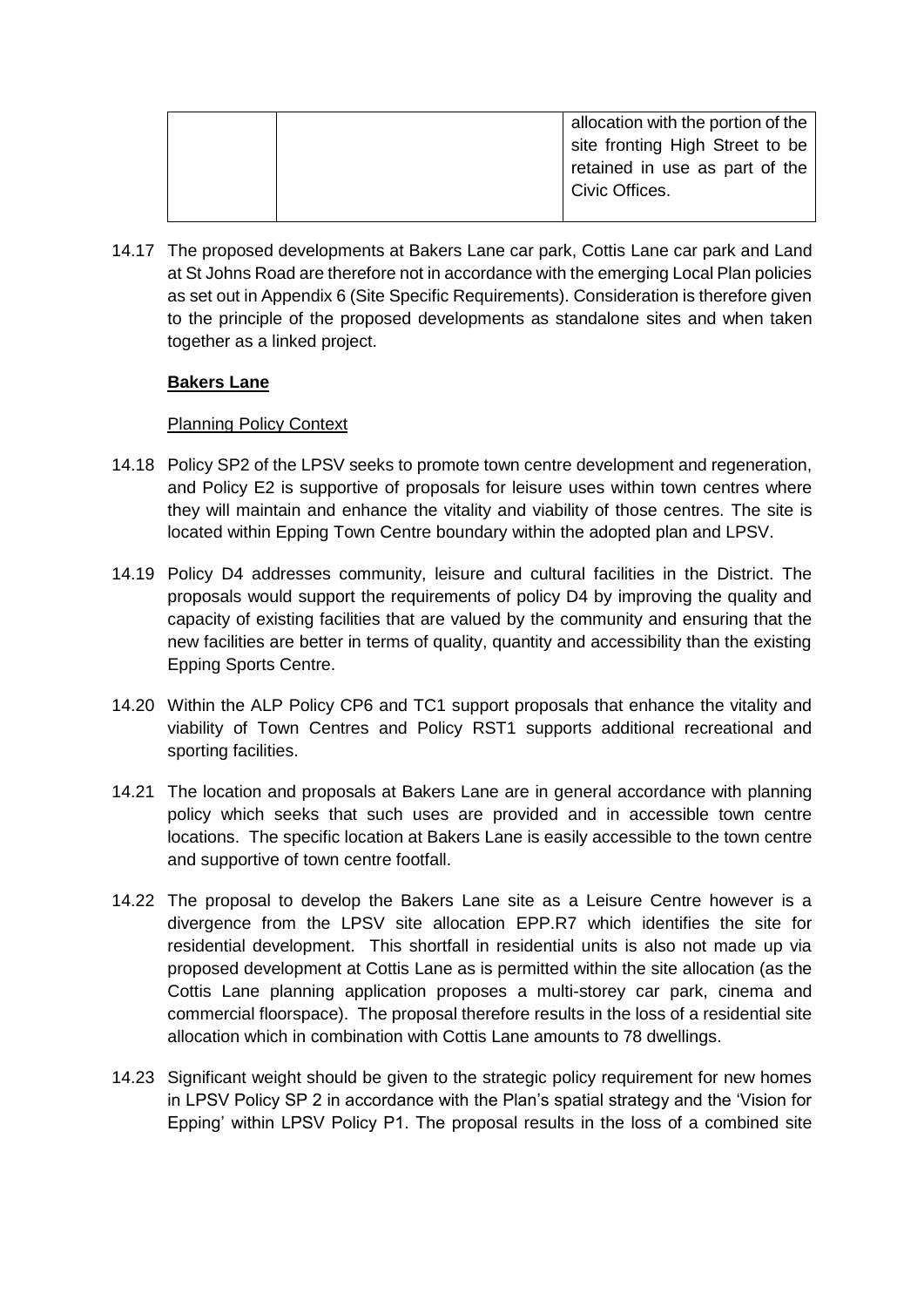| allocation with the portion of the |  |
|------------------------------------|--|
| site fronting High Street to be    |  |
|                                    |  |
| retained in use as part of the     |  |
| Civic Offices.                     |  |
|                                    |  |

14.17 The proposed developments at Bakers Lane car park, Cottis Lane car park and Land at St Johns Road are therefore not in accordance with the emerging Local Plan policies as set out in Appendix 6 (Site Specific Requirements). Consideration is therefore given to the principle of the proposed developments as standalone sites and when taken together as a linked project.

## **Bakers Lane**

## Planning Policy Context

- 14.18 Policy SP2 of the LPSV seeks to promote town centre development and regeneration, and Policy E2 is supportive of proposals for leisure uses within town centres where they will maintain and enhance the vitality and viability of those centres. The site is located within Epping Town Centre boundary within the adopted plan and LPSV.
- 14.19 Policy D4 addresses community, leisure and cultural facilities in the District. The proposals would support the requirements of policy D4 by improving the quality and capacity of existing facilities that are valued by the community and ensuring that the new facilities are better in terms of quality, quantity and accessibility than the existing Epping Sports Centre.
- 14.20 Within the ALP Policy CP6 and TC1 support proposals that enhance the vitality and viability of Town Centres and Policy RST1 supports additional recreational and sporting facilities.
- 14.21 The location and proposals at Bakers Lane are in general accordance with planning policy which seeks that such uses are provided and in accessible town centre locations. The specific location at Bakers Lane is easily accessible to the town centre and supportive of town centre footfall.
- 14.22 The proposal to develop the Bakers Lane site as a Leisure Centre however is a divergence from the LPSV site allocation EPP.R7 which identifies the site for residential development. This shortfall in residential units is also not made up via proposed development at Cottis Lane as is permitted within the site allocation (as the Cottis Lane planning application proposes a multi-storey car park, cinema and commercial floorspace). The proposal therefore results in the loss of a residential site allocation which in combination with Cottis Lane amounts to 78 dwellings.
- 14.23 Significant weight should be given to the strategic policy requirement for new homes in LPSV Policy SP 2 in accordance with the Plan's spatial strategy and the 'Vision for Epping' within LPSV Policy P1. The proposal results in the loss of a combined site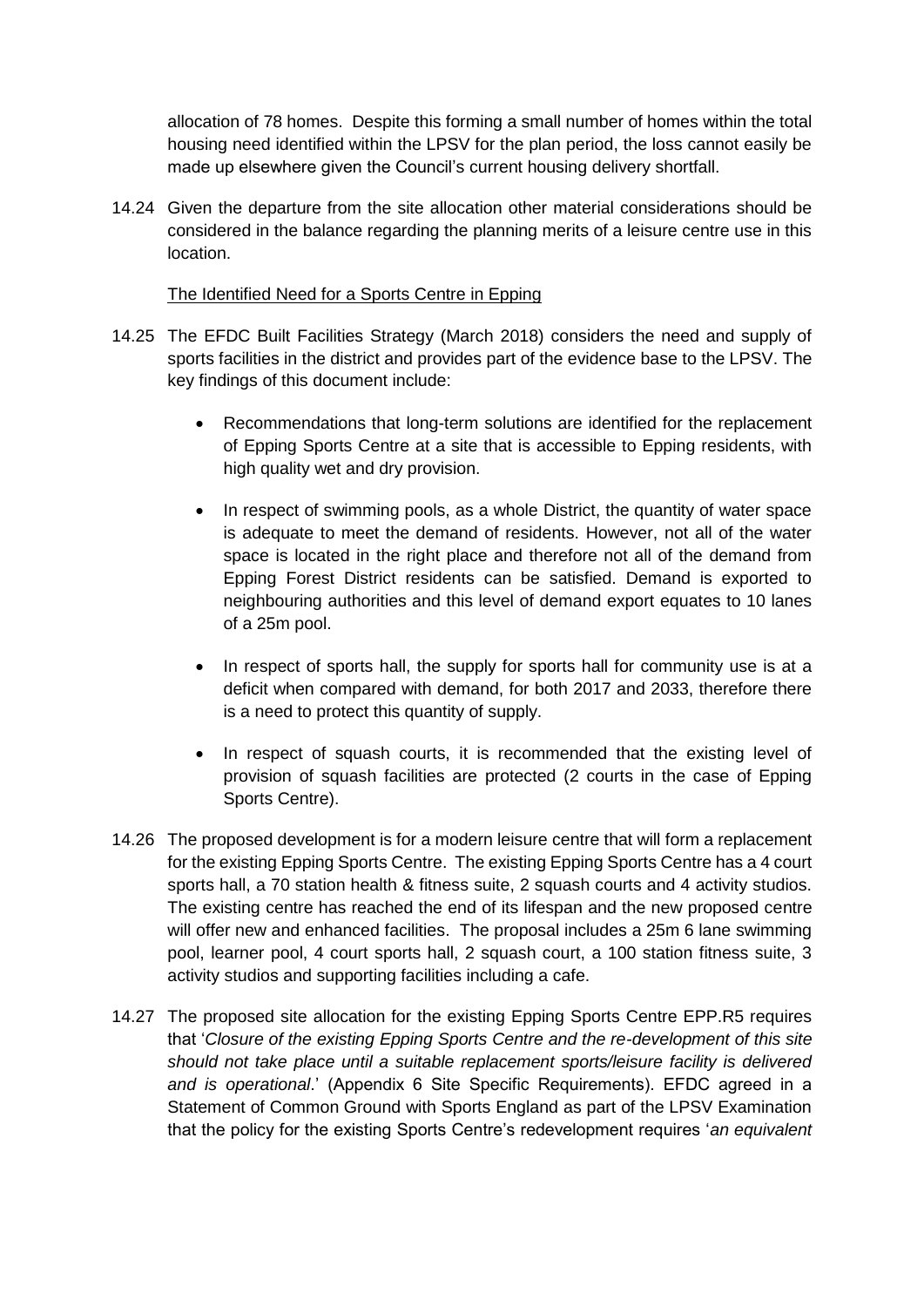allocation of 78 homes. Despite this forming a small number of homes within the total housing need identified within the LPSV for the plan period, the loss cannot easily be made up elsewhere given the Council's current housing delivery shortfall.

14.24 Given the departure from the site allocation other material considerations should be considered in the balance regarding the planning merits of a leisure centre use in this location.

#### The Identified Need for a Sports Centre in Epping

- 14.25 The EFDC Built Facilities Strategy (March 2018) considers the need and supply of sports facilities in the district and provides part of the evidence base to the LPSV. The key findings of this document include:
	- Recommendations that long-term solutions are identified for the replacement of Epping Sports Centre at a site that is accessible to Epping residents, with high quality wet and dry provision.
	- In respect of swimming pools, as a whole District, the quantity of water space is adequate to meet the demand of residents. However, not all of the water space is located in the right place and therefore not all of the demand from Epping Forest District residents can be satisfied. Demand is exported to neighbouring authorities and this level of demand export equates to 10 lanes of a 25m pool.
	- In respect of sports hall, the supply for sports hall for community use is at a deficit when compared with demand, for both 2017 and 2033, therefore there is a need to protect this quantity of supply.
	- In respect of squash courts, it is recommended that the existing level of provision of squash facilities are protected (2 courts in the case of Epping Sports Centre).
- 14.26 The proposed development is for a modern leisure centre that will form a replacement for the existing Epping Sports Centre. The existing Epping Sports Centre has a 4 court sports hall, a 70 station health & fitness suite, 2 squash courts and 4 activity studios. The existing centre has reached the end of its lifespan and the new proposed centre will offer new and enhanced facilities. The proposal includes a 25m 6 lane swimming pool, learner pool, 4 court sports hall, 2 squash court, a 100 station fitness suite, 3 activity studios and supporting facilities including a cafe.
- 14.27 The proposed site allocation for the existing Epping Sports Centre EPP.R5 requires that '*Closure of the existing Epping Sports Centre and the re-development of this site should not take place until a suitable replacement sports/leisure facility is delivered and is operational*.' (Appendix 6 Site Specific Requirements). EFDC agreed in a Statement of Common Ground with Sports England as part of the LPSV Examination that the policy for the existing Sports Centre's redevelopment requires '*an equivalent*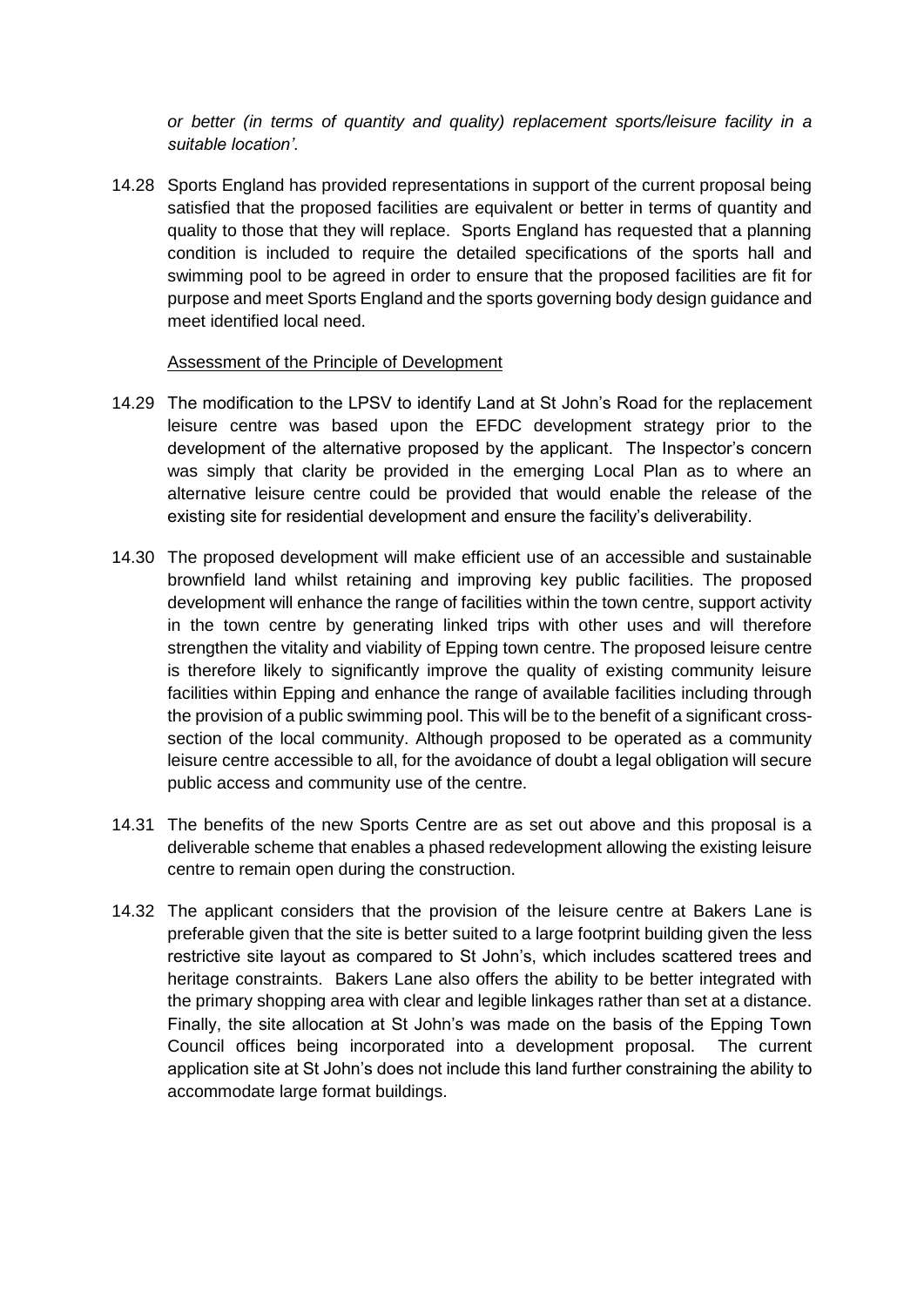*or better (in terms of quantity and quality) replacement sports/leisure facility in a suitable location'*.

14.28 Sports England has provided representations in support of the current proposal being satisfied that the proposed facilities are equivalent or better in terms of quantity and quality to those that they will replace. Sports England has requested that a planning condition is included to require the detailed specifications of the sports hall and swimming pool to be agreed in order to ensure that the proposed facilities are fit for purpose and meet Sports England and the sports governing body design guidance and meet identified local need.

#### Assessment of the Principle of Development

- 14.29 The modification to the LPSV to identify Land at St John's Road for the replacement leisure centre was based upon the EFDC development strategy prior to the development of the alternative proposed by the applicant. The Inspector's concern was simply that clarity be provided in the emerging Local Plan as to where an alternative leisure centre could be provided that would enable the release of the existing site for residential development and ensure the facility's deliverability.
- 14.30 The proposed development will make efficient use of an accessible and sustainable brownfield land whilst retaining and improving key public facilities. The proposed development will enhance the range of facilities within the town centre, support activity in the town centre by generating linked trips with other uses and will therefore strengthen the vitality and viability of Epping town centre. The proposed leisure centre is therefore likely to significantly improve the quality of existing community leisure facilities within Epping and enhance the range of available facilities including through the provision of a public swimming pool. This will be to the benefit of a significant crosssection of the local community. Although proposed to be operated as a community leisure centre accessible to all, for the avoidance of doubt a legal obligation will secure public access and community use of the centre.
- 14.31 The benefits of the new Sports Centre are as set out above and this proposal is a deliverable scheme that enables a phased redevelopment allowing the existing leisure centre to remain open during the construction.
- 14.32 The applicant considers that the provision of the leisure centre at Bakers Lane is preferable given that the site is better suited to a large footprint building given the less restrictive site layout as compared to St John's, which includes scattered trees and heritage constraints. Bakers Lane also offers the ability to be better integrated with the primary shopping area with clear and legible linkages rather than set at a distance. Finally, the site allocation at St John's was made on the basis of the Epping Town Council offices being incorporated into a development proposal. The current application site at St John's does not include this land further constraining the ability to accommodate large format buildings.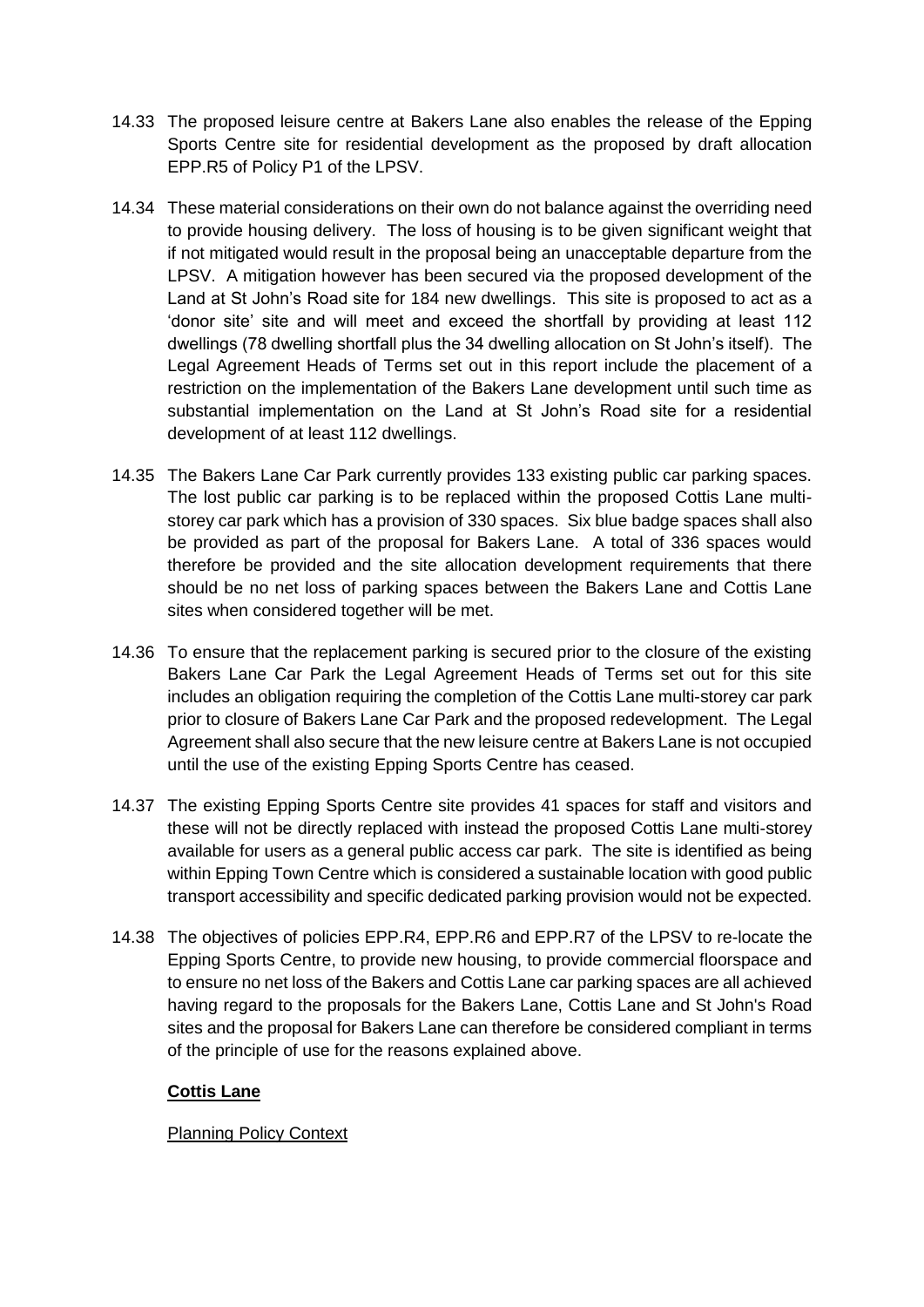- 14.33 The proposed leisure centre at Bakers Lane also enables the release of the Epping Sports Centre site for residential development as the proposed by draft allocation EPP.R5 of Policy P1 of the LPSV.
- 14.34 These material considerations on their own do not balance against the overriding need to provide housing delivery. The loss of housing is to be given significant weight that if not mitigated would result in the proposal being an unacceptable departure from the LPSV. A mitigation however has been secured via the proposed development of the Land at St John's Road site for 184 new dwellings. This site is proposed to act as a 'donor site' site and will meet and exceed the shortfall by providing at least 112 dwellings (78 dwelling shortfall plus the 34 dwelling allocation on St John's itself). The Legal Agreement Heads of Terms set out in this report include the placement of a restriction on the implementation of the Bakers Lane development until such time as substantial implementation on the Land at St John's Road site for a residential development of at least 112 dwellings.
- 14.35 The Bakers Lane Car Park currently provides 133 existing public car parking spaces. The lost public car parking is to be replaced within the proposed Cottis Lane multistorey car park which has a provision of 330 spaces. Six blue badge spaces shall also be provided as part of the proposal for Bakers Lane. A total of 336 spaces would therefore be provided and the site allocation development requirements that there should be no net loss of parking spaces between the Bakers Lane and Cottis Lane sites when considered together will be met.
- 14.36 To ensure that the replacement parking is secured prior to the closure of the existing Bakers Lane Car Park the Legal Agreement Heads of Terms set out for this site includes an obligation requiring the completion of the Cottis Lane multi-storey car park prior to closure of Bakers Lane Car Park and the proposed redevelopment. The Legal Agreement shall also secure that the new leisure centre at Bakers Lane is not occupied until the use of the existing Epping Sports Centre has ceased.
- 14.37 The existing Epping Sports Centre site provides 41 spaces for staff and visitors and these will not be directly replaced with instead the proposed Cottis Lane multi-storey available for users as a general public access car park. The site is identified as being within Epping Town Centre which is considered a sustainable location with good public transport accessibility and specific dedicated parking provision would not be expected.
- 14.38 The objectives of policies EPP.R4, EPP.R6 and EPP.R7 of the LPSV to re-locate the Epping Sports Centre, to provide new housing, to provide commercial floorspace and to ensure no net loss of the Bakers and Cottis Lane car parking spaces are all achieved having regard to the proposals for the Bakers Lane, Cottis Lane and St John's Road sites and the proposal for Bakers Lane can therefore be considered compliant in terms of the principle of use for the reasons explained above.

#### **Cottis Lane**

Planning Policy Context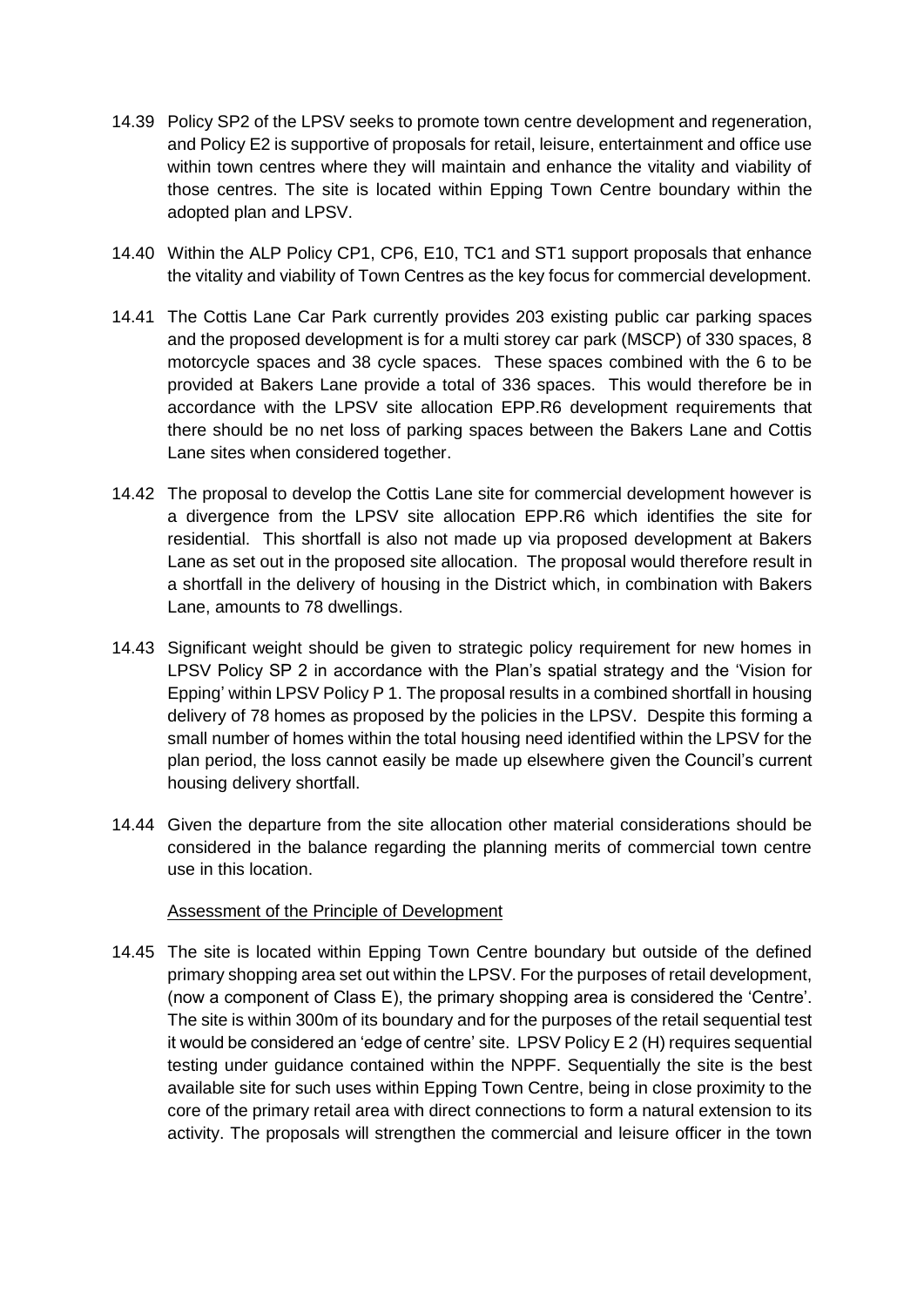- 14.39 Policy SP2 of the LPSV seeks to promote town centre development and regeneration, and Policy E2 is supportive of proposals for retail, leisure, entertainment and office use within town centres where they will maintain and enhance the vitality and viability of those centres. The site is located within Epping Town Centre boundary within the adopted plan and LPSV.
- 14.40 Within the ALP Policy CP1, CP6, E10, TC1 and ST1 support proposals that enhance the vitality and viability of Town Centres as the key focus for commercial development.
- 14.41 The Cottis Lane Car Park currently provides 203 existing public car parking spaces and the proposed development is for a multi storey car park (MSCP) of 330 spaces, 8 motorcycle spaces and 38 cycle spaces. These spaces combined with the 6 to be provided at Bakers Lane provide a total of 336 spaces. This would therefore be in accordance with the LPSV site allocation EPP.R6 development requirements that there should be no net loss of parking spaces between the Bakers Lane and Cottis Lane sites when considered together.
- 14.42 The proposal to develop the Cottis Lane site for commercial development however is a divergence from the LPSV site allocation EPP.R6 which identifies the site for residential. This shortfall is also not made up via proposed development at Bakers Lane as set out in the proposed site allocation. The proposal would therefore result in a shortfall in the delivery of housing in the District which, in combination with Bakers Lane, amounts to 78 dwellings.
- 14.43 Significant weight should be given to strategic policy requirement for new homes in LPSV Policy SP 2 in accordance with the Plan's spatial strategy and the 'Vision for Epping' within LPSV Policy P 1. The proposal results in a combined shortfall in housing delivery of 78 homes as proposed by the policies in the LPSV. Despite this forming a small number of homes within the total housing need identified within the LPSV for the plan period, the loss cannot easily be made up elsewhere given the Council's current housing delivery shortfall.
- 14.44 Given the departure from the site allocation other material considerations should be considered in the balance regarding the planning merits of commercial town centre use in this location.

#### Assessment of the Principle of Development

14.45 The site is located within Epping Town Centre boundary but outside of the defined primary shopping area set out within the LPSV. For the purposes of retail development, (now a component of Class E), the primary shopping area is considered the 'Centre'. The site is within 300m of its boundary and for the purposes of the retail sequential test it would be considered an 'edge of centre' site. LPSV Policy E 2 (H) requires sequential testing under guidance contained within the NPPF. Sequentially the site is the best available site for such uses within Epping Town Centre, being in close proximity to the core of the primary retail area with direct connections to form a natural extension to its activity. The proposals will strengthen the commercial and leisure officer in the town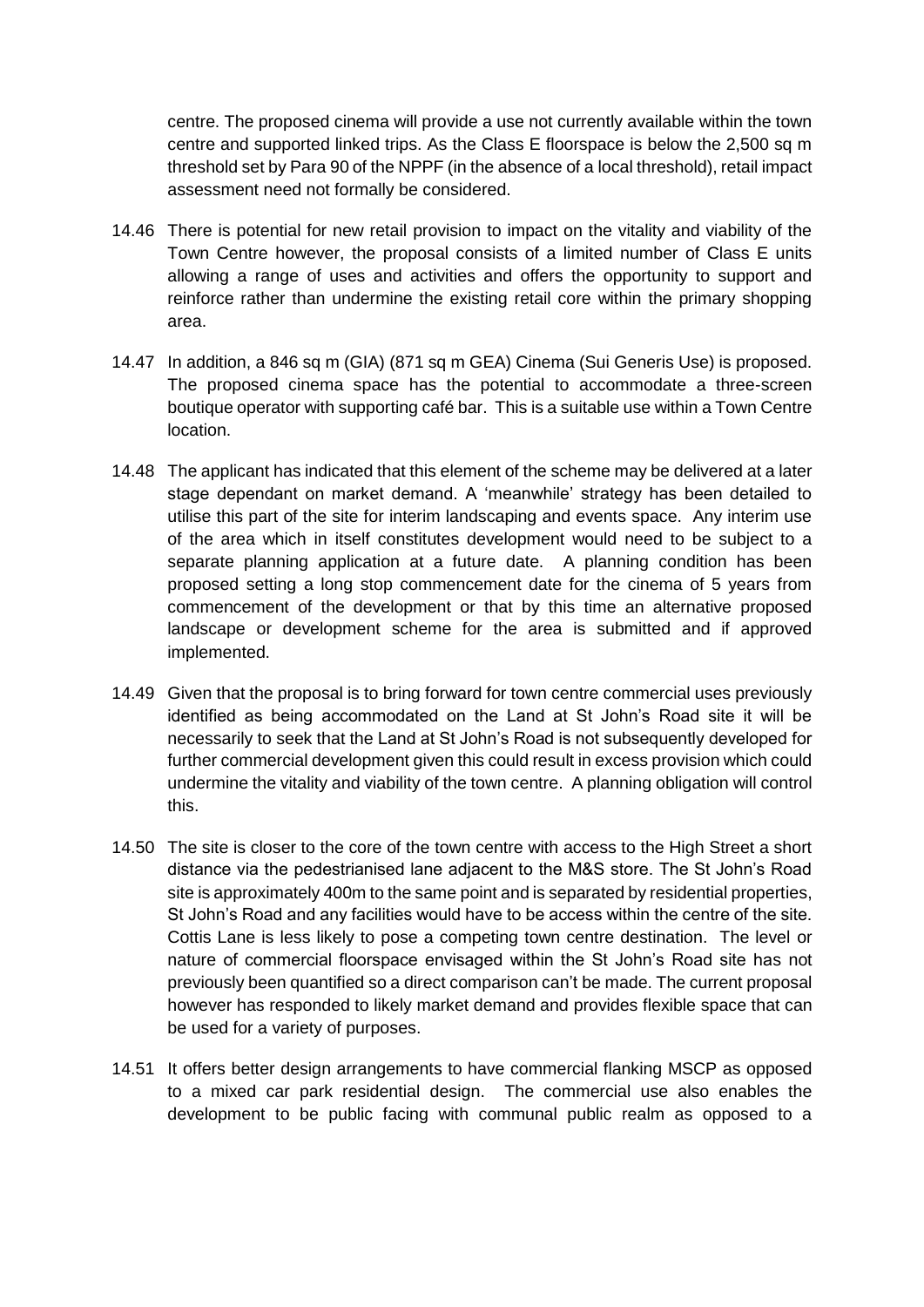centre. The proposed cinema will provide a use not currently available within the town centre and supported linked trips. As the Class E floorspace is below the 2,500 sq m threshold set by Para 90 of the NPPF (in the absence of a local threshold), retail impact assessment need not formally be considered.

- 14.46 There is potential for new retail provision to impact on the vitality and viability of the Town Centre however, the proposal consists of a limited number of Class E units allowing a range of uses and activities and offers the opportunity to support and reinforce rather than undermine the existing retail core within the primary shopping area.
- 14.47 In addition, a 846 sq m (GIA) (871 sq m GEA) Cinema (Sui Generis Use) is proposed. The proposed cinema space has the potential to accommodate a three-screen boutique operator with supporting café bar. This is a suitable use within a Town Centre location.
- 14.48 The applicant has indicated that this element of the scheme may be delivered at a later stage dependant on market demand. A 'meanwhile' strategy has been detailed to utilise this part of the site for interim landscaping and events space. Any interim use of the area which in itself constitutes development would need to be subject to a separate planning application at a future date. A planning condition has been proposed setting a long stop commencement date for the cinema of 5 years from commencement of the development or that by this time an alternative proposed landscape or development scheme for the area is submitted and if approved implemented.
- 14.49 Given that the proposal is to bring forward for town centre commercial uses previously identified as being accommodated on the Land at St John's Road site it will be necessarily to seek that the Land at St John's Road is not subsequently developed for further commercial development given this could result in excess provision which could undermine the vitality and viability of the town centre. A planning obligation will control this.
- 14.50 The site is closer to the core of the town centre with access to the High Street a short distance via the pedestrianised lane adjacent to the M&S store. The St John's Road site is approximately 400m to the same point and is separated by residential properties, St John's Road and any facilities would have to be access within the centre of the site. Cottis Lane is less likely to pose a competing town centre destination. The level or nature of commercial floorspace envisaged within the St John's Road site has not previously been quantified so a direct comparison can't be made. The current proposal however has responded to likely market demand and provides flexible space that can be used for a variety of purposes.
- 14.51 It offers better design arrangements to have commercial flanking MSCP as opposed to a mixed car park residential design. The commercial use also enables the development to be public facing with communal public realm as opposed to a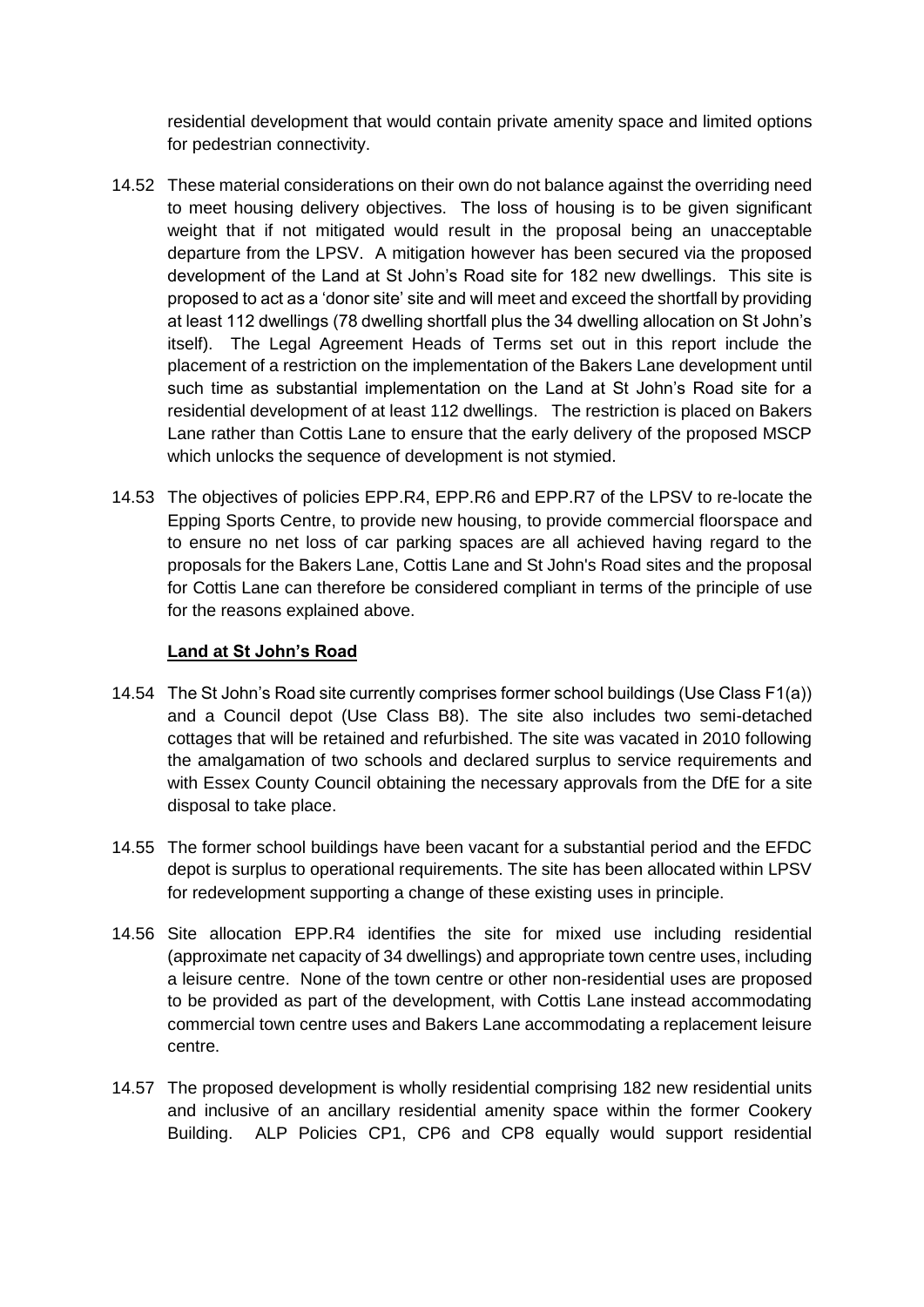residential development that would contain private amenity space and limited options for pedestrian connectivity.

- 14.52 These material considerations on their own do not balance against the overriding need to meet housing delivery objectives. The loss of housing is to be given significant weight that if not mitigated would result in the proposal being an unacceptable departure from the LPSV. A mitigation however has been secured via the proposed development of the Land at St John's Road site for 182 new dwellings. This site is proposed to act as a 'donor site' site and will meet and exceed the shortfall by providing at least 112 dwellings (78 dwelling shortfall plus the 34 dwelling allocation on St John's itself). The Legal Agreement Heads of Terms set out in this report include the placement of a restriction on the implementation of the Bakers Lane development until such time as substantial implementation on the Land at St John's Road site for a residential development of at least 112 dwellings. The restriction is placed on Bakers Lane rather than Cottis Lane to ensure that the early delivery of the proposed MSCP which unlocks the sequence of development is not stymied.
- 14.53 The objectives of policies EPP.R4, EPP.R6 and EPP.R7 of the LPSV to re-locate the Epping Sports Centre, to provide new housing, to provide commercial floorspace and to ensure no net loss of car parking spaces are all achieved having regard to the proposals for the Bakers Lane, Cottis Lane and St John's Road sites and the proposal for Cottis Lane can therefore be considered compliant in terms of the principle of use for the reasons explained above.

#### **Land at St John's Road**

- 14.54 The St John's Road site currently comprises former school buildings (Use Class F1(a)) and a Council depot (Use Class B8). The site also includes two semi-detached cottages that will be retained and refurbished. The site was vacated in 2010 following the amalgamation of two schools and declared surplus to service requirements and with Essex County Council obtaining the necessary approvals from the DfE for a site disposal to take place.
- 14.55 The former school buildings have been vacant for a substantial period and the EFDC depot is surplus to operational requirements. The site has been allocated within LPSV for redevelopment supporting a change of these existing uses in principle.
- 14.56 Site allocation EPP.R4 identifies the site for mixed use including residential (approximate net capacity of 34 dwellings) and appropriate town centre uses, including a leisure centre. None of the town centre or other non-residential uses are proposed to be provided as part of the development, with Cottis Lane instead accommodating commercial town centre uses and Bakers Lane accommodating a replacement leisure centre.
- 14.57 The proposed development is wholly residential comprising 182 new residential units and inclusive of an ancillary residential amenity space within the former Cookery Building. ALP Policies CP1, CP6 and CP8 equally would support residential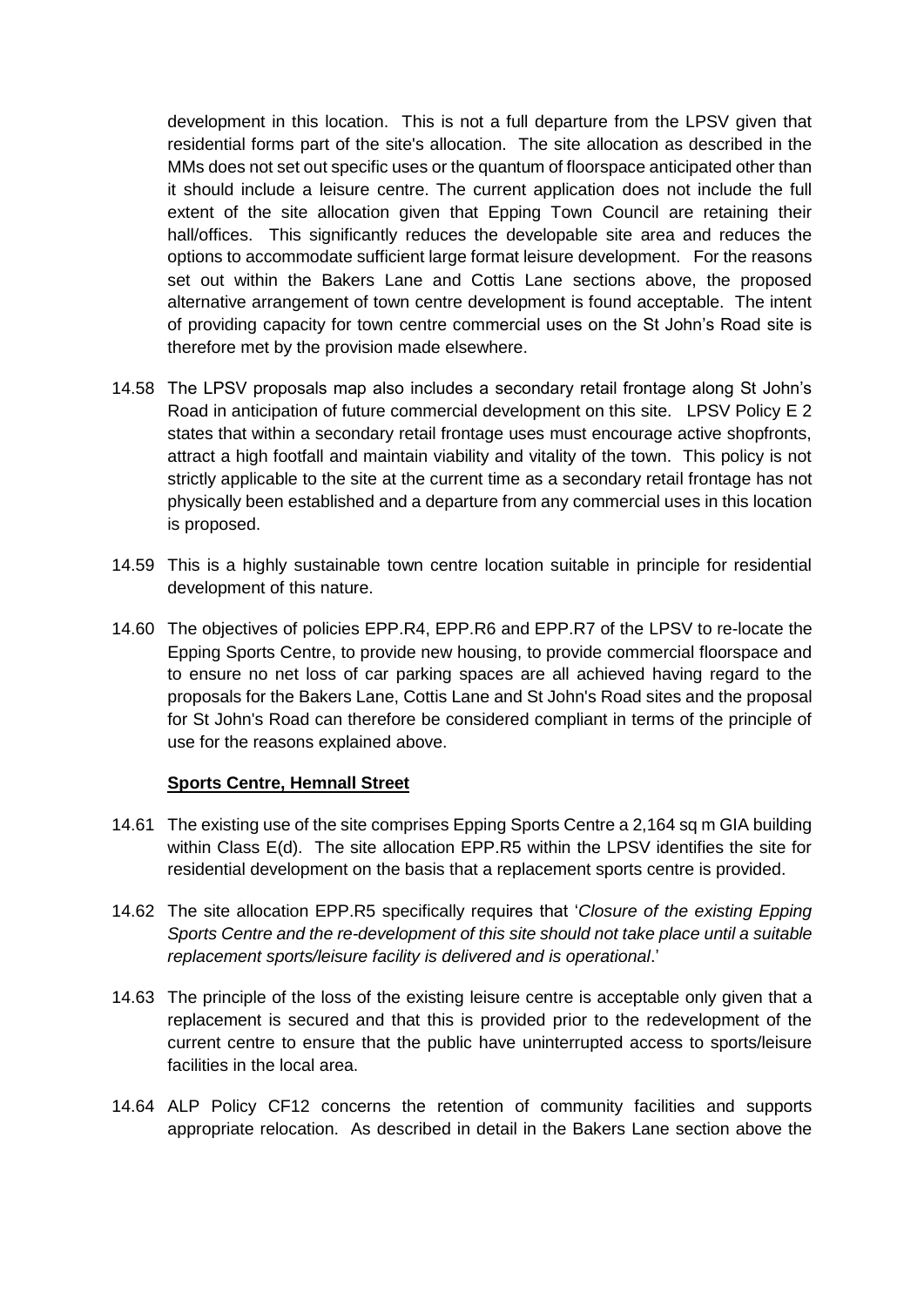development in this location. This is not a full departure from the LPSV given that residential forms part of the site's allocation. The site allocation as described in the MMs does not set out specific uses or the quantum of floorspace anticipated other than it should include a leisure centre. The current application does not include the full extent of the site allocation given that Epping Town Council are retaining their hall/offices. This significantly reduces the developable site area and reduces the options to accommodate sufficient large format leisure development. For the reasons set out within the Bakers Lane and Cottis Lane sections above, the proposed alternative arrangement of town centre development is found acceptable. The intent of providing capacity for town centre commercial uses on the St John's Road site is therefore met by the provision made elsewhere.

- 14.58 The LPSV proposals map also includes a secondary retail frontage along St John's Road in anticipation of future commercial development on this site. LPSV Policy E 2 states that within a secondary retail frontage uses must encourage active shopfronts, attract a high footfall and maintain viability and vitality of the town. This policy is not strictly applicable to the site at the current time as a secondary retail frontage has not physically been established and a departure from any commercial uses in this location is proposed.
- 14.59 This is a highly sustainable town centre location suitable in principle for residential development of this nature.
- 14.60 The objectives of policies EPP.R4, EPP.R6 and EPP.R7 of the LPSV to re-locate the Epping Sports Centre, to provide new housing, to provide commercial floorspace and to ensure no net loss of car parking spaces are all achieved having regard to the proposals for the Bakers Lane, Cottis Lane and St John's Road sites and the proposal for St John's Road can therefore be considered compliant in terms of the principle of use for the reasons explained above.

#### **Sports Centre, Hemnall Street**

- 14.61 The existing use of the site comprises Epping Sports Centre a 2,164 sq m GIA building within Class E(d). The site allocation EPP.R5 within the LPSV identifies the site for residential development on the basis that a replacement sports centre is provided.
- 14.62 The site allocation EPP.R5 specifically requires that '*Closure of the existing Epping Sports Centre and the re-development of this site should not take place until a suitable replacement sports/leisure facility is delivered and is operational*.'
- 14.63 The principle of the loss of the existing leisure centre is acceptable only given that a replacement is secured and that this is provided prior to the redevelopment of the current centre to ensure that the public have uninterrupted access to sports/leisure facilities in the local area.
- 14.64 ALP Policy CF12 concerns the retention of community facilities and supports appropriate relocation. As described in detail in the Bakers Lane section above the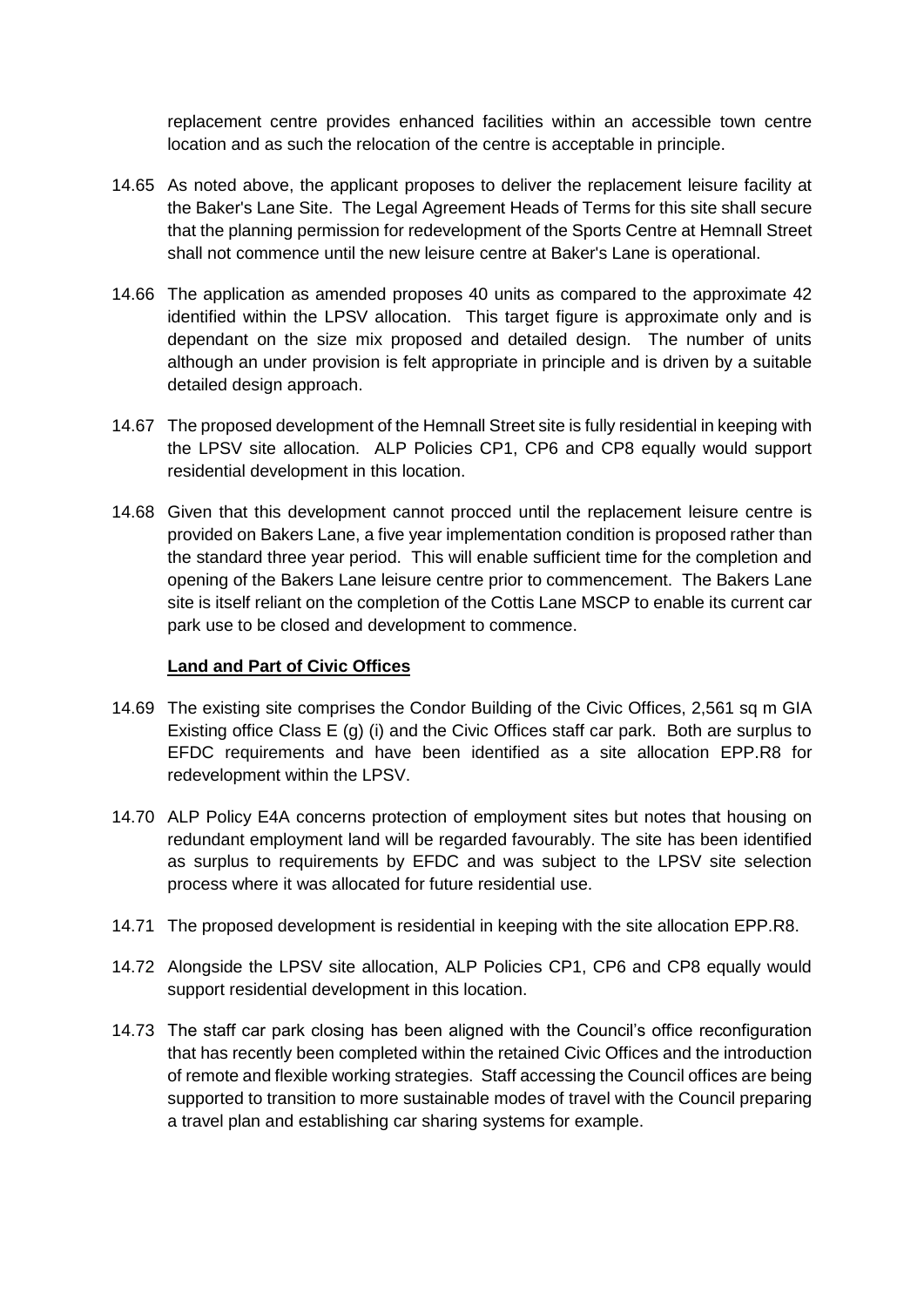replacement centre provides enhanced facilities within an accessible town centre location and as such the relocation of the centre is acceptable in principle.

- 14.65 As noted above, the applicant proposes to deliver the replacement leisure facility at the Baker's Lane Site. The Legal Agreement Heads of Terms for this site shall secure that the planning permission for redevelopment of the Sports Centre at Hemnall Street shall not commence until the new leisure centre at Baker's Lane is operational.
- 14.66 The application as amended proposes 40 units as compared to the approximate 42 identified within the LPSV allocation. This target figure is approximate only and is dependant on the size mix proposed and detailed design. The number of units although an under provision is felt appropriate in principle and is driven by a suitable detailed design approach.
- 14.67 The proposed development of the Hemnall Street site is fully residential in keeping with the LPSV site allocation. ALP Policies CP1, CP6 and CP8 equally would support residential development in this location.
- 14.68 Given that this development cannot procced until the replacement leisure centre is provided on Bakers Lane, a five year implementation condition is proposed rather than the standard three year period. This will enable sufficient time for the completion and opening of the Bakers Lane leisure centre prior to commencement. The Bakers Lane site is itself reliant on the completion of the Cottis Lane MSCP to enable its current car park use to be closed and development to commence.

#### **Land and Part of Civic Offices**

- 14.69 The existing site comprises the Condor Building of the Civic Offices, 2,561 sq m GIA Existing office Class E (g) (i) and the Civic Offices staff car park. Both are surplus to EFDC requirements and have been identified as a site allocation EPP.R8 for redevelopment within the LPSV.
- 14.70 ALP Policy E4A concerns protection of employment sites but notes that housing on redundant employment land will be regarded favourably. The site has been identified as surplus to requirements by EFDC and was subject to the LPSV site selection process where it was allocated for future residential use.
- 14.71 The proposed development is residential in keeping with the site allocation EPP.R8.
- 14.72 Alongside the LPSV site allocation, ALP Policies CP1, CP6 and CP8 equally would support residential development in this location.
- 14.73 The staff car park closing has been aligned with the Council's office reconfiguration that has recently been completed within the retained Civic Offices and the introduction of remote and flexible working strategies. Staff accessing the Council offices are being supported to transition to more sustainable modes of travel with the Council preparing a travel plan and establishing car sharing systems for example.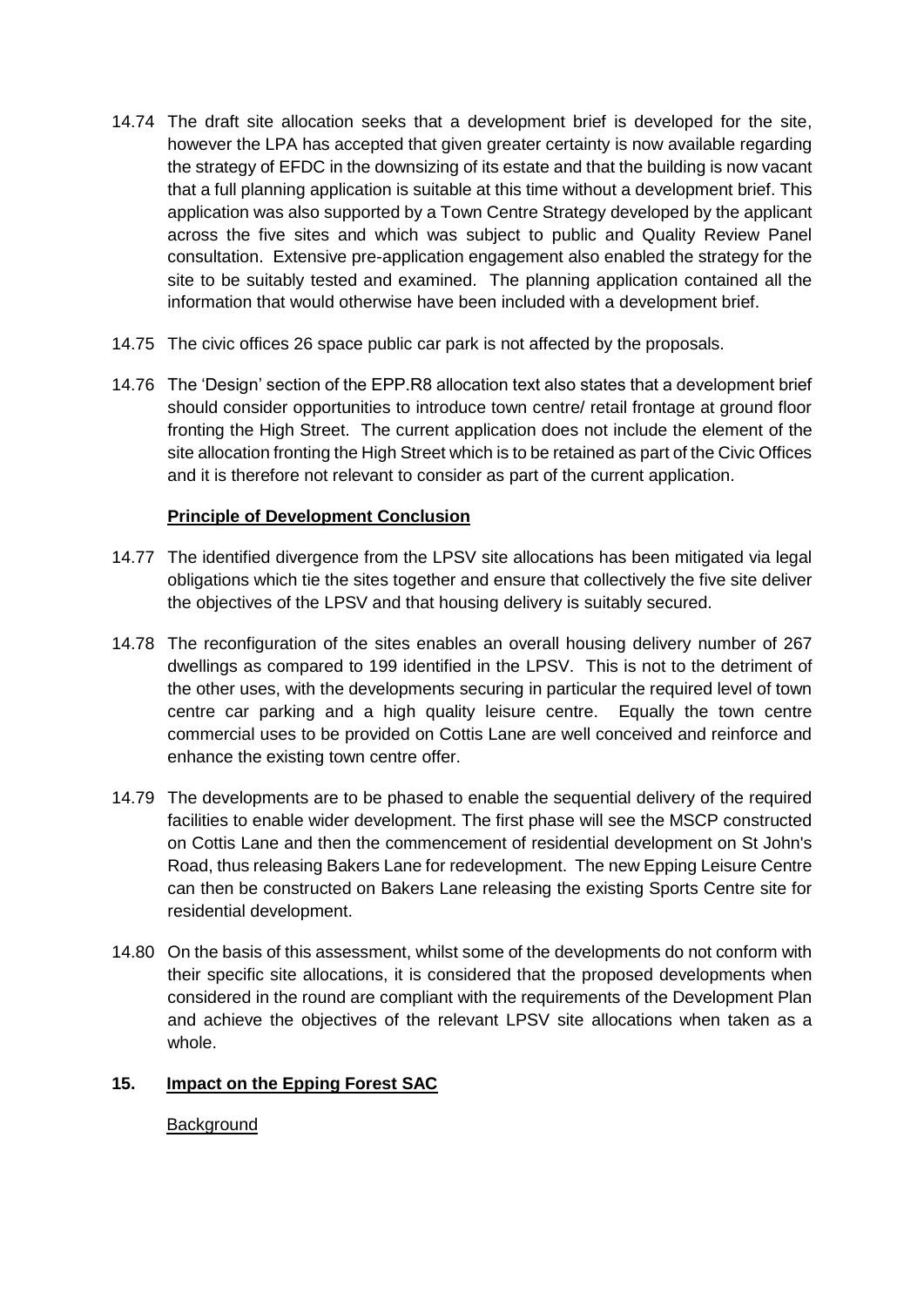- 14.74 The draft site allocation seeks that a development brief is developed for the site, however the LPA has accepted that given greater certainty is now available regarding the strategy of EFDC in the downsizing of its estate and that the building is now vacant that a full planning application is suitable at this time without a development brief. This application was also supported by a Town Centre Strategy developed by the applicant across the five sites and which was subject to public and Quality Review Panel consultation. Extensive pre-application engagement also enabled the strategy for the site to be suitably tested and examined. The planning application contained all the information that would otherwise have been included with a development brief.
- 14.75 The civic offices 26 space public car park is not affected by the proposals.
- 14.76 The 'Design' section of the EPP.R8 allocation text also states that a development brief should consider opportunities to introduce town centre/ retail frontage at ground floor fronting the High Street. The current application does not include the element of the site allocation fronting the High Street which is to be retained as part of the Civic Offices and it is therefore not relevant to consider as part of the current application.

## **Principle of Development Conclusion**

- 14.77 The identified divergence from the LPSV site allocations has been mitigated via legal obligations which tie the sites together and ensure that collectively the five site deliver the objectives of the LPSV and that housing delivery is suitably secured.
- 14.78 The reconfiguration of the sites enables an overall housing delivery number of 267 dwellings as compared to 199 identified in the LPSV. This is not to the detriment of the other uses, with the developments securing in particular the required level of town centre car parking and a high quality leisure centre. Equally the town centre commercial uses to be provided on Cottis Lane are well conceived and reinforce and enhance the existing town centre offer.
- 14.79 The developments are to be phased to enable the sequential delivery of the required facilities to enable wider development. The first phase will see the MSCP constructed on Cottis Lane and then the commencement of residential development on St John's Road, thus releasing Bakers Lane for redevelopment. The new Epping Leisure Centre can then be constructed on Bakers Lane releasing the existing Sports Centre site for residential development.
- 14.80 On the basis of this assessment, whilst some of the developments do not conform with their specific site allocations, it is considered that the proposed developments when considered in the round are compliant with the requirements of the Development Plan and achieve the objectives of the relevant LPSV site allocations when taken as a whole.

## **15. Impact on the Epping Forest SAC**

#### **Background**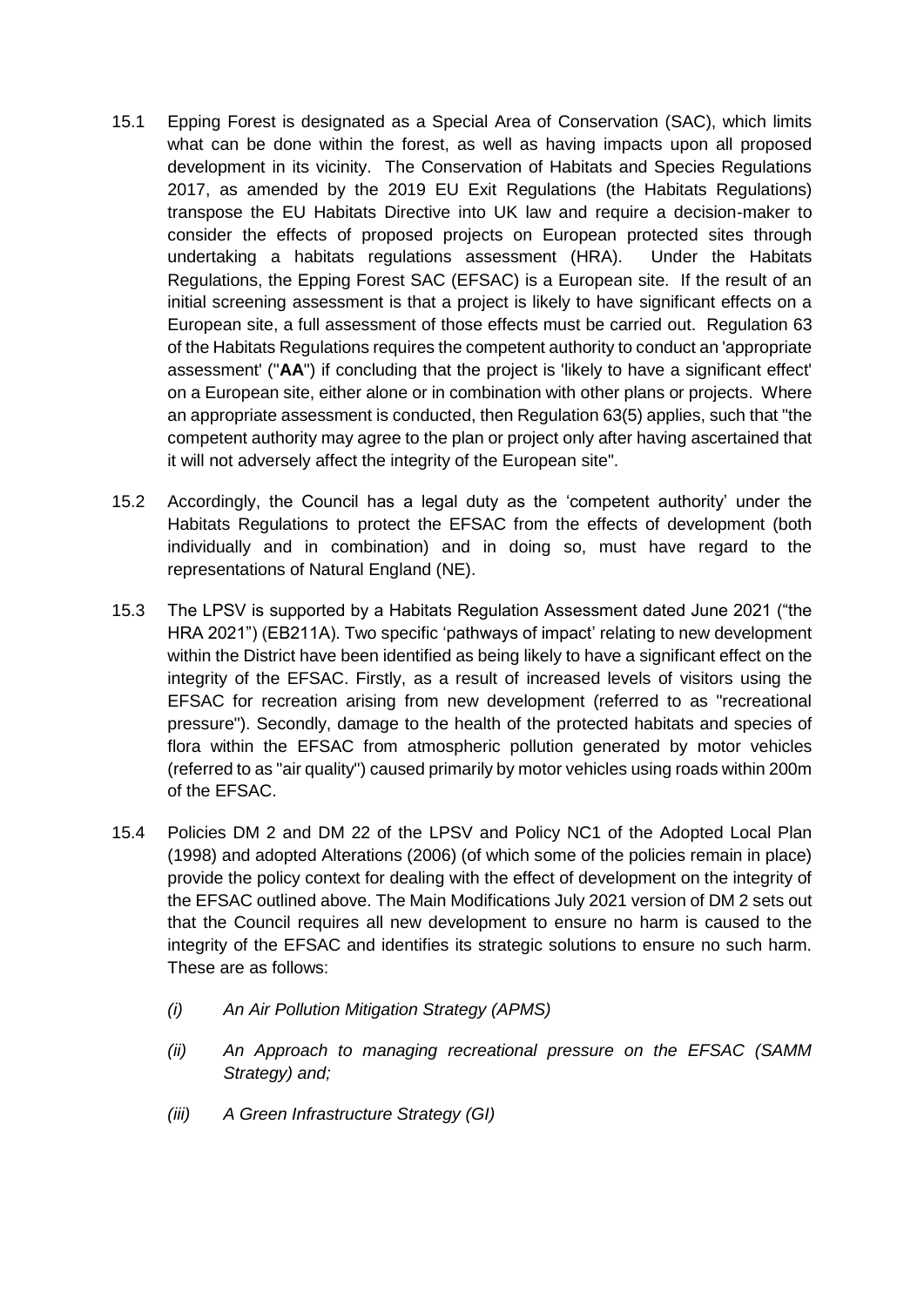- 15.1 Epping Forest is designated as a Special Area of Conservation (SAC), which limits what can be done within the forest, as well as having impacts upon all proposed development in its vicinity. The Conservation of Habitats and Species Regulations 2017, as amended by the 2019 EU Exit Regulations (the Habitats Regulations) transpose the EU Habitats Directive into UK law and require a decision-maker to consider the effects of proposed projects on European protected sites through undertaking a habitats regulations assessment (HRA). Under the Habitats Regulations, the Epping Forest SAC (EFSAC) is a European site. If the result of an initial screening assessment is that a project is likely to have significant effects on a European site, a full assessment of those effects must be carried out. Regulation 63 of the Habitats Regulations requires the competent authority to conduct an 'appropriate assessment' ("**AA**") if concluding that the project is 'likely to have a significant effect' on a European site, either alone or in combination with other plans or projects. Where an appropriate assessment is conducted, then Regulation 63(5) applies, such that "the competent authority may agree to the plan or project only after having ascertained that it will not adversely affect the integrity of the European site".
- 15.2 Accordingly, the Council has a legal duty as the 'competent authority' under the Habitats Regulations to protect the EFSAC from the effects of development (both individually and in combination) and in doing so, must have regard to the representations of Natural England (NE).
- 15.3 The LPSV is supported by a Habitats Regulation Assessment dated June 2021 ("the HRA 2021") (EB211A). Two specific 'pathways of impact' relating to new development within the District have been identified as being likely to have a significant effect on the integrity of the EFSAC. Firstly, as a result of increased levels of visitors using the EFSAC for recreation arising from new development (referred to as "recreational pressure"). Secondly, damage to the health of the protected habitats and species of flora within the EFSAC from atmospheric pollution generated by motor vehicles (referred to as "air quality") caused primarily by motor vehicles using roads within 200m of the EFSAC.
- 15.4 Policies DM 2 and DM 22 of the LPSV and Policy NC1 of the Adopted Local Plan (1998) and adopted Alterations (2006) (of which some of the policies remain in place) provide the policy context for dealing with the effect of development on the integrity of the EFSAC outlined above. The Main Modifications July 2021 version of DM 2 sets out that the Council requires all new development to ensure no harm is caused to the integrity of the EFSAC and identifies its strategic solutions to ensure no such harm. These are as follows:
	- *(i) An Air Pollution Mitigation Strategy (APMS)*
	- *(ii) An Approach to managing recreational pressure on the EFSAC (SAMM Strategy) and;*
	- *(iii) A Green Infrastructure Strategy (GI)*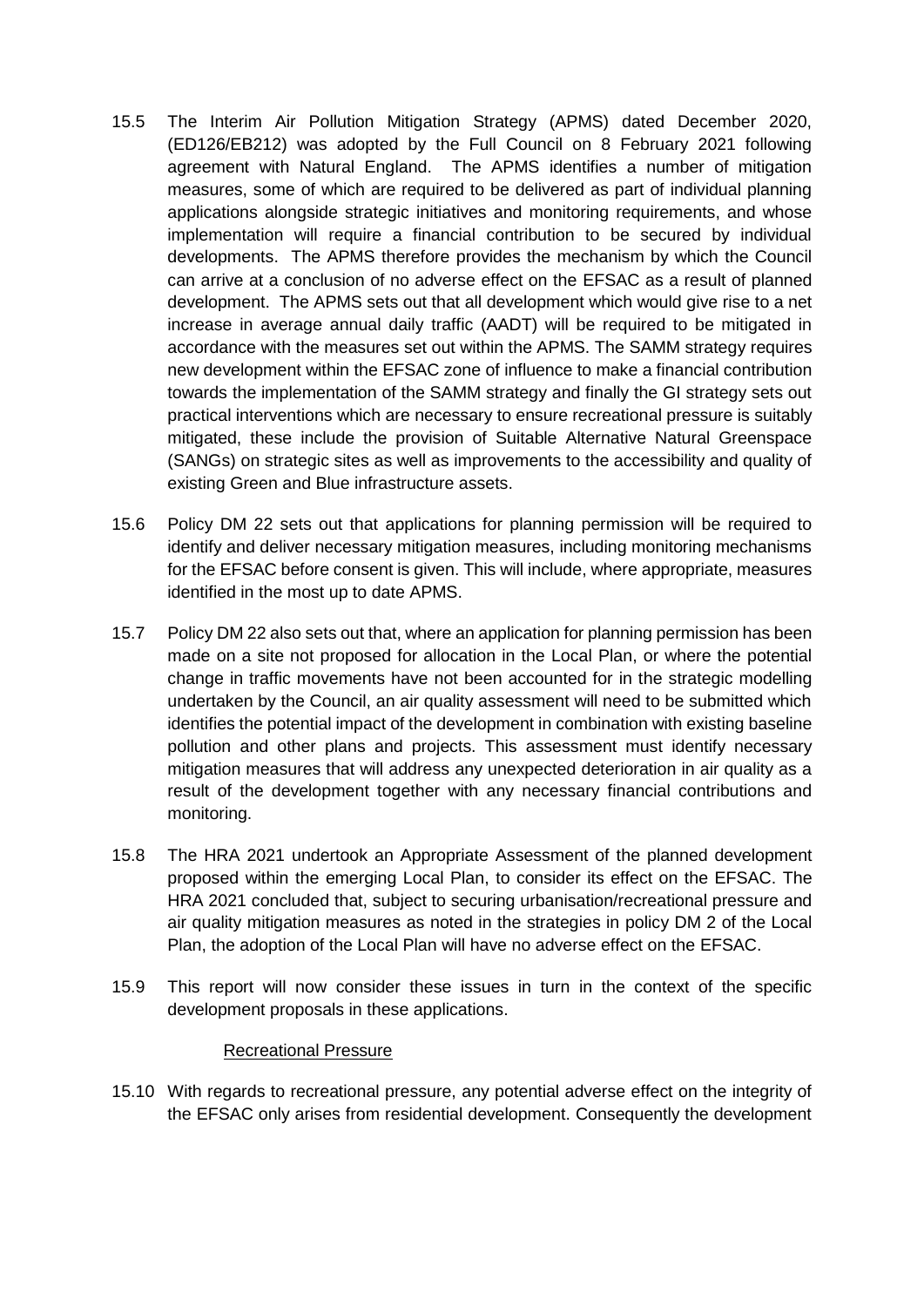- 15.5 The Interim Air Pollution Mitigation Strategy (APMS) dated December 2020, (ED126/EB212) was adopted by the Full Council on 8 February 2021 following agreement with Natural England. The APMS identifies a number of mitigation measures, some of which are required to be delivered as part of individual planning applications alongside strategic initiatives and monitoring requirements, and whose implementation will require a financial contribution to be secured by individual developments. The APMS therefore provides the mechanism by which the Council can arrive at a conclusion of no adverse effect on the EFSAC as a result of planned development. The APMS sets out that all development which would give rise to a net increase in average annual daily traffic (AADT) will be required to be mitigated in accordance with the measures set out within the APMS. The SAMM strategy requires new development within the EFSAC zone of influence to make a financial contribution towards the implementation of the SAMM strategy and finally the GI strategy sets out practical interventions which are necessary to ensure recreational pressure is suitably mitigated, these include the provision of Suitable Alternative Natural Greenspace (SANGs) on strategic sites as well as improvements to the accessibility and quality of existing Green and Blue infrastructure assets.
- 15.6 Policy DM 22 sets out that applications for planning permission will be required to identify and deliver necessary mitigation measures, including monitoring mechanisms for the EFSAC before consent is given. This will include, where appropriate, measures identified in the most up to date APMS.
- 15.7 Policy DM 22 also sets out that, where an application for planning permission has been made on a site not proposed for allocation in the Local Plan, or where the potential change in traffic movements have not been accounted for in the strategic modelling undertaken by the Council, an air quality assessment will need to be submitted which identifies the potential impact of the development in combination with existing baseline pollution and other plans and projects. This assessment must identify necessary mitigation measures that will address any unexpected deterioration in air quality as a result of the development together with any necessary financial contributions and monitoring.
- 15.8 The HRA 2021 undertook an Appropriate Assessment of the planned development proposed within the emerging Local Plan, to consider its effect on the EFSAC. The HRA 2021 concluded that, subject to securing urbanisation/recreational pressure and air quality mitigation measures as noted in the strategies in policy DM 2 of the Local Plan, the adoption of the Local Plan will have no adverse effect on the EFSAC.
- 15.9 This report will now consider these issues in turn in the context of the specific development proposals in these applications.

#### Recreational Pressure

15.10 With regards to recreational pressure, any potential adverse effect on the integrity of the EFSAC only arises from residential development. Consequently the development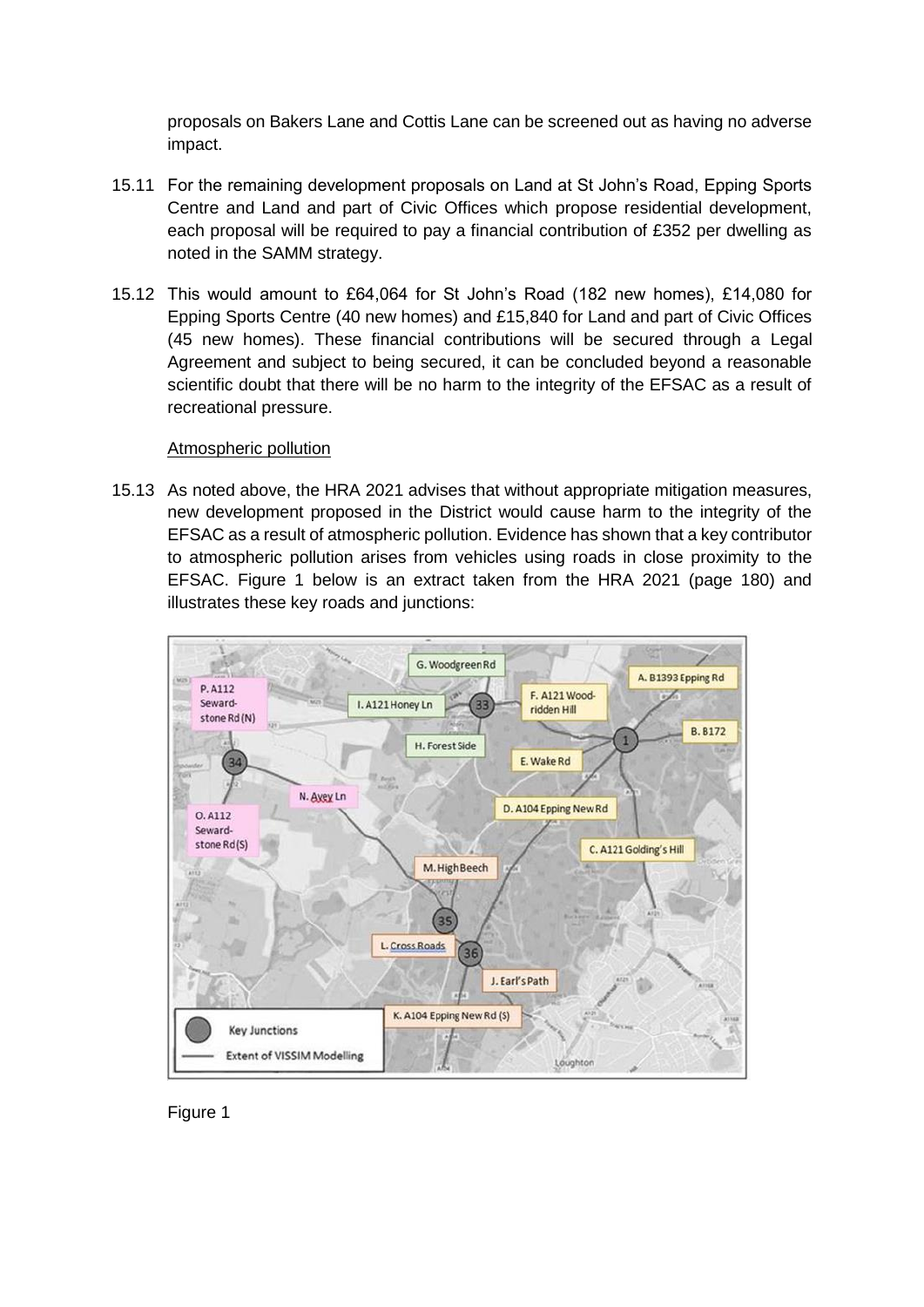proposals on Bakers Lane and Cottis Lane can be screened out as having no adverse impact.

- 15.11 For the remaining development proposals on Land at St John's Road, Epping Sports Centre and Land and part of Civic Offices which propose residential development, each proposal will be required to pay a financial contribution of £352 per dwelling as noted in the SAMM strategy.
- 15.12 This would amount to £64,064 for St John's Road (182 new homes), £14,080 for Epping Sports Centre (40 new homes) and £15,840 for Land and part of Civic Offices (45 new homes). These financial contributions will be secured through a Legal Agreement and subject to being secured, it can be concluded beyond a reasonable scientific doubt that there will be no harm to the integrity of the EFSAC as a result of recreational pressure.

#### Atmospheric pollution

15.13 As noted above, the HRA 2021 advises that without appropriate mitigation measures, new development proposed in the District would cause harm to the integrity of the EFSAC as a result of atmospheric pollution. Evidence has shown that a key contributor to atmospheric pollution arises from vehicles using roads in close proximity to the EFSAC. Figure 1 below is an extract taken from the HRA 2021 (page 180) and illustrates these key roads and junctions:



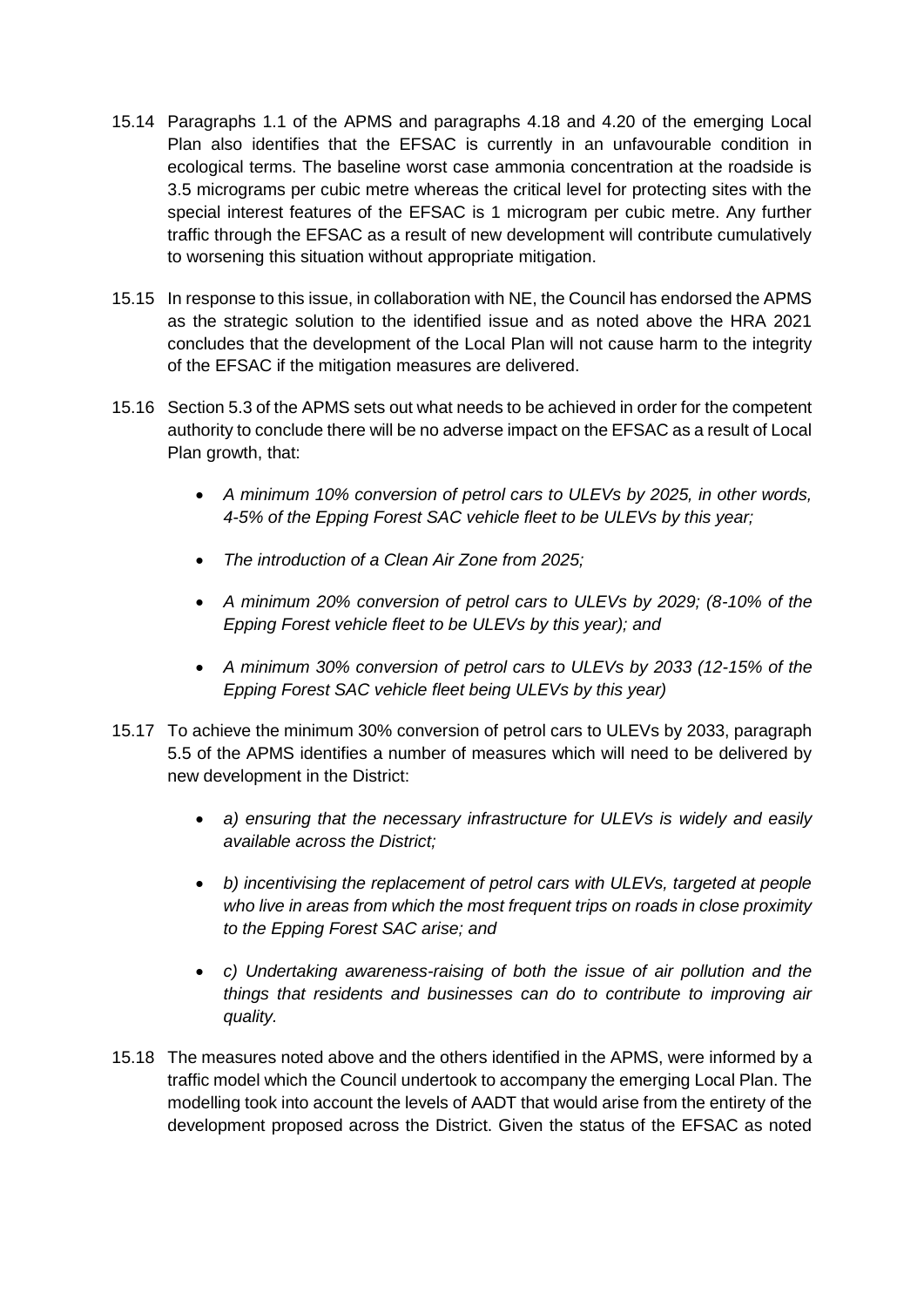- 15.14 Paragraphs 1.1 of the APMS and paragraphs 4.18 and 4.20 of the emerging Local Plan also identifies that the EFSAC is currently in an unfavourable condition in ecological terms. The baseline worst case ammonia concentration at the roadside is 3.5 micrograms per cubic metre whereas the critical level for protecting sites with the special interest features of the EFSAC is 1 microgram per cubic metre. Any further traffic through the EFSAC as a result of new development will contribute cumulatively to worsening this situation without appropriate mitigation.
- 15.15 In response to this issue, in collaboration with NE, the Council has endorsed the APMS as the strategic solution to the identified issue and as noted above the HRA 2021 concludes that the development of the Local Plan will not cause harm to the integrity of the EFSAC if the mitigation measures are delivered.
- 15.16 Section 5.3 of the APMS sets out what needs to be achieved in order for the competent authority to conclude there will be no adverse impact on the EFSAC as a result of Local Plan growth, that:
	- *A minimum 10% conversion of petrol cars to ULEVs by 2025, in other words, 4-5% of the Epping Forest SAC vehicle fleet to be ULEVs by this year;*
	- *The introduction of a Clean Air Zone from 2025;*
	- *A minimum 20% conversion of petrol cars to ULEVs by 2029; (8-10% of the Epping Forest vehicle fleet to be ULEVs by this year); and*
	- *A minimum 30% conversion of petrol cars to ULEVs by 2033 (12-15% of the Epping Forest SAC vehicle fleet being ULEVs by this year)*
- 15.17 To achieve the minimum 30% conversion of petrol cars to ULEVs by 2033, paragraph 5.5 of the APMS identifies a number of measures which will need to be delivered by new development in the District:
	- *a) ensuring that the necessary infrastructure for ULEVs is widely and easily available across the District;*
	- *b) incentivising the replacement of petrol cars with ULEVs, targeted at people who live in areas from which the most frequent trips on roads in close proximity to the Epping Forest SAC arise; and*
	- *c) Undertaking awareness-raising of both the issue of air pollution and the things that residents and businesses can do to contribute to improving air quality.*
- 15.18 The measures noted above and the others identified in the APMS, were informed by a traffic model which the Council undertook to accompany the emerging Local Plan. The modelling took into account the levels of AADT that would arise from the entirety of the development proposed across the District. Given the status of the EFSAC as noted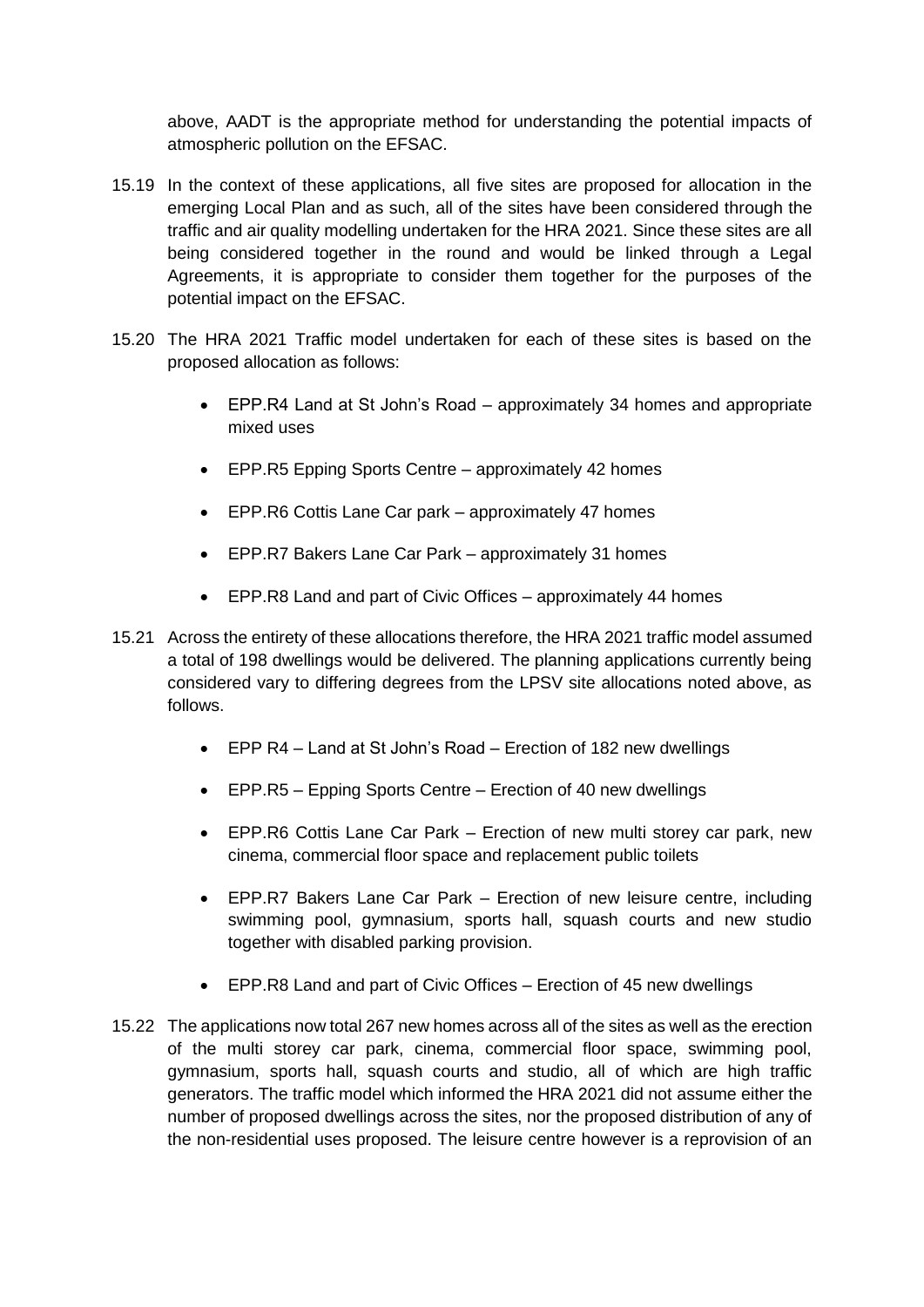above, AADT is the appropriate method for understanding the potential impacts of atmospheric pollution on the EFSAC.

- 15.19 In the context of these applications, all five sites are proposed for allocation in the emerging Local Plan and as such, all of the sites have been considered through the traffic and air quality modelling undertaken for the HRA 2021. Since these sites are all being considered together in the round and would be linked through a Legal Agreements, it is appropriate to consider them together for the purposes of the potential impact on the EFSAC.
- 15.20 The HRA 2021 Traffic model undertaken for each of these sites is based on the proposed allocation as follows:
	- EPP.R4 Land at St John's Road approximately 34 homes and appropriate mixed uses
	- EPP.R5 Epping Sports Centre approximately 42 homes
	- EPP.R6 Cottis Lane Car park approximately 47 homes
	- EPP.R7 Bakers Lane Car Park approximately 31 homes
	- EPP.R8 Land and part of Civic Offices approximately 44 homes
- 15.21 Across the entirety of these allocations therefore, the HRA 2021 traffic model assumed a total of 198 dwellings would be delivered. The planning applications currently being considered vary to differing degrees from the LPSV site allocations noted above, as follows.
	- EPP R4 Land at St John's Road Erection of 182 new dwellings
	- EPP.R5 Epping Sports Centre Erection of 40 new dwellings
	- EPP.R6 Cottis Lane Car Park Erection of new multi storey car park, new cinema, commercial floor space and replacement public toilets
	- EPP.R7 Bakers Lane Car Park Erection of new leisure centre, including swimming pool, gymnasium, sports hall, squash courts and new studio together with disabled parking provision.
	- EPP.R8 Land and part of Civic Offices Erection of 45 new dwellings
- 15.22 The applications now total 267 new homes across all of the sites as well as the erection of the multi storey car park, cinema, commercial floor space, swimming pool, gymnasium, sports hall, squash courts and studio, all of which are high traffic generators. The traffic model which informed the HRA 2021 did not assume either the number of proposed dwellings across the sites, nor the proposed distribution of any of the non-residential uses proposed. The leisure centre however is a reprovision of an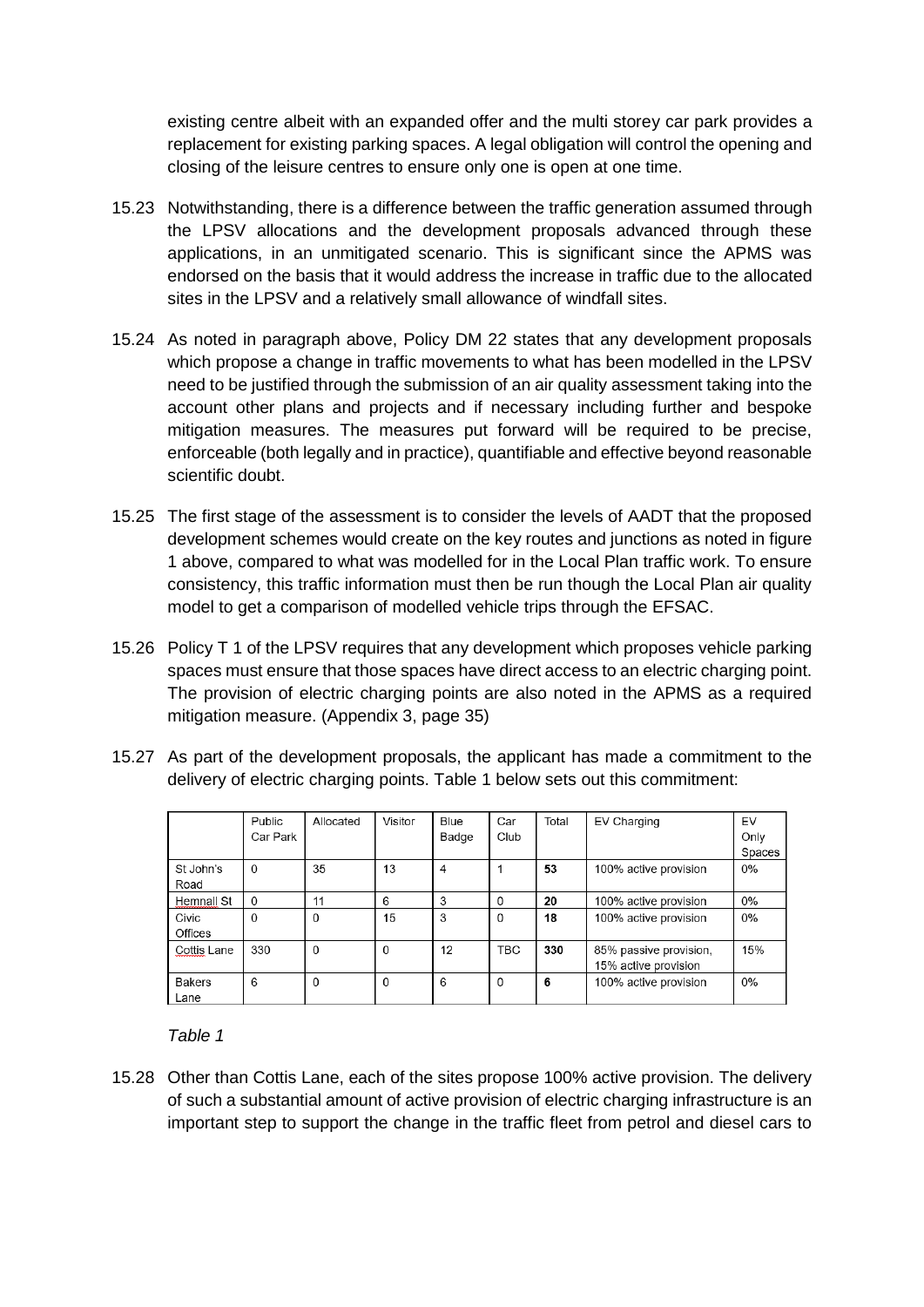existing centre albeit with an expanded offer and the multi storey car park provides a replacement for existing parking spaces. A legal obligation will control the opening and closing of the leisure centres to ensure only one is open at one time.

- 15.23 Notwithstanding, there is a difference between the traffic generation assumed through the LPSV allocations and the development proposals advanced through these applications, in an unmitigated scenario. This is significant since the APMS was endorsed on the basis that it would address the increase in traffic due to the allocated sites in the LPSV and a relatively small allowance of windfall sites.
- 15.24 As noted in paragraph above, Policy DM 22 states that any development proposals which propose a change in traffic movements to what has been modelled in the LPSV need to be justified through the submission of an air quality assessment taking into the account other plans and projects and if necessary including further and bespoke mitigation measures. The measures put forward will be required to be precise, enforceable (both legally and in practice), quantifiable and effective beyond reasonable scientific doubt.
- 15.25 The first stage of the assessment is to consider the levels of AADT that the proposed development schemes would create on the key routes and junctions as noted in figure 1 above, compared to what was modelled for in the Local Plan traffic work. To ensure consistency, this traffic information must then be run though the Local Plan air quality model to get a comparison of modelled vehicle trips through the EFSAC.
- 15.26 Policy T 1 of the LPSV requires that any development which proposes vehicle parking spaces must ensure that those spaces have direct access to an electric charging point. The provision of electric charging points are also noted in the APMS as a required mitigation measure. (Appendix 3, page 35)
- 15.27 As part of the development proposals, the applicant has made a commitment to the delivery of electric charging points. Table 1 below sets out this commitment:

|               | Public      | Allocated | Visitor  | Blue  | Car        | Total | EV Charging            | EV     |
|---------------|-------------|-----------|----------|-------|------------|-------|------------------------|--------|
|               | Car Park    |           |          | Badge | Club       |       |                        | Only   |
|               |             |           |          |       |            |       |                        | Spaces |
| St John's     | $\mathbf 0$ | 35        | 13       | 4     |            | 53    | 100% active provision  | 0%     |
| Road          |             |           |          |       |            |       |                        |        |
| Hemnall St    | $\mathbf 0$ | 11        | 6        | 3     | 0          | 20    | 100% active provision  | 0%     |
| Civic         | $\Omega$    | $\Omega$  | 15       | 3     | 0          | 18    | 100% active provision  | 0%     |
| Offices       |             |           |          |       |            |       |                        |        |
| Cottis Lane   | 330         | $\Omega$  | $\Omega$ | 12    | <b>TBC</b> | 330   | 85% passive provision, | 15%    |
|               |             |           |          |       |            |       | 15% active provision   |        |
| <b>Bakers</b> | 6           | $\Omega$  | $\Omega$ | 6     | $\Omega$   | 6     | 100% active provision  | 0%     |
| Lane          |             |           |          |       |            |       |                        |        |

*Table 1*

15.28 Other than Cottis Lane, each of the sites propose 100% active provision. The delivery of such a substantial amount of active provision of electric charging infrastructure is an important step to support the change in the traffic fleet from petrol and diesel cars to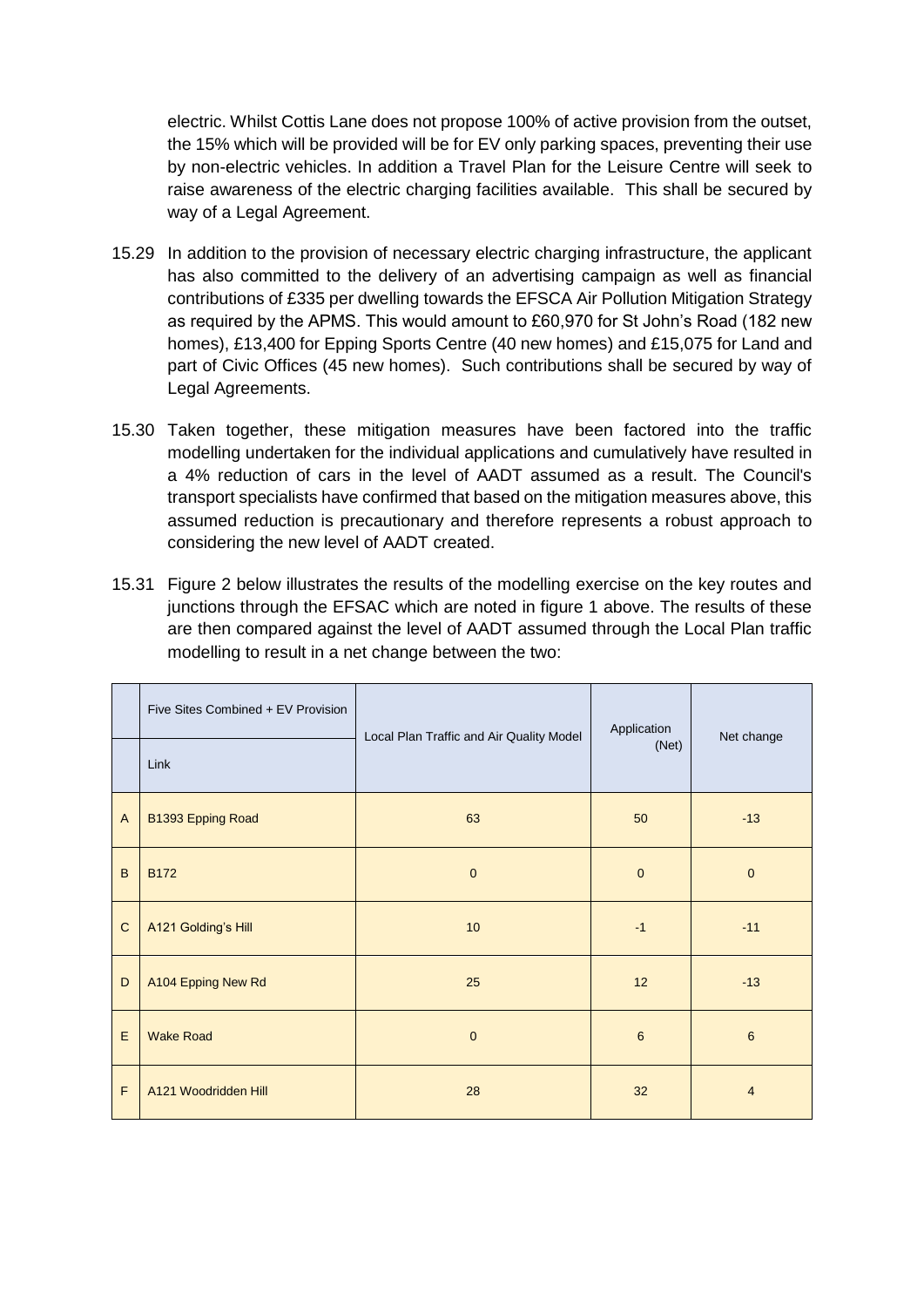electric. Whilst Cottis Lane does not propose 100% of active provision from the outset, the 15% which will be provided will be for EV only parking spaces, preventing their use by non-electric vehicles. In addition a Travel Plan for the Leisure Centre will seek to raise awareness of the electric charging facilities available. This shall be secured by way of a Legal Agreement.

- 15.29 In addition to the provision of necessary electric charging infrastructure, the applicant has also committed to the delivery of an advertising campaign as well as financial contributions of £335 per dwelling towards the EFSCA Air Pollution Mitigation Strategy as required by the APMS. This would amount to £60,970 for St John's Road (182 new homes), £13,400 for Epping Sports Centre (40 new homes) and £15,075 for Land and part of Civic Offices (45 new homes). Such contributions shall be secured by way of Legal Agreements.
- 15.30 Taken together, these mitigation measures have been factored into the traffic modelling undertaken for the individual applications and cumulatively have resulted in a 4% reduction of cars in the level of AADT assumed as a result. The Council's transport specialists have confirmed that based on the mitigation measures above, this assumed reduction is precautionary and therefore represents a robust approach to considering the new level of AADT created.
- 15.31 Figure 2 below illustrates the results of the modelling exercise on the key routes and junctions through the EFSAC which are noted in figure 1 above. The results of these are then compared against the level of AADT assumed through the Local Plan traffic modelling to result in a net change between the two:

|                | Five Sites Combined + EV Provision<br>Link | Local Plan Traffic and Air Quality Model | Application<br>(Net) | Net change     |
|----------------|--------------------------------------------|------------------------------------------|----------------------|----------------|
| $\overline{A}$ | B1393 Epping Road                          | 63                                       | 50                   | $-13$          |
| B              | <b>B172</b>                                | $\mathbf{0}$                             | $\mathbf 0$          | $\mathbf 0$    |
| $\mathbf C$    | A121 Golding's Hill                        | 10                                       | $-1$                 | $-11$          |
| D              | A104 Epping New Rd                         | 25                                       | 12                   | $-13$          |
| E              | <b>Wake Road</b>                           | $\mathbf 0$                              | 6                    | $6\phantom{1}$ |
| F              | A121 Woodridden Hill                       | 28                                       | 32                   | $\overline{4}$ |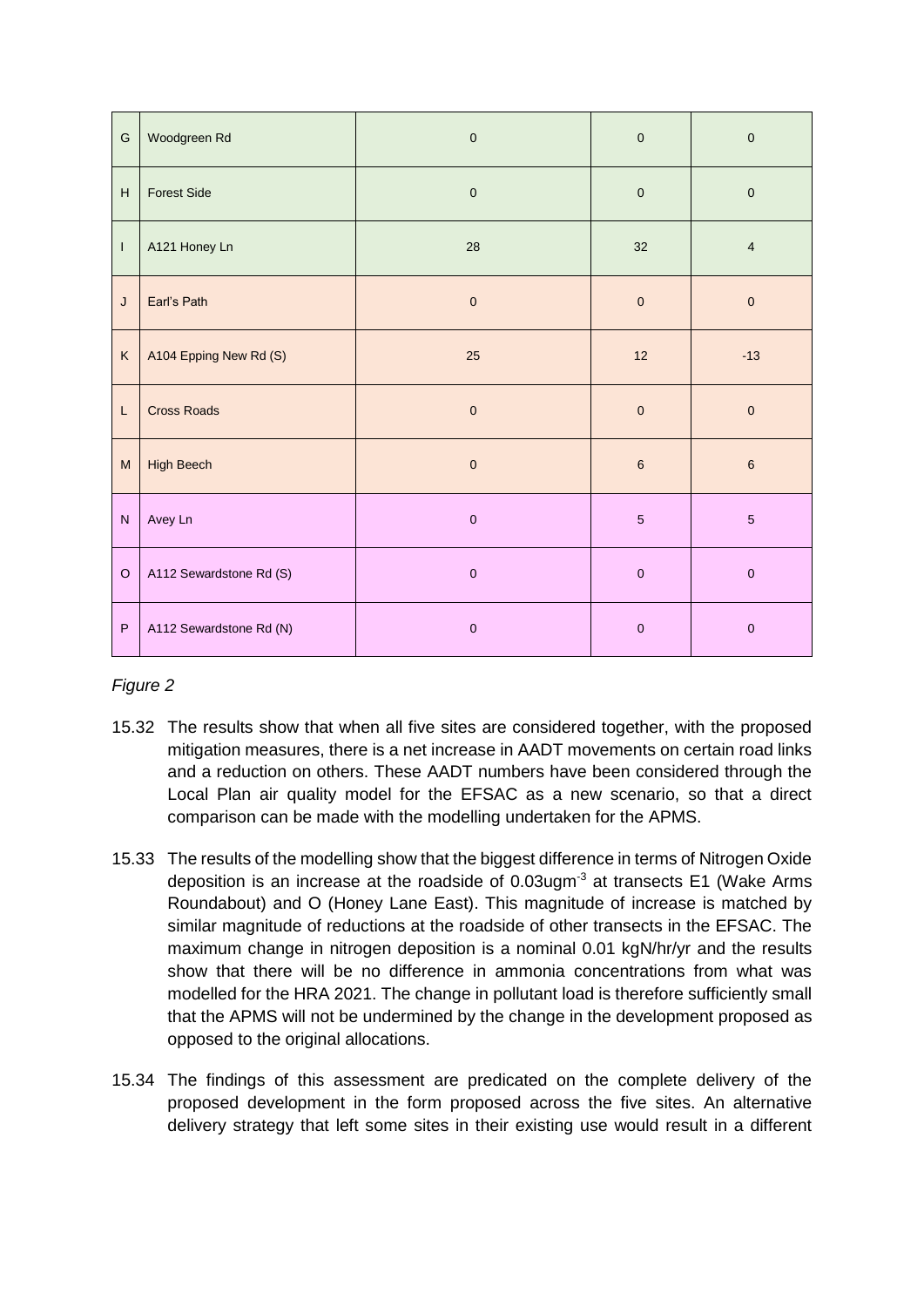| ${\mathsf G}$                                                                                              | Woodgreen Rd            | $\pmb{0}$   | $\pmb{0}$   | $\pmb{0}$  |
|------------------------------------------------------------------------------------------------------------|-------------------------|-------------|-------------|------------|
| н                                                                                                          | <b>Forest Side</b>      | $\mathbf 0$ | $\pmb{0}$   | $\pmb{0}$  |
| $\mathsf{I}$                                                                                               | A121 Honey Ln           | 28          | 32          | $\sqrt{4}$ |
| J                                                                                                          | Earl's Path             | $\pmb{0}$   | $\pmb{0}$   | $\pmb{0}$  |
| K                                                                                                          | A104 Epping New Rd (S)  | 25          | 12          | $-13$      |
| L                                                                                                          | <b>Cross Roads</b>      | $\mathbf 0$ | $\pmb{0}$   | $\pmb{0}$  |
| $\mathsf{M}% _{T}=\mathsf{M}_{T}\!\left( a,b\right) ,\ \mathsf{M}_{T}=\mathsf{M}_{T}\!\left( a,b\right) ,$ | <b>High Beech</b>       | $\pmb{0}$   | $\,6\,$     | $\,6\,$    |
| ${\sf N}$                                                                                                  | Avey Ln                 | $\pmb{0}$   | $\sqrt{5}$  | $\sqrt{5}$ |
| $\circ$                                                                                                    | A112 Sewardstone Rd (S) | $\mathbf 0$ | $\mathbf 0$ | $\pmb{0}$  |
| $\mathsf P$                                                                                                | A112 Sewardstone Rd (N) | $\pmb{0}$   | $\mathbf 0$ | $\pmb{0}$  |

## *Figure 2*

- 15.32 The results show that when all five sites are considered together, with the proposed mitigation measures, there is a net increase in AADT movements on certain road links and a reduction on others. These AADT numbers have been considered through the Local Plan air quality model for the EFSAC as a new scenario, so that a direct comparison can be made with the modelling undertaken for the APMS.
- 15.33 The results of the modelling show that the biggest difference in terms of Nitrogen Oxide deposition is an increase at the roadside of  $0.03$ ugm<sup>-3</sup> at transects E1 (Wake Arms Roundabout) and O (Honey Lane East). This magnitude of increase is matched by similar magnitude of reductions at the roadside of other transects in the EFSAC. The maximum change in nitrogen deposition is a nominal 0.01 kgN/hr/vr and the results show that there will be no difference in ammonia concentrations from what was modelled for the HRA 2021. The change in pollutant load is therefore sufficiently small that the APMS will not be undermined by the change in the development proposed as opposed to the original allocations.
- 15.34 The findings of this assessment are predicated on the complete delivery of the proposed development in the form proposed across the five sites. An alternative delivery strategy that left some sites in their existing use would result in a different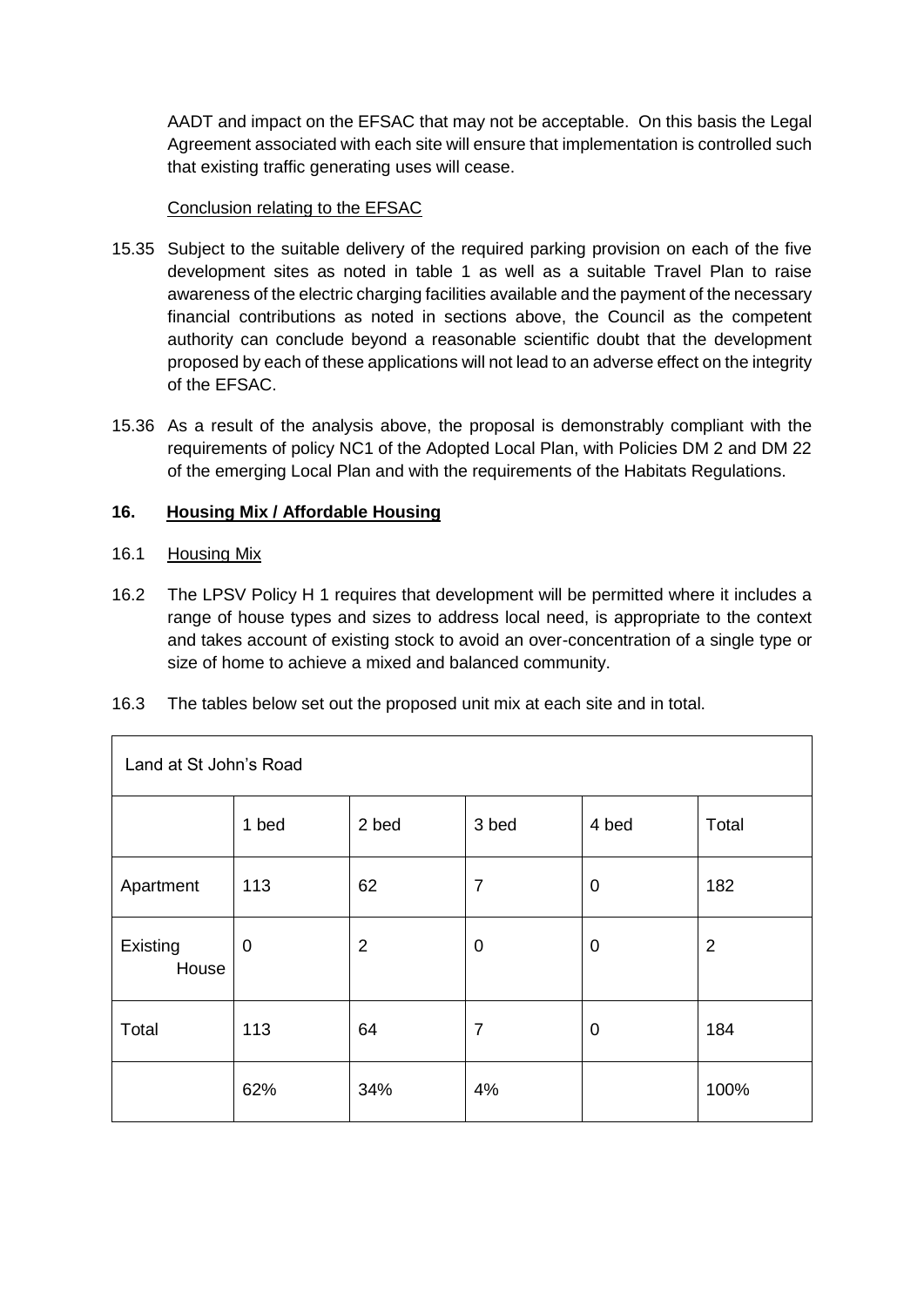AADT and impact on the EFSAC that may not be acceptable. On this basis the Legal Agreement associated with each site will ensure that implementation is controlled such that existing traffic generating uses will cease.

## Conclusion relating to the EFSAC

- 15.35 Subject to the suitable delivery of the required parking provision on each of the five development sites as noted in table 1 as well as a suitable Travel Plan to raise awareness of the electric charging facilities available and the payment of the necessary financial contributions as noted in sections above, the Council as the competent authority can conclude beyond a reasonable scientific doubt that the development proposed by each of these applications will not lead to an adverse effect on the integrity of the EFSAC.
- 15.36 As a result of the analysis above, the proposal is demonstrably compliant with the requirements of policy NC1 of the Adopted Local Plan, with Policies DM 2 and DM 22 of the emerging Local Plan and with the requirements of the Habitats Regulations.

### **16. Housing Mix / Affordable Housing**

### 16.1 Housing Mix

- 16.2 The LPSV Policy H 1 requires that development will be permitted where it includes a range of house types and sizes to address local need, is appropriate to the context and takes account of existing stock to avoid an over-concentration of a single type or size of home to achieve a mixed and balanced community.
- 16.3 The tables below set out the proposed unit mix at each site and in total.

| Land at St John's Road |             |                |                |             |                |  |
|------------------------|-------------|----------------|----------------|-------------|----------------|--|
|                        | 1 bed       | 2 bed          | 3 bed          | 4 bed       | Total          |  |
| Apartment              | 113         | 62             | $\overline{7}$ | $\mathbf 0$ | 182            |  |
| Existing<br>House      | $\mathbf 0$ | $\overline{2}$ | 0              | $\mathbf 0$ | $\overline{2}$ |  |
| Total                  | 113         | 64             | 7              | $\mathbf 0$ | 184            |  |
|                        | 62%         | 34%            | 4%             |             | 100%           |  |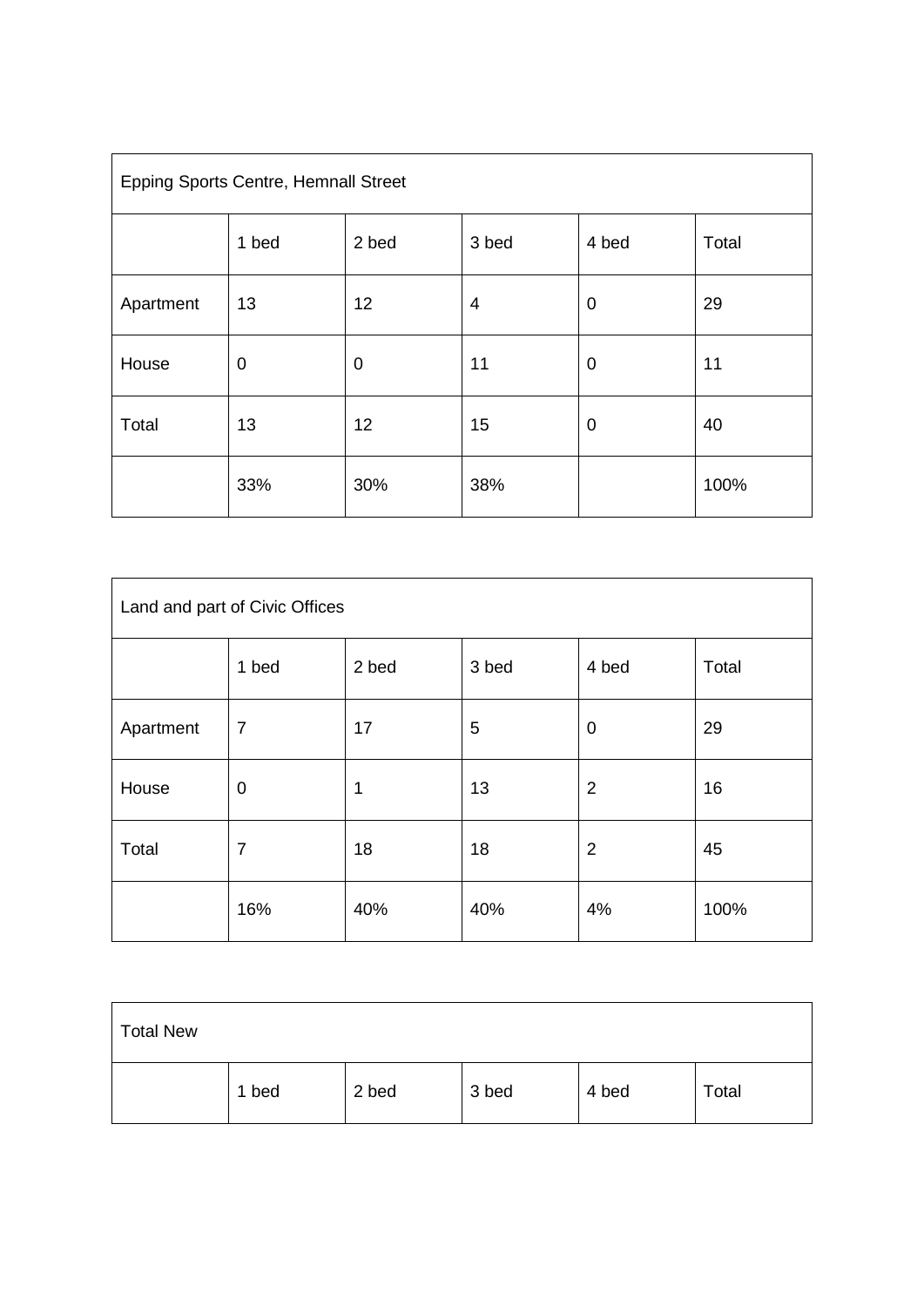| <b>Epping Sports Centre, Hemnall Street</b> |       |             |       |             |       |  |
|---------------------------------------------|-------|-------------|-------|-------------|-------|--|
|                                             | 1 bed | 2 bed       | 3 bed | 4 bed       | Total |  |
| Apartment                                   | 13    | 12          | 4     | 0           | 29    |  |
| House                                       | 0     | $\mathbf 0$ | 11    | $\mathbf 0$ | 11    |  |
| Total                                       | 13    | 12          | 15    | 0           | 40    |  |
|                                             | 33%   | 30%         | 38%   |             | 100%  |  |

| Land and part of Civic Offices |                |       |       |                |       |
|--------------------------------|----------------|-------|-------|----------------|-------|
|                                | 1 bed          | 2 bed | 3 bed | 4 bed          | Total |
| Apartment                      | $\overline{7}$ | 17    | 5     | $\mathbf 0$    | 29    |
| House                          | $\mathbf 0$    | 1     | 13    | $\overline{2}$ | 16    |
| Total                          | $\overline{7}$ | 18    | 18    | $\overline{2}$ | 45    |
|                                | 16%            | 40%   | 40%   | 4%             | 100%  |

| <b>Total New</b> |       |       |       |       |       |
|------------------|-------|-------|-------|-------|-------|
|                  | 1 bed | 2 bed | 3 bed | 4 bed | Total |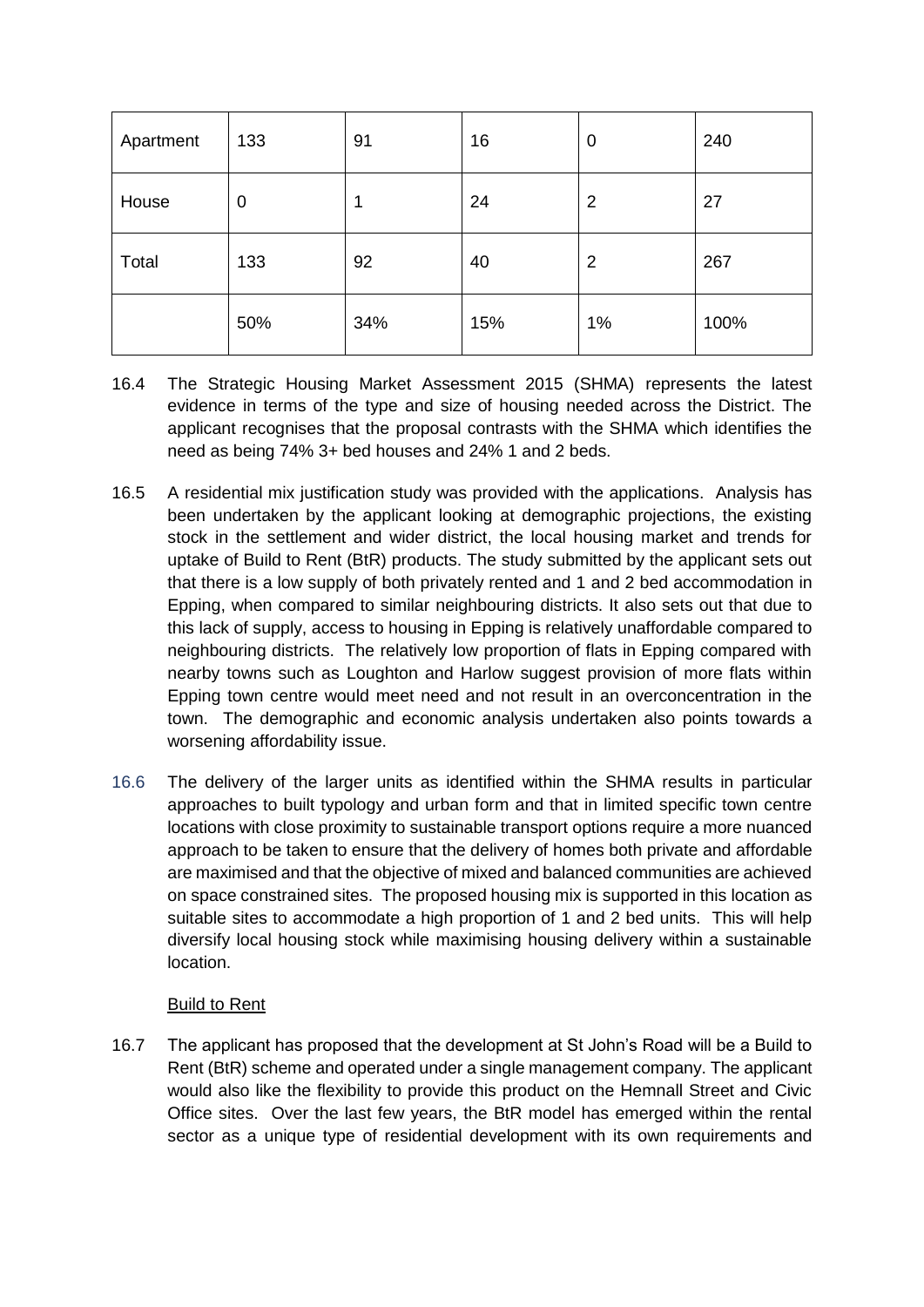| Apartment | 133            | 91  | 16  | 0              | 240  |
|-----------|----------------|-----|-----|----------------|------|
| House     | $\overline{0}$ |     | 24  | $\overline{2}$ | 27   |
| Total     | 133            | 92  | 40  | 2              | 267  |
|           | 50%            | 34% | 15% | 1%             | 100% |

- 16.4 The Strategic Housing Market Assessment 2015 (SHMA) represents the latest evidence in terms of the type and size of housing needed across the District. The applicant recognises that the proposal contrasts with the SHMA which identifies the need as being 74% 3+ bed houses and 24% 1 and 2 beds.
- 16.5 A residential mix justification study was provided with the applications. Analysis has been undertaken by the applicant looking at demographic projections, the existing stock in the settlement and wider district, the local housing market and trends for uptake of Build to Rent (BtR) products. The study submitted by the applicant sets out that there is a low supply of both privately rented and 1 and 2 bed accommodation in Epping, when compared to similar neighbouring districts. It also sets out that due to this lack of supply, access to housing in Epping is relatively unaffordable compared to neighbouring districts. The relatively low proportion of flats in Epping compared with nearby towns such as Loughton and Harlow suggest provision of more flats within Epping town centre would meet need and not result in an overconcentration in the town. The demographic and economic analysis undertaken also points towards a worsening affordability issue.
- 16.6 The delivery of the larger units as identified within the SHMA results in particular approaches to built typology and urban form and that in limited specific town centre locations with close proximity to sustainable transport options require a more nuanced approach to be taken to ensure that the delivery of homes both private and affordable are maximised and that the objective of mixed and balanced communities are achieved on space constrained sites. The proposed housing mix is supported in this location as suitable sites to accommodate a high proportion of 1 and 2 bed units. This will help diversify local housing stock while maximising housing delivery within a sustainable location.

### Build to Rent

16.7 The applicant has proposed that the development at St John's Road will be a Build to Rent (BtR) scheme and operated under a single management company. The applicant would also like the flexibility to provide this product on the Hemnall Street and Civic Office sites. Over the last few years, the BtR model has emerged within the rental sector as a unique type of residential development with its own requirements and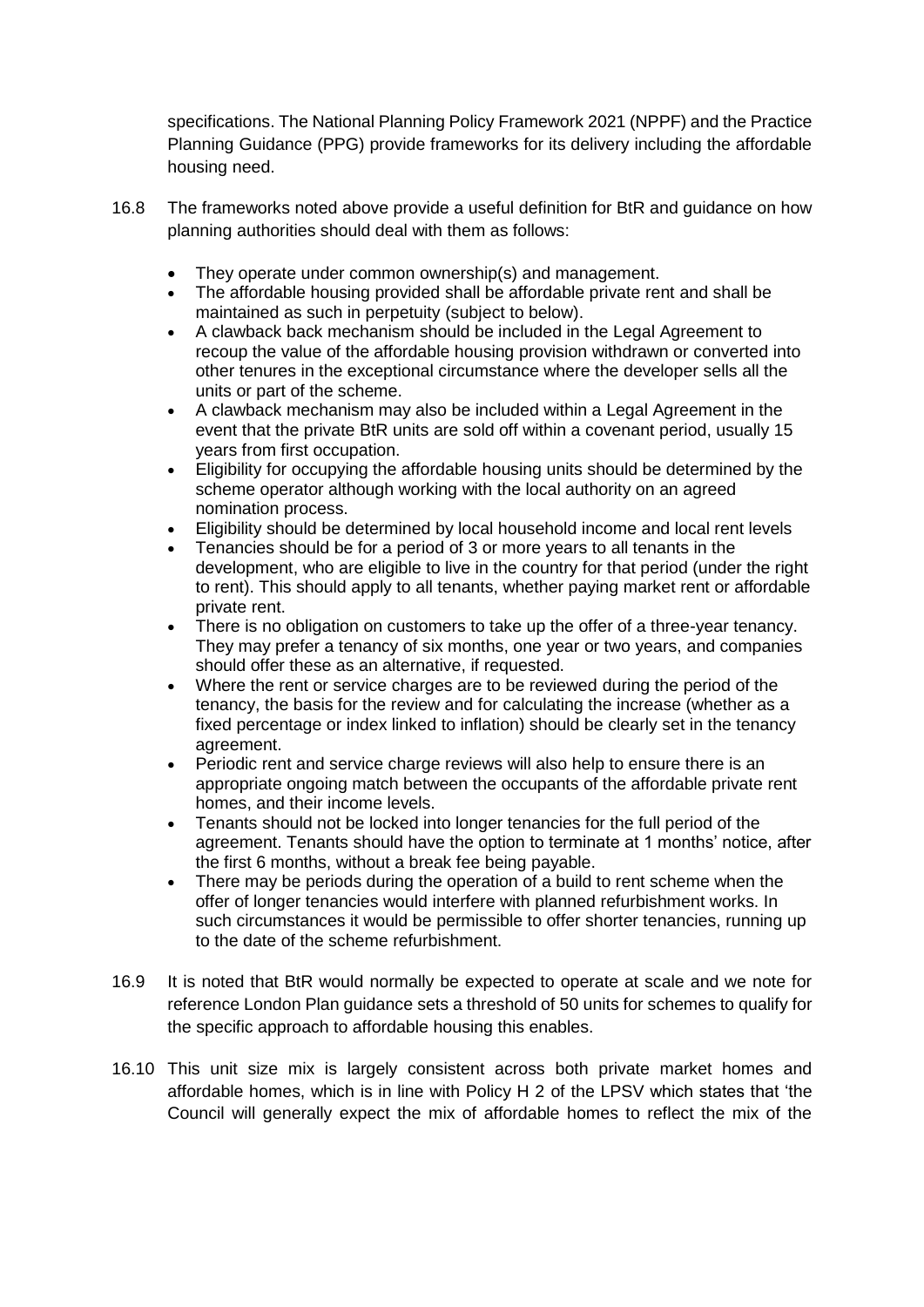specifications. The National Planning Policy Framework 2021 (NPPF) and the Practice Planning Guidance (PPG) provide frameworks for its delivery including the affordable housing need.

- 16.8 The frameworks noted above provide a useful definition for BtR and guidance on how planning authorities should deal with them as follows:
	- They operate under common ownership(s) and management.
	- The affordable housing provided shall be affordable private rent and shall be maintained as such in perpetuity (subject to below).
	- A clawback back mechanism should be included in the Legal Agreement to recoup the value of the affordable housing provision withdrawn or converted into other tenures in the exceptional circumstance where the developer sells all the units or part of the scheme.
	- A clawback mechanism may also be included within a Legal Agreement in the event that the private BtR units are sold off within a covenant period, usually 15 years from first occupation.
	- Eligibility for occupying the affordable housing units should be determined by the scheme operator although working with the local authority on an agreed nomination process.
	- Eligibility should be determined by local household income and local rent levels
	- Tenancies should be for a period of 3 or more years to all tenants in the development, who are eligible to live in the country for that period (under the right to rent). This should apply to all tenants, whether paying market rent or affordable private rent.
	- There is no obligation on customers to take up the offer of a three-year tenancy. They may prefer a tenancy of six months, one year or two years, and companies should offer these as an alternative, if requested.
	- Where the rent or service charges are to be reviewed during the period of the tenancy, the basis for the review and for calculating the increase (whether as a fixed percentage or index linked to inflation) should be clearly set in the tenancy agreement.
	- Periodic rent and service charge reviews will also help to ensure there is an appropriate ongoing match between the occupants of the affordable private rent homes, and their income levels.
	- Tenants should not be locked into longer tenancies for the full period of the agreement. Tenants should have the option to terminate at 1 months' notice, after the first 6 months, without a break fee being payable.
	- There may be periods during the operation of a build to rent scheme when the offer of longer tenancies would interfere with planned refurbishment works. In such circumstances it would be permissible to offer shorter tenancies, running up to the date of the scheme refurbishment.
- 16.9 It is noted that BtR would normally be expected to operate at scale and we note for reference London Plan guidance sets a threshold of 50 units for schemes to qualify for the specific approach to affordable housing this enables.
- 16.10 This unit size mix is largely consistent across both private market homes and affordable homes, which is in line with Policy H 2 of the LPSV which states that 'the Council will generally expect the mix of affordable homes to reflect the mix of the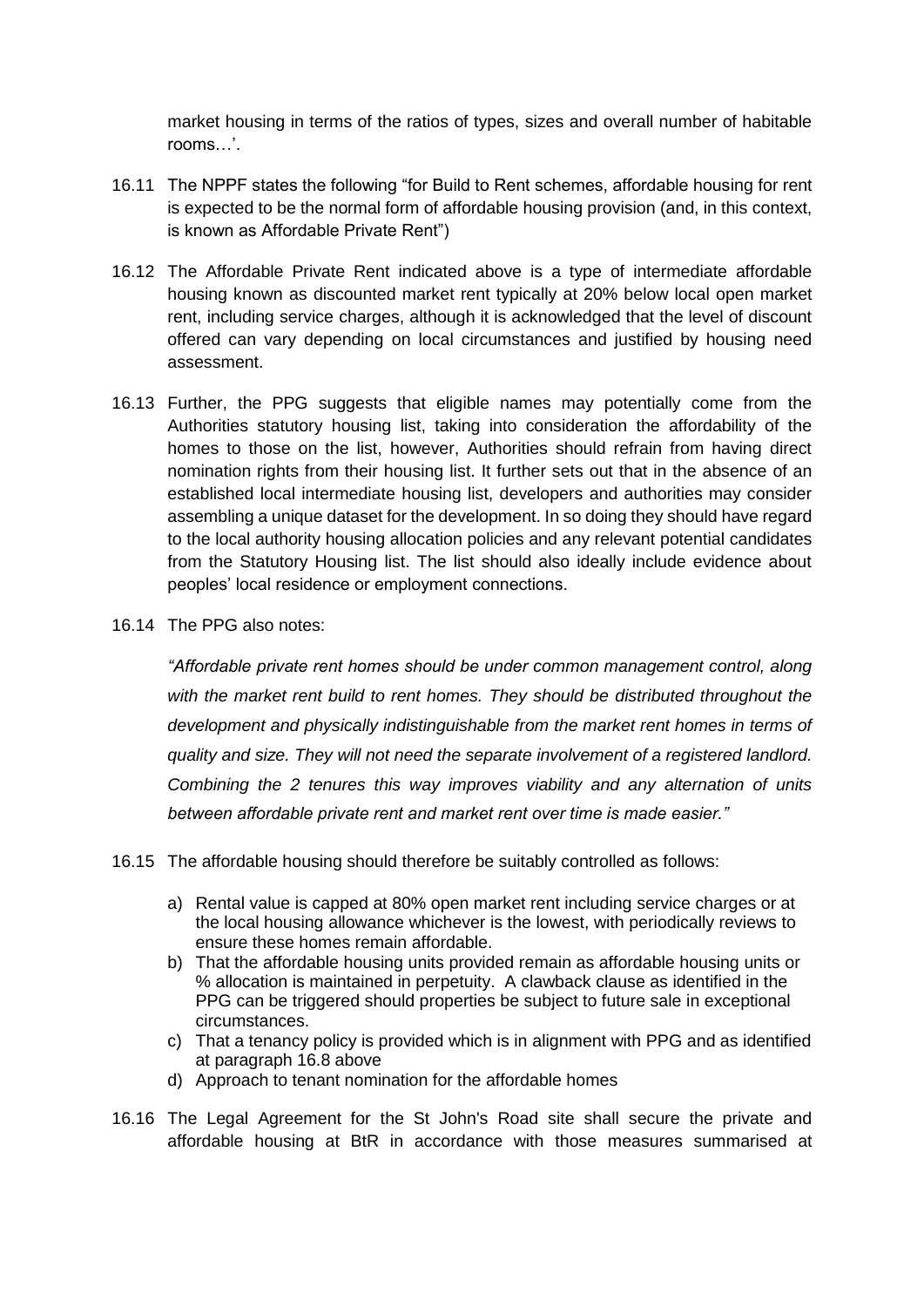market housing in terms of the ratios of types, sizes and overall number of habitable rooms…'.

- 16.11 The NPPF states the following "for Build to Rent schemes, affordable housing for rent is expected to be the normal form of affordable housing provision (and, in this context, is known as Affordable Private Rent")
- 16.12 The Affordable Private Rent indicated above is a type of intermediate affordable housing known as discounted market rent typically at 20% below local open market rent, including service charges, although it is acknowledged that the level of discount offered can vary depending on local circumstances and justified by housing need assessment.
- 16.13 Further, the PPG suggests that eligible names may potentially come from the Authorities statutory housing list, taking into consideration the affordability of the homes to those on the list, however, Authorities should refrain from having direct nomination rights from their housing list. It further sets out that in the absence of an established local intermediate housing list, developers and authorities may consider assembling a unique dataset for the development. In so doing they should have regard to the local authority housing allocation policies and any relevant potential candidates from the Statutory Housing list. The list should also ideally include evidence about peoples' local residence or employment connections.
- 16.14 The PPG also notes:

*"Affordable private rent homes should be under common management control, along with the market rent build to rent homes. They should be distributed throughout the*  development and physically indistinguishable from the market rent homes in terms of *quality and size. They will not need the separate involvement of a registered landlord. Combining the 2 tenures this way improves viability and any alternation of units between affordable private rent and market rent over time is made easier."*

16.15 The affordable housing should therefore be suitably controlled as follows:

- a) Rental value is capped at 80% open market rent including service charges or at the local housing allowance whichever is the lowest, with periodically reviews to ensure these homes remain affordable.
- b) That the affordable housing units provided remain as affordable housing units or % allocation is maintained in perpetuity. A clawback clause as identified in the PPG can be triggered should properties be subject to future sale in exceptional circumstances.
- c) That a tenancy policy is provided which is in alignment with PPG and as identified at paragraph 16.8 above
- d) Approach to tenant nomination for the affordable homes
- 16.16 The Legal Agreement for the St John's Road site shall secure the private and affordable housing at BtR in accordance with those measures summarised at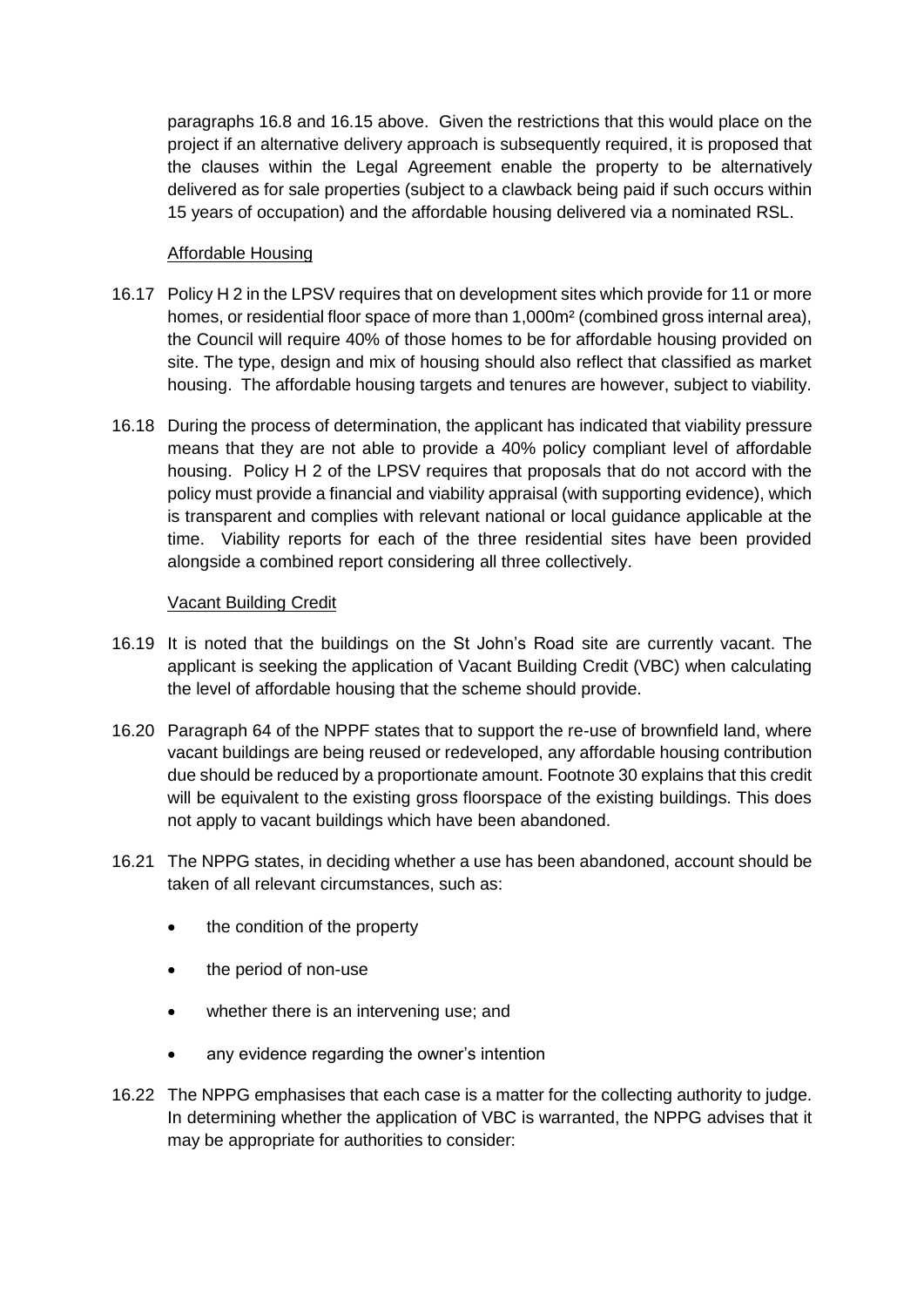paragraphs 16.8 and 16.15 above. Given the restrictions that this would place on the project if an alternative delivery approach is subsequently required, it is proposed that the clauses within the Legal Agreement enable the property to be alternatively delivered as for sale properties (subject to a clawback being paid if such occurs within 15 years of occupation) and the affordable housing delivered via a nominated RSL.

### Affordable Housing

- 16.17 Policy H 2 in the LPSV requires that on development sites which provide for 11 or more homes, or residential floor space of more than 1,000m<sup>2</sup> (combined gross internal area), the Council will require 40% of those homes to be for affordable housing provided on site. The type, design and mix of housing should also reflect that classified as market housing. The affordable housing targets and tenures are however, subject to viability.
- 16.18 During the process of determination, the applicant has indicated that viability pressure means that they are not able to provide a 40% policy compliant level of affordable housing. Policy H 2 of the LPSV requires that proposals that do not accord with the policy must provide a financial and viability appraisal (with supporting evidence), which is transparent and complies with relevant national or local guidance applicable at the time. Viability reports for each of the three residential sites have been provided alongside a combined report considering all three collectively.

#### Vacant Building Credit

- 16.19 It is noted that the buildings on the St John's Road site are currently vacant. The applicant is seeking the application of Vacant Building Credit (VBC) when calculating the level of affordable housing that the scheme should provide.
- 16.20 Paragraph 64 of the NPPF states that to support the re-use of brownfield land, where vacant buildings are being reused or redeveloped, any affordable housing contribution due should be reduced by a proportionate amount. Footnote 30 explains that this credit will be equivalent to the existing gross floorspace of the existing buildings. This does not apply to vacant buildings which have been abandoned.
- 16.21 The NPPG states, in deciding whether a use has been abandoned, account should be taken of all relevant circumstances, such as:
	- the condition of the property
	- the period of non-use
	- whether there is an intervening use; and
	- any evidence regarding the owner's intention
- 16.22 The NPPG emphasises that each case is a matter for the collecting authority to judge. In determining whether the application of VBC is warranted, the NPPG advises that it may be appropriate for authorities to consider: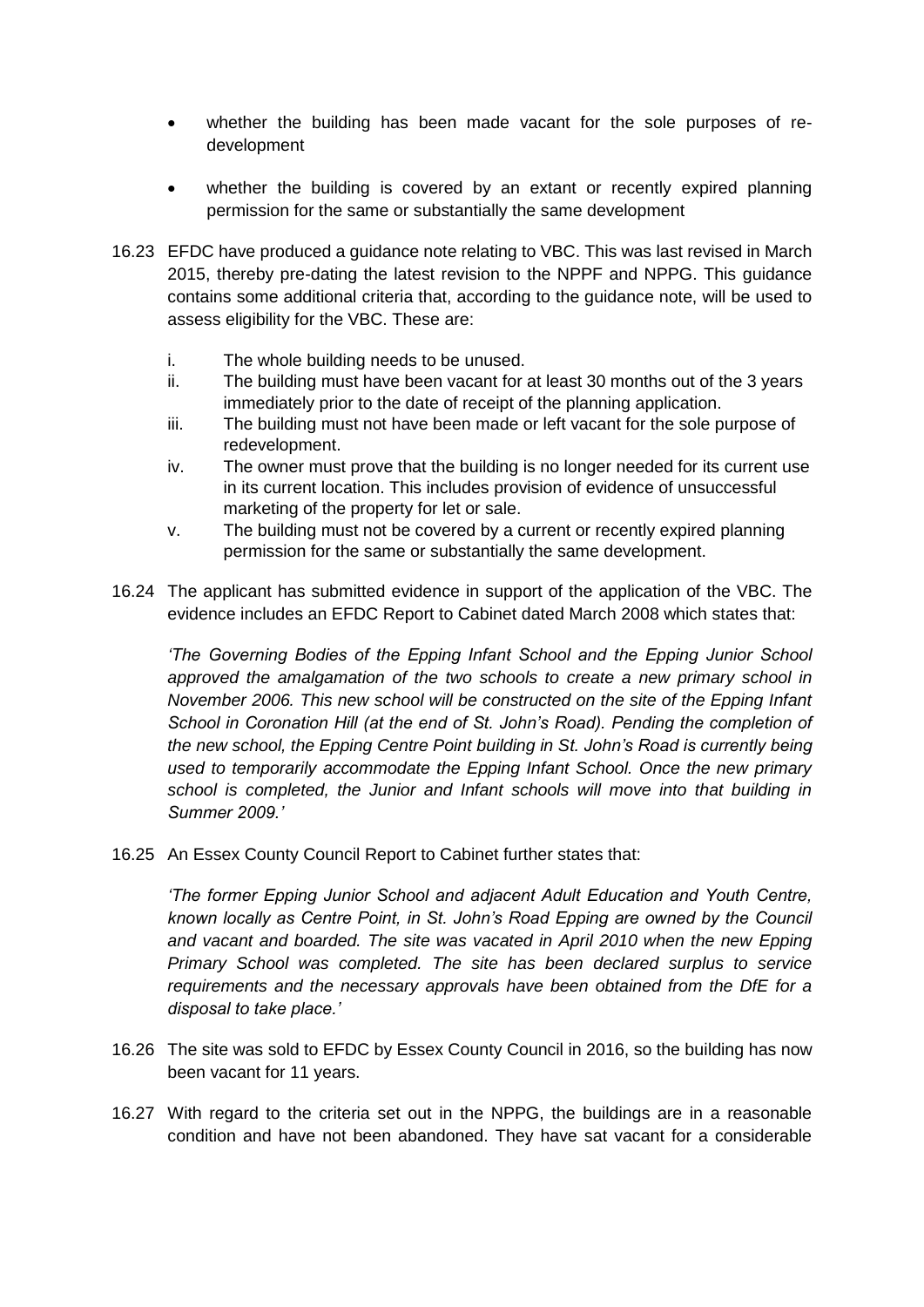- whether the building has been made vacant for the sole purposes of redevelopment
- whether the building is covered by an extant or recently expired planning permission for the same or substantially the same development
- 16.23 EFDC have produced a guidance note relating to VBC. This was last revised in March 2015, thereby pre-dating the latest revision to the NPPF and NPPG. This guidance contains some additional criteria that, according to the guidance note, will be used to assess eligibility for the VBC. These are:
	- i. The whole building needs to be unused.
	- ii. The building must have been vacant for at least 30 months out of the 3 years immediately prior to the date of receipt of the planning application.
	- iii. The building must not have been made or left vacant for the sole purpose of redevelopment.
	- iv. The owner must prove that the building is no longer needed for its current use in its current location. This includes provision of evidence of unsuccessful marketing of the property for let or sale.
	- v. The building must not be covered by a current or recently expired planning permission for the same or substantially the same development.
- 16.24 The applicant has submitted evidence in support of the application of the VBC. The evidence includes an EFDC Report to Cabinet dated March 2008 which states that:

*'The Governing Bodies of the Epping Infant School and the Epping Junior School approved the amalgamation of the two schools to create a new primary school in November 2006. This new school will be constructed on the site of the Epping Infant*  School in Coronation Hill (at the end of St. John's Road). Pending the completion of *the new school, the Epping Centre Point building in St. John's Road is currently being used to temporarily accommodate the Epping Infant School. Once the new primary school is completed, the Junior and Infant schools will move into that building in Summer 2009.'*

16.25 An Essex County Council Report to Cabinet further states that:

*'The former Epping Junior School and adjacent Adult Education and Youth Centre, known locally as Centre Point, in St. John's Road Epping are owned by the Council and vacant and boarded. The site was vacated in April 2010 when the new Epping Primary School was completed. The site has been declared surplus to service requirements and the necessary approvals have been obtained from the DfE for a disposal to take place.'*

- 16.26 The site was sold to EFDC by Essex County Council in 2016, so the building has now been vacant for 11 years.
- 16.27 With regard to the criteria set out in the NPPG, the buildings are in a reasonable condition and have not been abandoned. They have sat vacant for a considerable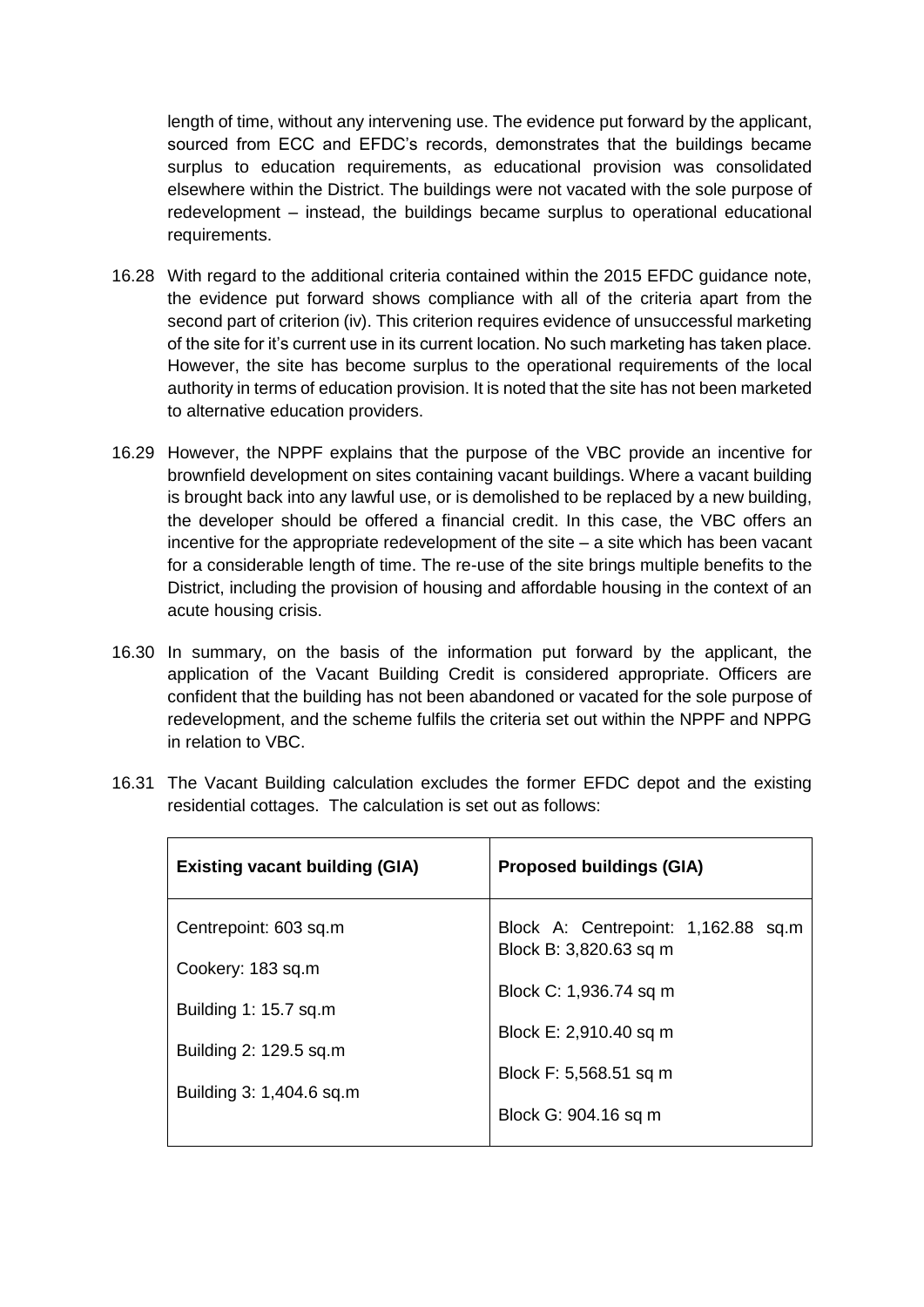length of time, without any intervening use. The evidence put forward by the applicant, sourced from ECC and EFDC's records, demonstrates that the buildings became surplus to education requirements, as educational provision was consolidated elsewhere within the District. The buildings were not vacated with the sole purpose of redevelopment – instead, the buildings became surplus to operational educational requirements.

- 16.28 With regard to the additional criteria contained within the 2015 EFDC guidance note, the evidence put forward shows compliance with all of the criteria apart from the second part of criterion (iv). This criterion requires evidence of unsuccessful marketing of the site for it's current use in its current location. No such marketing has taken place. However, the site has become surplus to the operational requirements of the local authority in terms of education provision. It is noted that the site has not been marketed to alternative education providers.
- 16.29 However, the NPPF explains that the purpose of the VBC provide an incentive for brownfield development on sites containing vacant buildings. Where a vacant building is brought back into any lawful use, or is demolished to be replaced by a new building, the developer should be offered a financial credit. In this case, the VBC offers an incentive for the appropriate redevelopment of the site – a site which has been vacant for a considerable length of time. The re-use of the site brings multiple benefits to the District, including the provision of housing and affordable housing in the context of an acute housing crisis.
- 16.30 In summary, on the basis of the information put forward by the applicant, the application of the Vacant Building Credit is considered appropriate. Officers are confident that the building has not been abandoned or vacated for the sole purpose of redevelopment, and the scheme fulfils the criteria set out within the NPPF and NPPG in relation to VBC.

| <b>Existing vacant building (GIA)</b> | <b>Proposed buildings (GIA)</b>                               |
|---------------------------------------|---------------------------------------------------------------|
| Centrepoint: 603 sq.m                 | Block A: Centrepoint: 1,162.88 sq.m<br>Block B: 3,820.63 sq m |
| Cookery: 183 sq.m                     |                                                               |
| Building 1: 15.7 sq.m                 | Block C: 1,936.74 sq m                                        |
| Building 2: 129.5 sq.m                | Block E: 2,910.40 sq m                                        |
| Building 3: 1,404.6 sq.m              | Block F: 5,568.51 sq m                                        |
|                                       | Block G: 904.16 sq m                                          |
|                                       |                                                               |

16.31 The Vacant Building calculation excludes the former EFDC depot and the existing residential cottages. The calculation is set out as follows: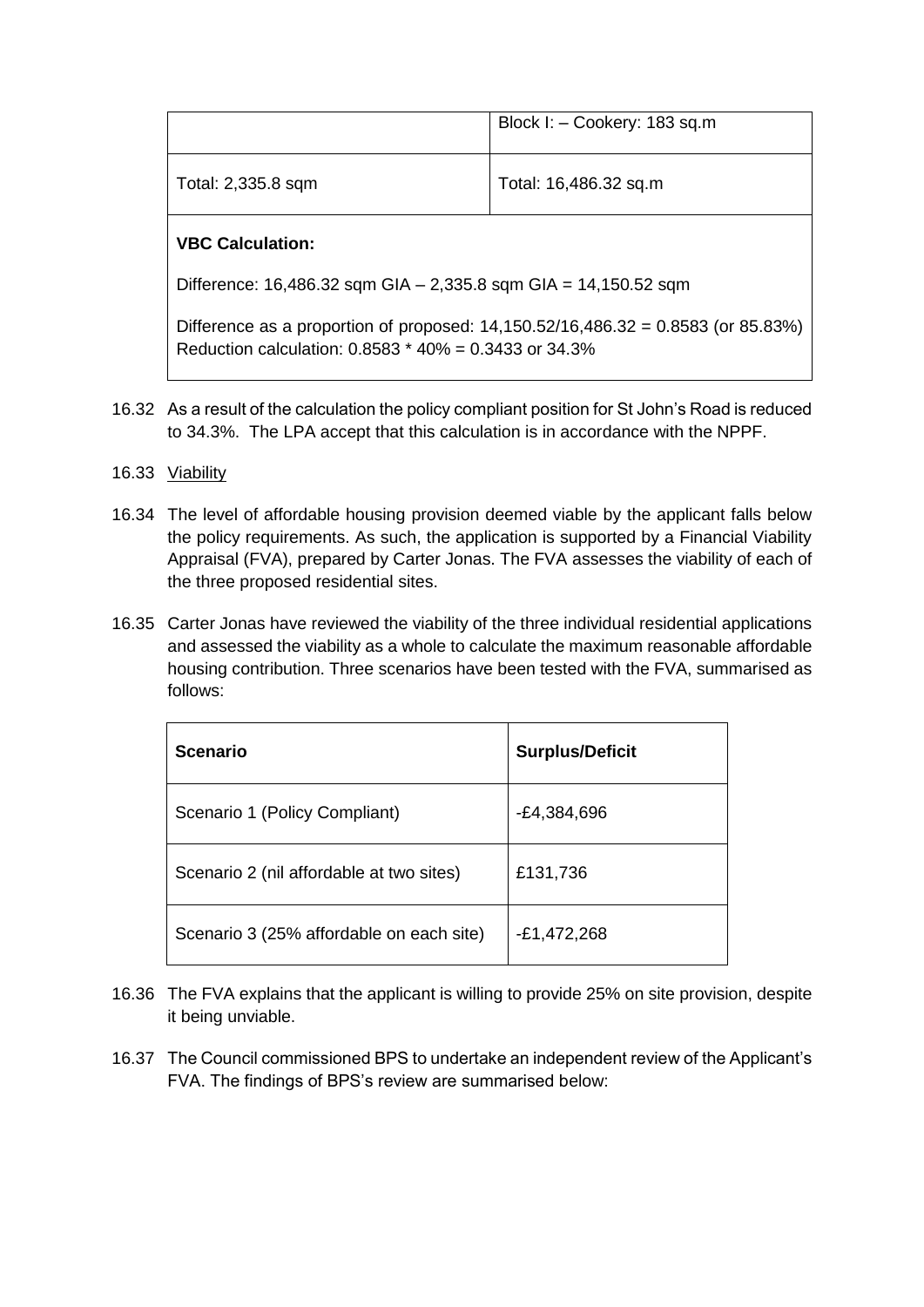|                                                                                                                                                   | Block I: - Cookery: 183 sq.m |  |  |  |
|---------------------------------------------------------------------------------------------------------------------------------------------------|------------------------------|--|--|--|
| Total: 2,335.8 sqm                                                                                                                                | Total: 16,486.32 sq.m        |  |  |  |
| <b>VBC Calculation:</b>                                                                                                                           |                              |  |  |  |
| Difference: 16,486.32 sqm GIA - 2,335.8 sqm GIA = $14,150.52$ sqm                                                                                 |                              |  |  |  |
| Difference as a proportion of proposed: $14,150.52/16,486.32 = 0.8583$ (or 85.83%)<br>Reduction calculation: $0.8583 * 40\% = 0.3433$ or $34.3\%$ |                              |  |  |  |

- 16.32 As a result of the calculation the policy compliant position for St John's Road is reduced to 34.3%. The LPA accept that this calculation is in accordance with the NPPF.
- 16.33 Viability
- 16.34 The level of affordable housing provision deemed viable by the applicant falls below the policy requirements. As such, the application is supported by a Financial Viability Appraisal (FVA), prepared by Carter Jonas. The FVA assesses the viability of each of the three proposed residential sites.
- 16.35 Carter Jonas have reviewed the viability of the three individual residential applications and assessed the viability as a whole to calculate the maximum reasonable affordable housing contribution. Three scenarios have been tested with the FVA, summarised as follows:

| <b>Scenario</b>                          | <b>Surplus/Deficit</b> |
|------------------------------------------|------------------------|
| Scenario 1 (Policy Compliant)            | -£4,384,696            |
| Scenario 2 (nil affordable at two sites) | £131,736               |
| Scenario 3 (25% affordable on each site) | $-E1,472,268$          |

- 16.36 The FVA explains that the applicant is willing to provide 25% on site provision, despite it being unviable.
- 16.37 The Council commissioned BPS to undertake an independent review of the Applicant's FVA. The findings of BPS's review are summarised below: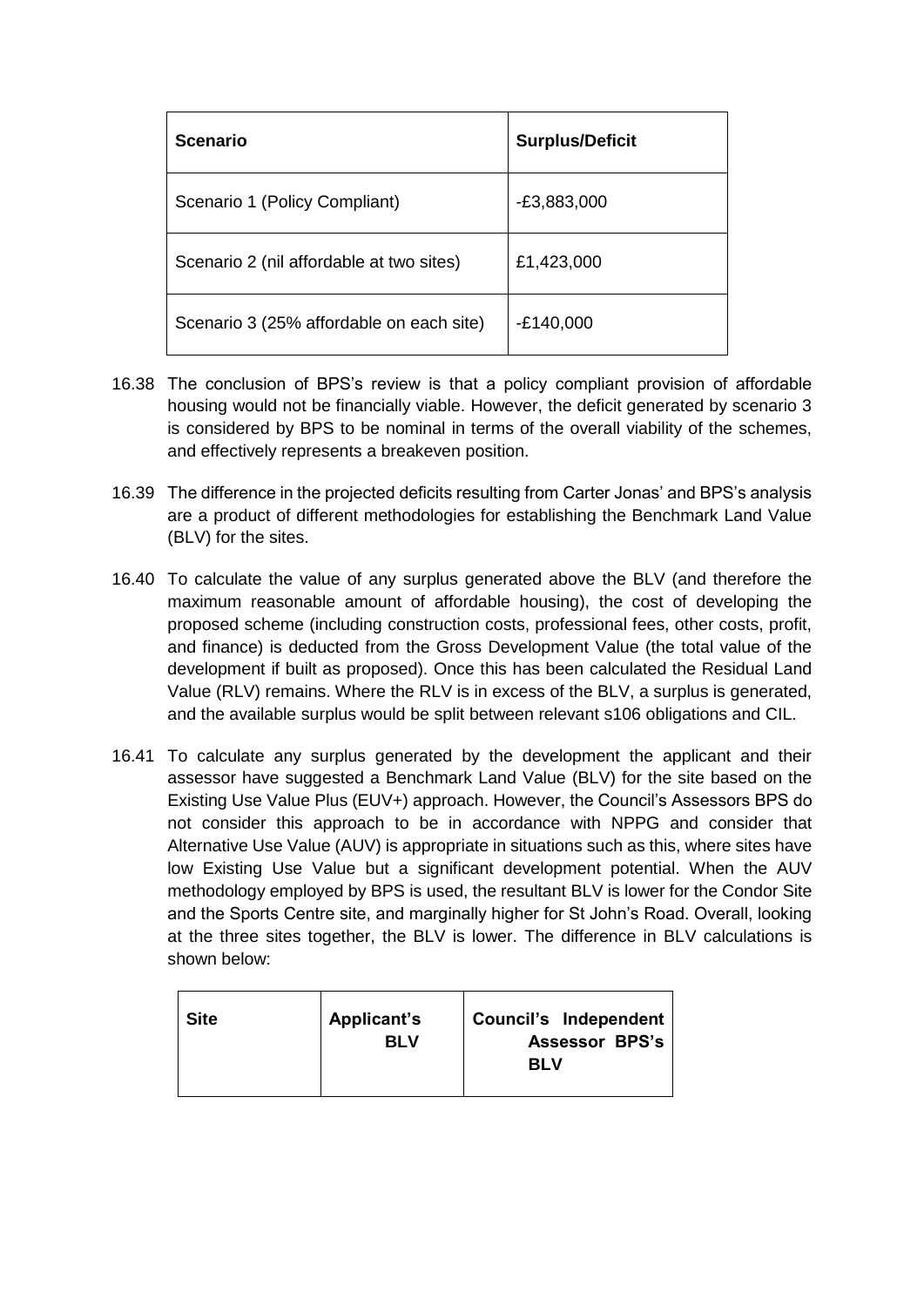| <b>Scenario</b>                          | <b>Surplus/Deficit</b> |
|------------------------------------------|------------------------|
| Scenario 1 (Policy Compliant)            | $-E3,883,000$          |
| Scenario 2 (nil affordable at two sites) | £1,423,000             |
| Scenario 3 (25% affordable on each site) | $-E140,000$            |

- 16.38 The conclusion of BPS's review is that a policy compliant provision of affordable housing would not be financially viable. However, the deficit generated by scenario 3 is considered by BPS to be nominal in terms of the overall viability of the schemes, and effectively represents a breakeven position.
- 16.39 The difference in the projected deficits resulting from Carter Jonas' and BPS's analysis are a product of different methodologies for establishing the Benchmark Land Value (BLV) for the sites.
- 16.40 To calculate the value of any surplus generated above the BLV (and therefore the maximum reasonable amount of affordable housing), the cost of developing the proposed scheme (including construction costs, professional fees, other costs, profit, and finance) is deducted from the Gross Development Value (the total value of the development if built as proposed). Once this has been calculated the Residual Land Value (RLV) remains. Where the RLV is in excess of the BLV, a surplus is generated, and the available surplus would be split between relevant s106 obligations and CIL.
- 16.41 To calculate any surplus generated by the development the applicant and their assessor have suggested a Benchmark Land Value (BLV) for the site based on the Existing Use Value Plus (EUV+) approach. However, the Council's Assessors BPS do not consider this approach to be in accordance with NPPG and consider that Alternative Use Value (AUV) is appropriate in situations such as this, where sites have low Existing Use Value but a significant development potential. When the AUV methodology employed by BPS is used, the resultant BLV is lower for the Condor Site and the Sports Centre site, and marginally higher for St John's Road. Overall, looking at the three sites together, the BLV is lower. The difference in BLV calculations is shown below:

| <b>Site</b> | Applicant's<br>RI V | Council's Independent<br><b>Assessor BPS's</b><br><b>BLV</b> |
|-------------|---------------------|--------------------------------------------------------------|
|             |                     |                                                              |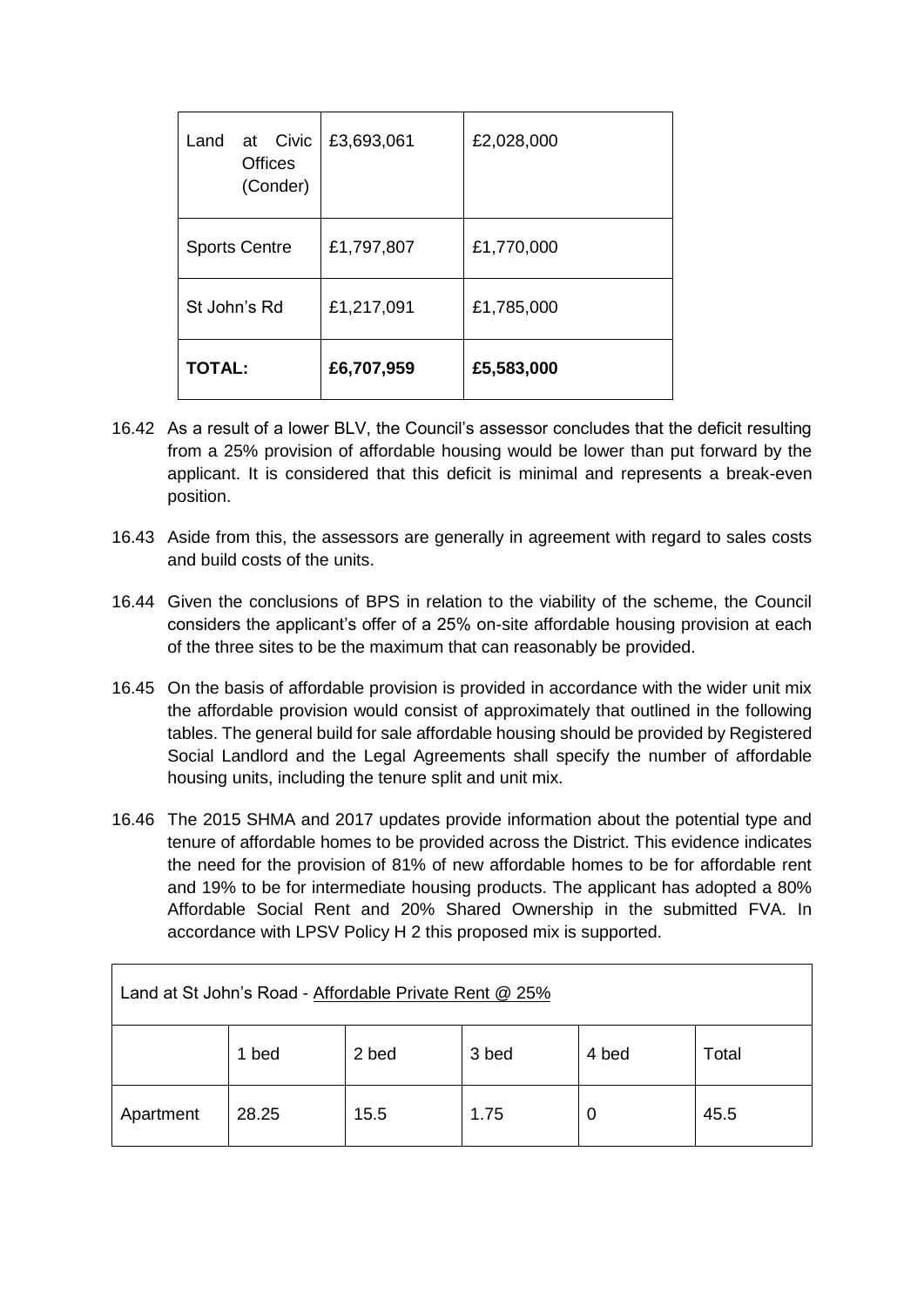| at Civic<br>Land<br>Offices<br>(Conder) | £3,693,061 | £2,028,000 |
|-----------------------------------------|------------|------------|
| <b>Sports Centre</b>                    | £1,797,807 | £1,770,000 |
| St John's Rd                            | £1,217,091 | £1,785,000 |
| <b>TOTAL:</b>                           | £6,707,959 | £5,583,000 |

- 16.42 As a result of a lower BLV, the Council's assessor concludes that the deficit resulting from a 25% provision of affordable housing would be lower than put forward by the applicant. It is considered that this deficit is minimal and represents a break-even position.
- 16.43 Aside from this, the assessors are generally in agreement with regard to sales costs and build costs of the units.
- 16.44 Given the conclusions of BPS in relation to the viability of the scheme, the Council considers the applicant's offer of a 25% on-site affordable housing provision at each of the three sites to be the maximum that can reasonably be provided.
- 16.45 On the basis of affordable provision is provided in accordance with the wider unit mix the affordable provision would consist of approximately that outlined in the following tables. The general build for sale affordable housing should be provided by Registered Social Landlord and the Legal Agreements shall specify the number of affordable housing units, including the tenure split and unit mix.
- 16.46 The 2015 SHMA and 2017 updates provide information about the potential type and tenure of affordable homes to be provided across the District. This evidence indicates the need for the provision of 81% of new affordable homes to be for affordable rent and 19% to be for intermediate housing products. The applicant has adopted a 80% Affordable Social Rent and 20% Shared Ownership in the submitted FVA. In accordance with LPSV Policy H 2 this proposed mix is supported.

| Land at St John's Road - Affordable Private Rent @ 25% |       |       |       |       |       |  |
|--------------------------------------------------------|-------|-------|-------|-------|-------|--|
|                                                        | 1 bed | 2 bed | 3 bed | 4 bed | Total |  |
| Apartment                                              | 28.25 | 15.5  | 1.75  | U     | 45.5  |  |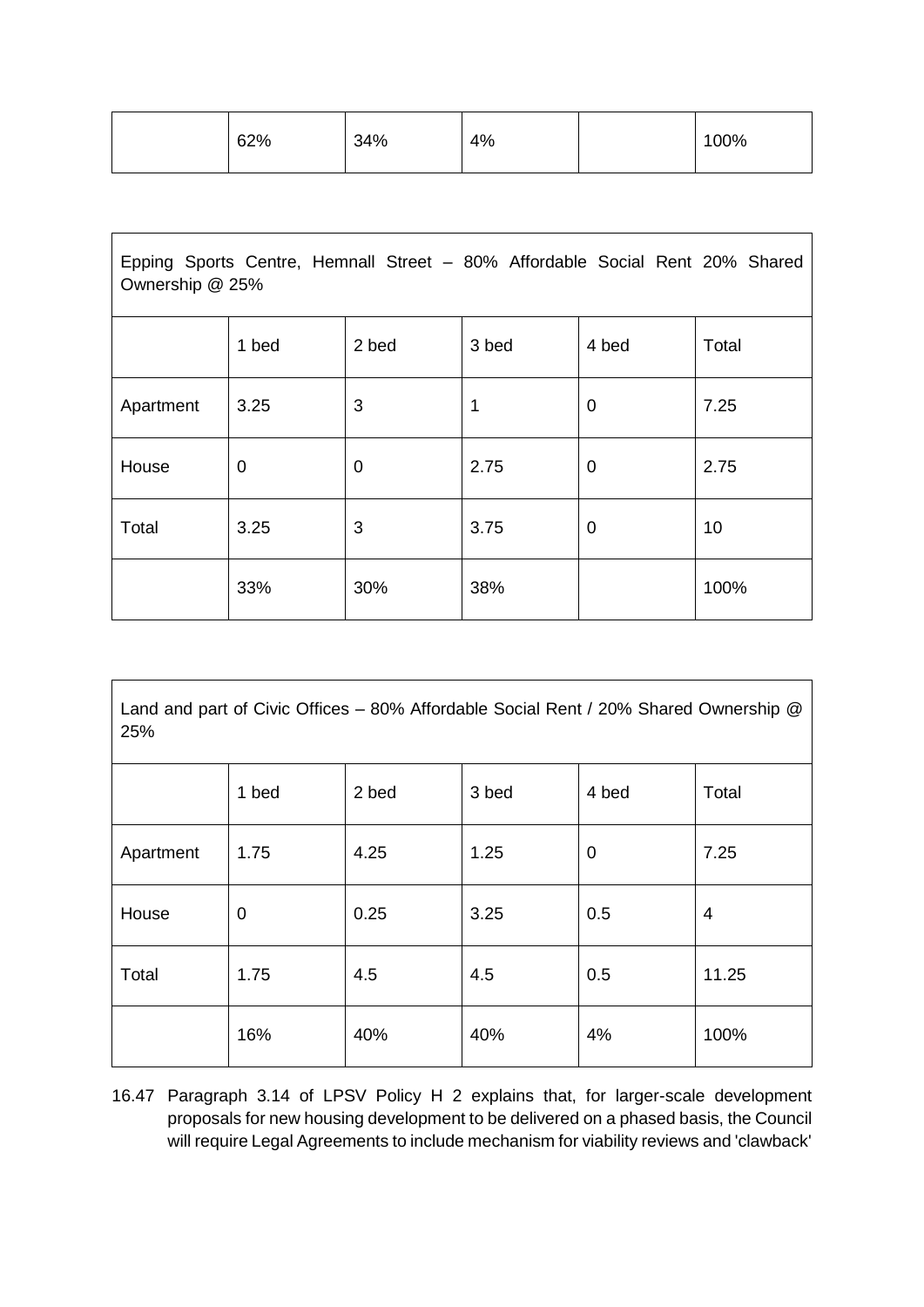| 62% | 34% | 4% | 100% |
|-----|-----|----|------|
|     |     |    |      |

| Epping Sports Centre, Hemnall Street - 80% Affordable Social Rent 20% Shared<br>Ownership @ 25% |       |             |       |             |       |
|-------------------------------------------------------------------------------------------------|-------|-------------|-------|-------------|-------|
|                                                                                                 | 1 bed | 2 bed       | 3 bed | 4 bed       | Total |
| Apartment                                                                                       | 3.25  | 3           | 1     | $\mathbf 0$ | 7.25  |
| House                                                                                           | 0     | $\mathbf 0$ | 2.75  | 0           | 2.75  |
| Total                                                                                           | 3.25  | 3           | 3.75  | 0           | 10    |
|                                                                                                 | 33%   | 30%         | 38%   |             | 100%  |

Land and part of Civic Offices – 80% Affordable Social Rent / 20% Shared Ownership @ 25%

|           | 1 bed       | 2 bed | 3 bed | 4 bed       | Total |
|-----------|-------------|-------|-------|-------------|-------|
| Apartment | 1.75        | 4.25  | 1.25  | $\mathbf 0$ | 7.25  |
| House     | $\mathbf 0$ | 0.25  | 3.25  | 0.5         | 4     |
| Total     | 1.75        | 4.5   | 4.5   | 0.5         | 11.25 |
|           | 16%         | 40%   | 40%   | 4%          | 100%  |

16.47 Paragraph 3.14 of LPSV Policy H 2 explains that, for larger-scale development proposals for new housing development to be delivered on a phased basis, the Council will require Legal Agreements to include mechanism for viability reviews and 'clawback'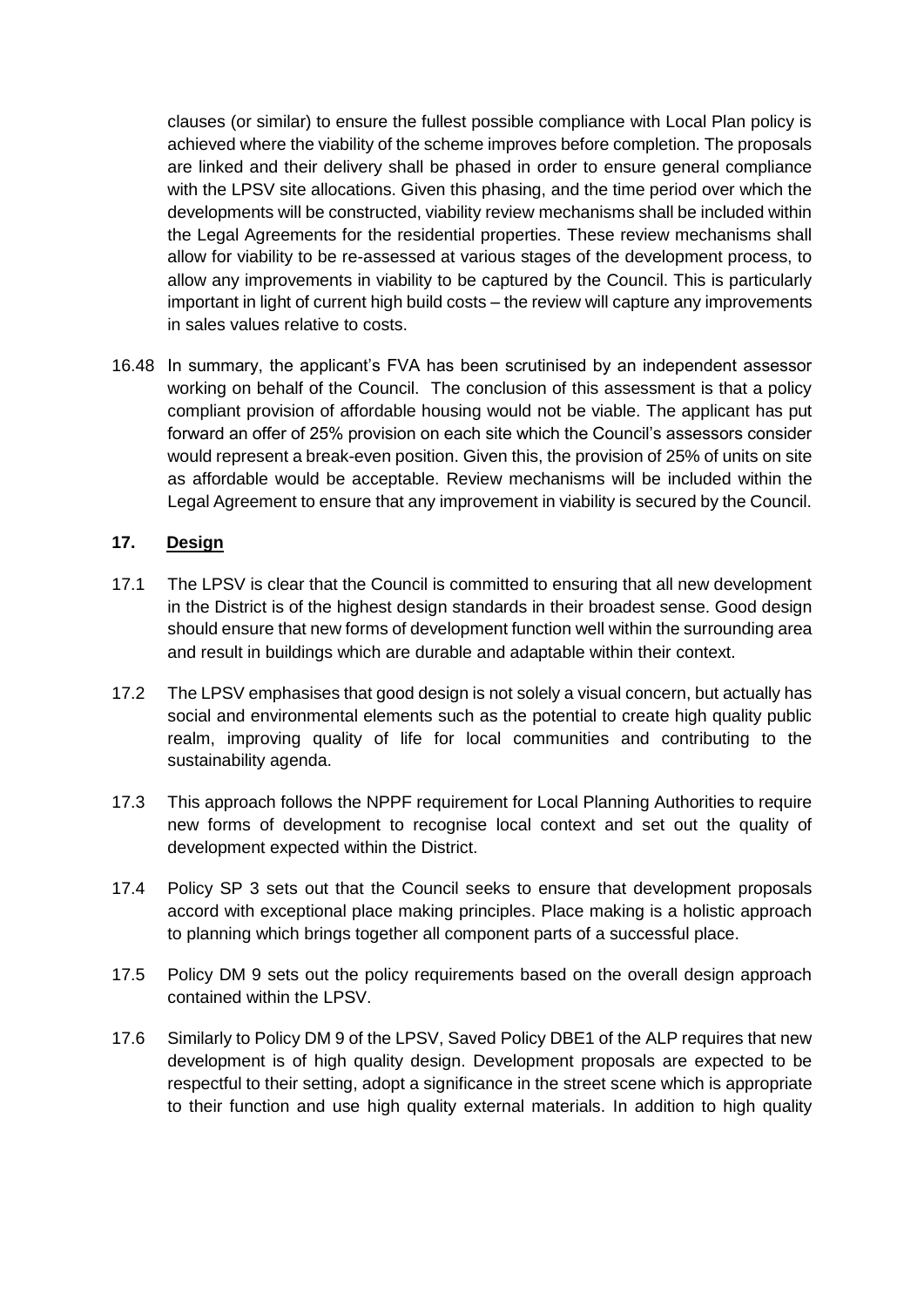clauses (or similar) to ensure the fullest possible compliance with Local Plan policy is achieved where the viability of the scheme improves before completion. The proposals are linked and their delivery shall be phased in order to ensure general compliance with the LPSV site allocations. Given this phasing, and the time period over which the developments will be constructed, viability review mechanisms shall be included within the Legal Agreements for the residential properties. These review mechanisms shall allow for viability to be re-assessed at various stages of the development process, to allow any improvements in viability to be captured by the Council. This is particularly important in light of current high build costs – the review will capture any improvements in sales values relative to costs.

16.48 In summary, the applicant's FVA has been scrutinised by an independent assessor working on behalf of the Council. The conclusion of this assessment is that a policy compliant provision of affordable housing would not be viable. The applicant has put forward an offer of 25% provision on each site which the Council's assessors consider would represent a break-even position. Given this, the provision of 25% of units on site as affordable would be acceptable. Review mechanisms will be included within the Legal Agreement to ensure that any improvement in viability is secured by the Council.

## **17. Design**

- 17.1 The LPSV is clear that the Council is committed to ensuring that all new development in the District is of the highest design standards in their broadest sense. Good design should ensure that new forms of development function well within the surrounding area and result in buildings which are durable and adaptable within their context.
- 17.2 The LPSV emphasises that good design is not solely a visual concern, but actually has social and environmental elements such as the potential to create high quality public realm, improving quality of life for local communities and contributing to the sustainability agenda.
- 17.3 This approach follows the NPPF requirement for Local Planning Authorities to require new forms of development to recognise local context and set out the quality of development expected within the District.
- 17.4 Policy SP 3 sets out that the Council seeks to ensure that development proposals accord with exceptional place making principles. Place making is a holistic approach to planning which brings together all component parts of a successful place.
- 17.5 Policy DM 9 sets out the policy requirements based on the overall design approach contained within the LPSV.
- 17.6 Similarly to Policy DM 9 of the LPSV, Saved Policy DBE1 of the ALP requires that new development is of high quality design. Development proposals are expected to be respectful to their setting, adopt a significance in the street scene which is appropriate to their function and use high quality external materials. In addition to high quality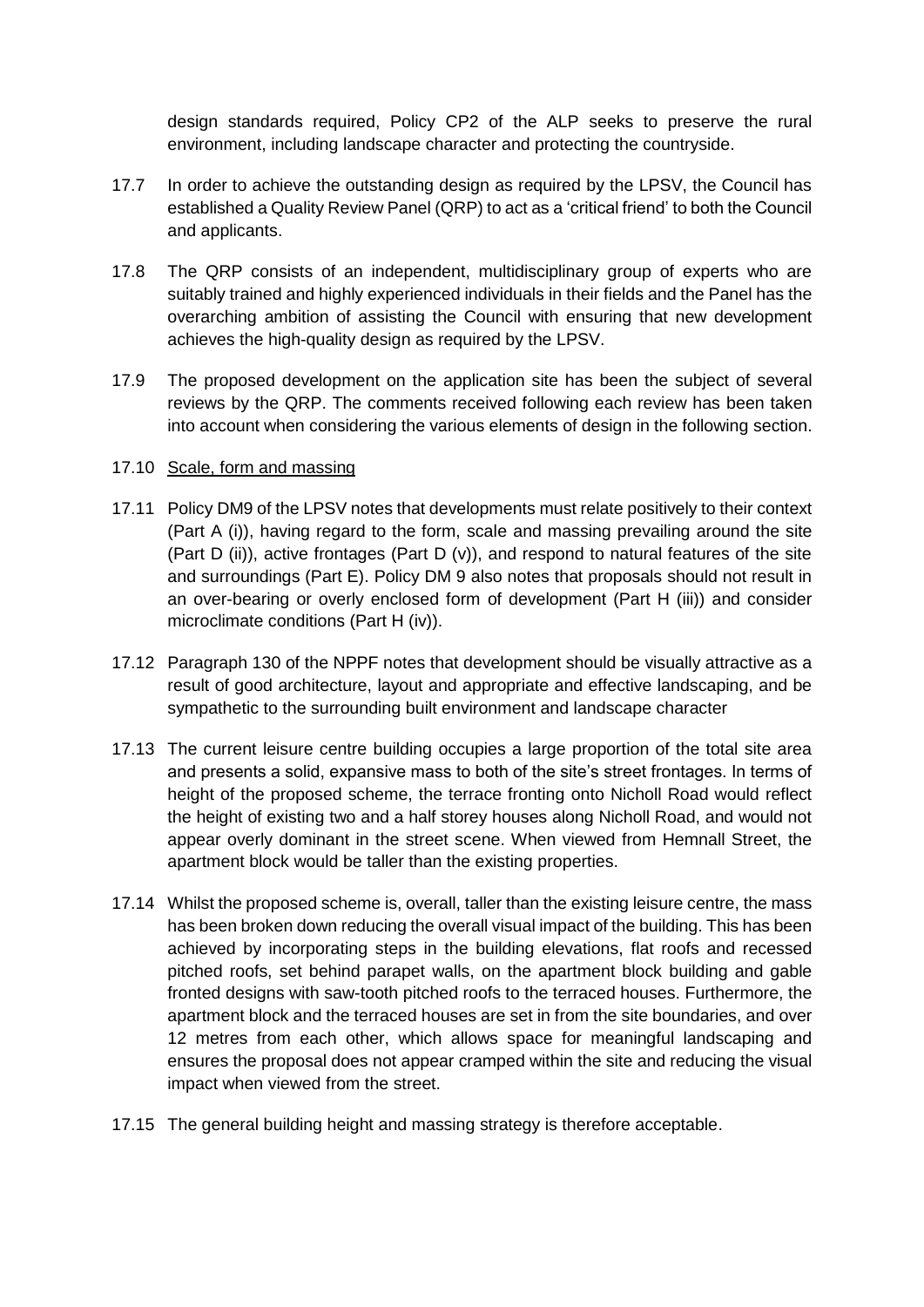design standards required, Policy CP2 of the ALP seeks to preserve the rural environment, including landscape character and protecting the countryside.

- 17.7 In order to achieve the outstanding design as required by the LPSV, the Council has established a Quality Review Panel (QRP) to act as a 'critical friend' to both the Council and applicants.
- 17.8 The QRP consists of an independent, multidisciplinary group of experts who are suitably trained and highly experienced individuals in their fields and the Panel has the overarching ambition of assisting the Council with ensuring that new development achieves the high-quality design as required by the LPSV.
- 17.9 The proposed development on the application site has been the subject of several reviews by the QRP. The comments received following each review has been taken into account when considering the various elements of design in the following section.

### 17.10 Scale, form and massing

- 17.11 Policy DM9 of the LPSV notes that developments must relate positively to their context (Part A (i)), having regard to the form, scale and massing prevailing around the site (Part D (ii)), active frontages (Part D  $(v)$ ), and respond to natural features of the site and surroundings (Part E). Policy DM 9 also notes that proposals should not result in an over-bearing or overly enclosed form of development (Part H (iii)) and consider microclimate conditions (Part H (iv)).
- 17.12 Paragraph 130 of the NPPF notes that development should be visually attractive as a result of good architecture, layout and appropriate and effective landscaping, and be sympathetic to the surrounding built environment and landscape character
- 17.13 The current leisure centre building occupies a large proportion of the total site area and presents a solid, expansive mass to both of the site's street frontages. In terms of height of the proposed scheme, the terrace fronting onto Nicholl Road would reflect the height of existing two and a half storey houses along Nicholl Road, and would not appear overly dominant in the street scene. When viewed from Hemnall Street, the apartment block would be taller than the existing properties.
- 17.14 Whilst the proposed scheme is, overall, taller than the existing leisure centre, the mass has been broken down reducing the overall visual impact of the building. This has been achieved by incorporating steps in the building elevations, flat roofs and recessed pitched roofs, set behind parapet walls, on the apartment block building and gable fronted designs with saw-tooth pitched roofs to the terraced houses. Furthermore, the apartment block and the terraced houses are set in from the site boundaries, and over 12 metres from each other, which allows space for meaningful landscaping and ensures the proposal does not appear cramped within the site and reducing the visual impact when viewed from the street.
- 17.15 The general building height and massing strategy is therefore acceptable.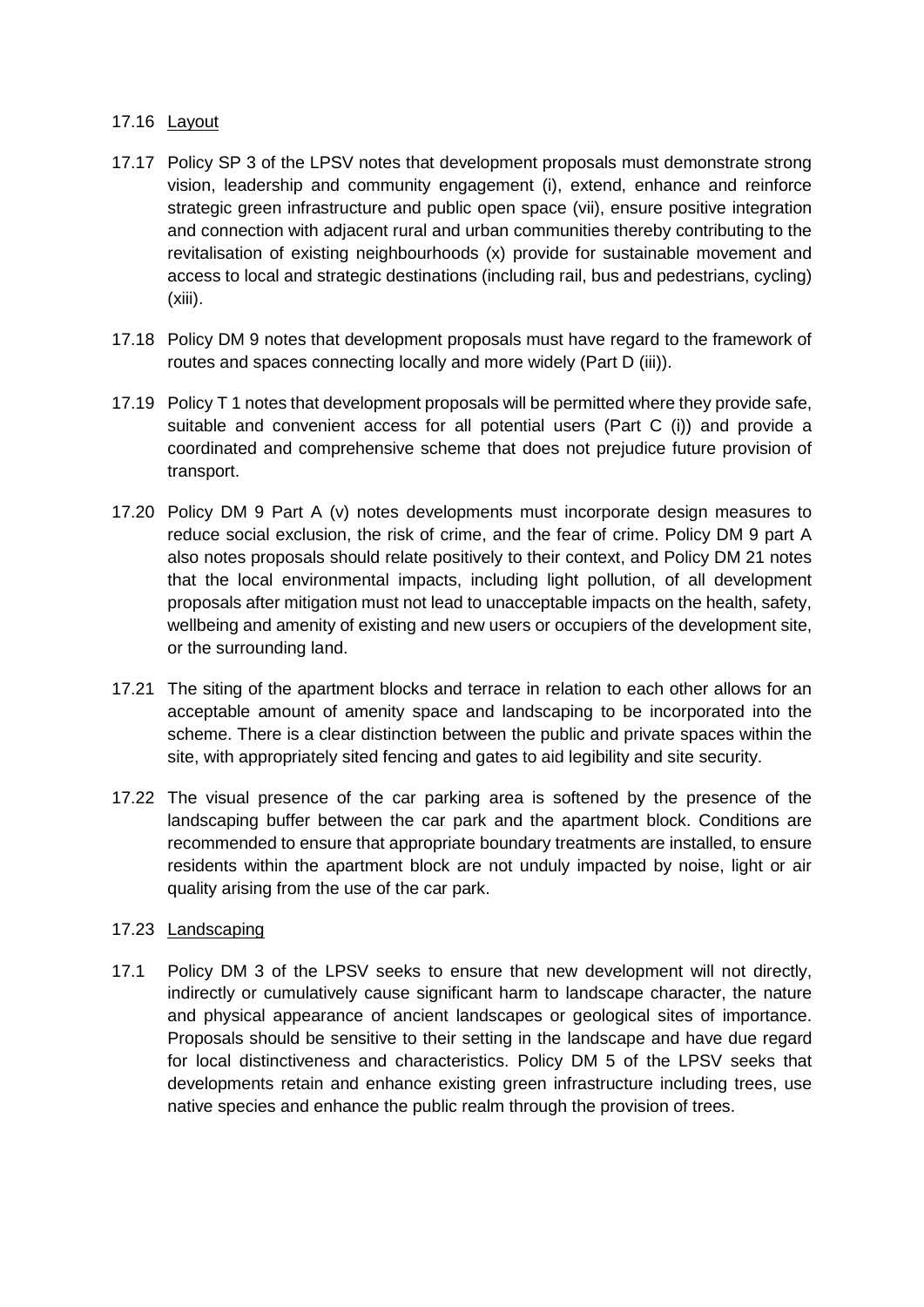### 17.16 Layout

- 17.17 Policy SP 3 of the LPSV notes that development proposals must demonstrate strong vision, leadership and community engagement (i), extend, enhance and reinforce strategic green infrastructure and public open space (vii), ensure positive integration and connection with adjacent rural and urban communities thereby contributing to the revitalisation of existing neighbourhoods (x) provide for sustainable movement and access to local and strategic destinations (including rail, bus and pedestrians, cycling) (xiii).
- 17.18 Policy DM 9 notes that development proposals must have regard to the framework of routes and spaces connecting locally and more widely (Part D (iii)).
- 17.19 Policy T 1 notes that development proposals will be permitted where they provide safe, suitable and convenient access for all potential users (Part C (i)) and provide a coordinated and comprehensive scheme that does not prejudice future provision of transport.
- 17.20 Policy DM 9 Part A (v) notes developments must incorporate design measures to reduce social exclusion, the risk of crime, and the fear of crime. Policy DM 9 part A also notes proposals should relate positively to their context, and Policy DM 21 notes that the local environmental impacts, including light pollution, of all development proposals after mitigation must not lead to unacceptable impacts on the health, safety, wellbeing and amenity of existing and new users or occupiers of the development site, or the surrounding land.
- 17.21 The siting of the apartment blocks and terrace in relation to each other allows for an acceptable amount of amenity space and landscaping to be incorporated into the scheme. There is a clear distinction between the public and private spaces within the site, with appropriately sited fencing and gates to aid legibility and site security.
- 17.22 The visual presence of the car parking area is softened by the presence of the landscaping buffer between the car park and the apartment block. Conditions are recommended to ensure that appropriate boundary treatments are installed, to ensure residents within the apartment block are not unduly impacted by noise, light or air quality arising from the use of the car park.

## 17.23 Landscaping

17.1 Policy DM 3 of the LPSV seeks to ensure that new development will not directly, indirectly or cumulatively cause significant harm to landscape character, the nature and physical appearance of ancient landscapes or geological sites of importance. Proposals should be sensitive to their setting in the landscape and have due regard for local distinctiveness and characteristics. Policy DM 5 of the LPSV seeks that developments retain and enhance existing green infrastructure including trees, use native species and enhance the public realm through the provision of trees.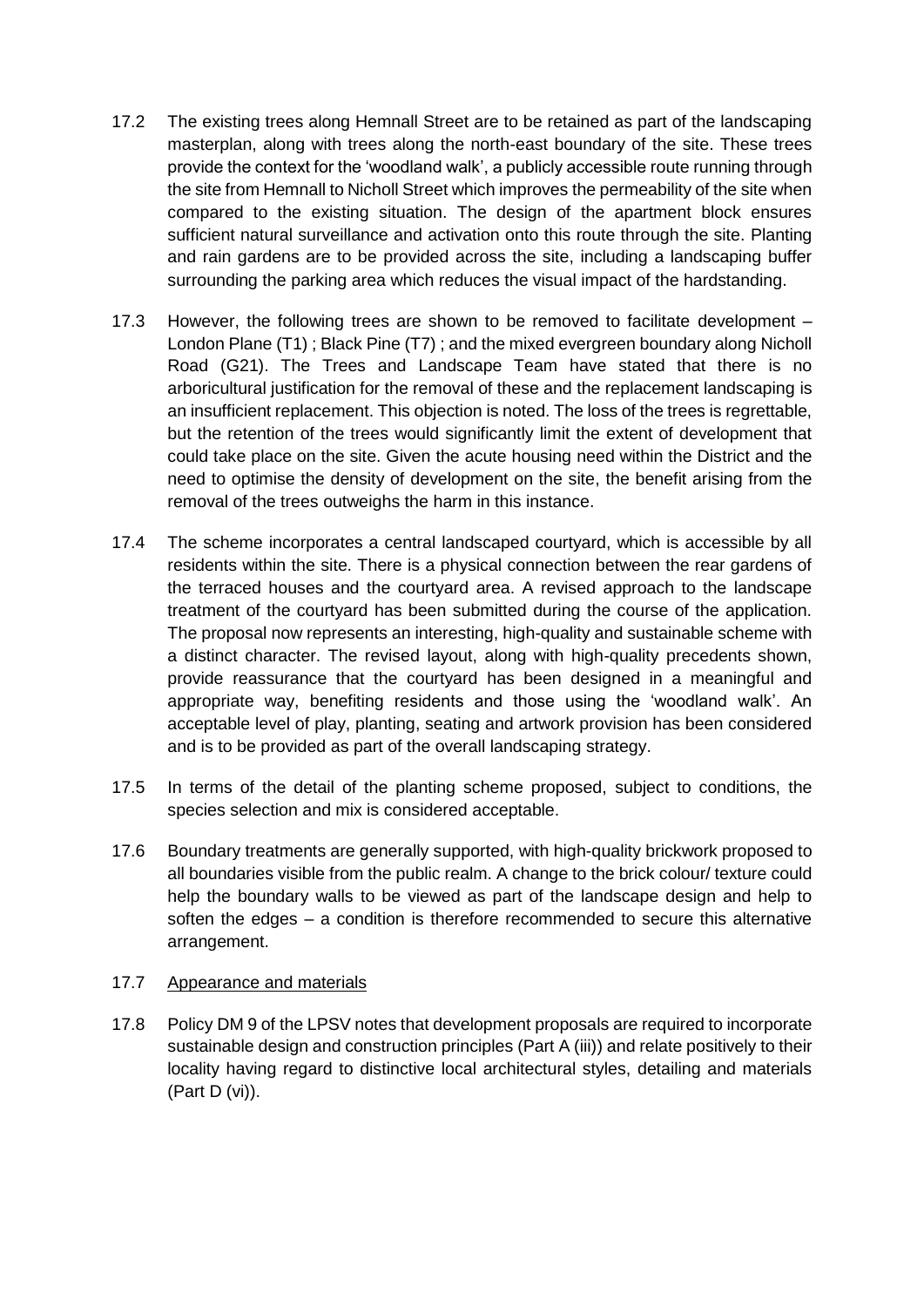- 17.2 The existing trees along Hemnall Street are to be retained as part of the landscaping masterplan, along with trees along the north-east boundary of the site. These trees provide the context for the 'woodland walk', a publicly accessible route running through the site from Hemnall to Nicholl Street which improves the permeability of the site when compared to the existing situation. The design of the apartment block ensures sufficient natural surveillance and activation onto this route through the site. Planting and rain gardens are to be provided across the site, including a landscaping buffer surrounding the parking area which reduces the visual impact of the hardstanding.
- 17.3 However, the following trees are shown to be removed to facilitate development London Plane (T1) ; Black Pine (T7) ; and the mixed evergreen boundary along Nicholl Road (G21). The Trees and Landscape Team have stated that there is no arboricultural justification for the removal of these and the replacement landscaping is an insufficient replacement. This objection is noted. The loss of the trees is regrettable, but the retention of the trees would significantly limit the extent of development that could take place on the site. Given the acute housing need within the District and the need to optimise the density of development on the site, the benefit arising from the removal of the trees outweighs the harm in this instance.
- 17.4 The scheme incorporates a central landscaped courtyard, which is accessible by all residents within the site. There is a physical connection between the rear gardens of the terraced houses and the courtyard area. A revised approach to the landscape treatment of the courtyard has been submitted during the course of the application. The proposal now represents an interesting, high-quality and sustainable scheme with a distinct character. The revised layout, along with high-quality precedents shown, provide reassurance that the courtyard has been designed in a meaningful and appropriate way, benefiting residents and those using the 'woodland walk'. An acceptable level of play, planting, seating and artwork provision has been considered and is to be provided as part of the overall landscaping strategy.
- 17.5 In terms of the detail of the planting scheme proposed, subject to conditions, the species selection and mix is considered acceptable.
- 17.6 Boundary treatments are generally supported, with high-quality brickwork proposed to all boundaries visible from the public realm. A change to the brick colour/ texture could help the boundary walls to be viewed as part of the landscape design and help to soften the edges – a condition is therefore recommended to secure this alternative arrangement.

### 17.7 Appearance and materials

17.8 Policy DM 9 of the LPSV notes that development proposals are required to incorporate sustainable design and construction principles (Part A (iii)) and relate positively to their locality having regard to distinctive local architectural styles, detailing and materials (Part D (vi)).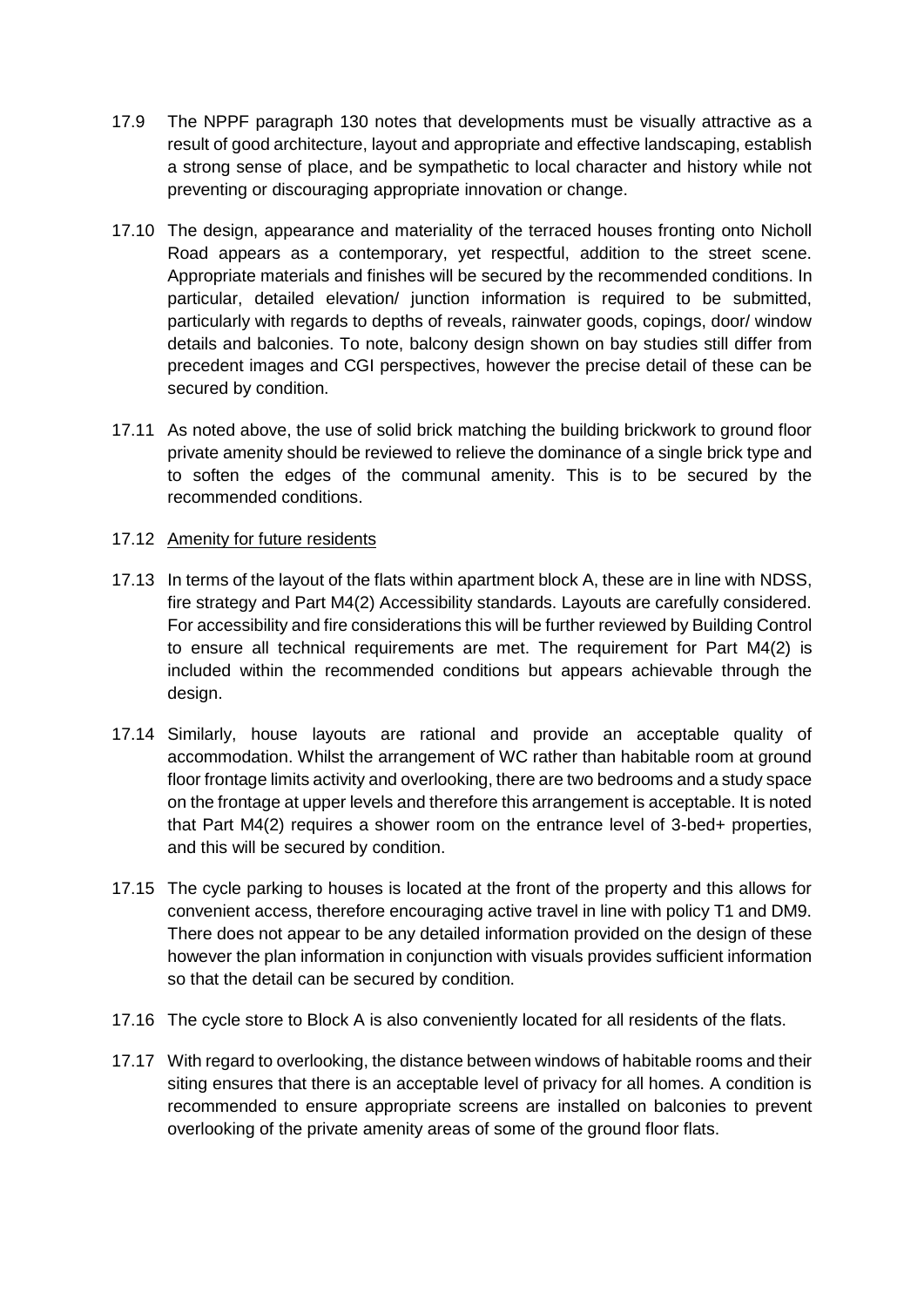- 17.9 The NPPF paragraph 130 notes that developments must be visually attractive as a result of good architecture, layout and appropriate and effective landscaping, establish a strong sense of place, and be sympathetic to local character and history while not preventing or discouraging appropriate innovation or change.
- 17.10 The design, appearance and materiality of the terraced houses fronting onto Nicholl Road appears as a contemporary, yet respectful, addition to the street scene. Appropriate materials and finishes will be secured by the recommended conditions. In particular, detailed elevation/ junction information is required to be submitted, particularly with regards to depths of reveals, rainwater goods, copings, door/ window details and balconies. To note, balcony design shown on bay studies still differ from precedent images and CGI perspectives, however the precise detail of these can be secured by condition.
- 17.11 As noted above, the use of solid brick matching the building brickwork to ground floor private amenity should be reviewed to relieve the dominance of a single brick type and to soften the edges of the communal amenity. This is to be secured by the recommended conditions.

### 17.12 Amenity for future residents

- 17.13 In terms of the layout of the flats within apartment block A, these are in line with NDSS, fire strategy and Part M4(2) Accessibility standards. Layouts are carefully considered. For accessibility and fire considerations this will be further reviewed by Building Control to ensure all technical requirements are met. The requirement for Part M4(2) is included within the recommended conditions but appears achievable through the design.
- 17.14 Similarly, house layouts are rational and provide an acceptable quality of accommodation. Whilst the arrangement of WC rather than habitable room at ground floor frontage limits activity and overlooking, there are two bedrooms and a study space on the frontage at upper levels and therefore this arrangement is acceptable. It is noted that Part M4(2) requires a shower room on the entrance level of 3-bed+ properties, and this will be secured by condition.
- 17.15 The cycle parking to houses is located at the front of the property and this allows for convenient access, therefore encouraging active travel in line with policy T1 and DM9. There does not appear to be any detailed information provided on the design of these however the plan information in conjunction with visuals provides sufficient information so that the detail can be secured by condition.
- 17.16 The cycle store to Block A is also conveniently located for all residents of the flats.
- 17.17 With regard to overlooking, the distance between windows of habitable rooms and their siting ensures that there is an acceptable level of privacy for all homes. A condition is recommended to ensure appropriate screens are installed on balconies to prevent overlooking of the private amenity areas of some of the ground floor flats.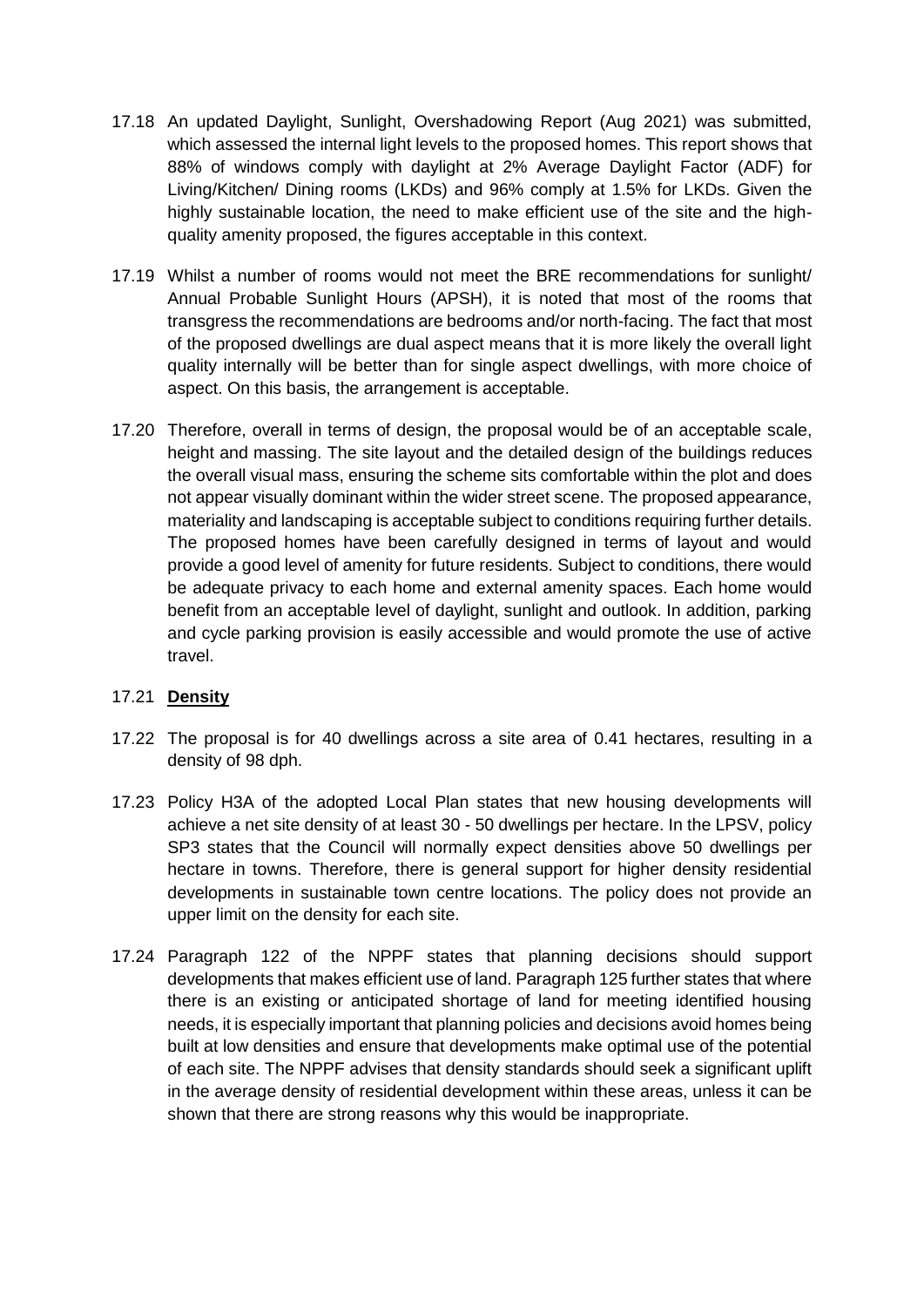- 17.18 An updated Daylight, Sunlight, Overshadowing Report (Aug 2021) was submitted, which assessed the internal light levels to the proposed homes. This report shows that 88% of windows comply with daylight at 2% Average Daylight Factor (ADF) for Living/Kitchen/ Dining rooms (LKDs) and 96% comply at 1.5% for LKDs. Given the highly sustainable location, the need to make efficient use of the site and the highquality amenity proposed, the figures acceptable in this context.
- 17.19 Whilst a number of rooms would not meet the BRE recommendations for sunlight/ Annual Probable Sunlight Hours (APSH), it is noted that most of the rooms that transgress the recommendations are bedrooms and/or north-facing. The fact that most of the proposed dwellings are dual aspect means that it is more likely the overall light quality internally will be better than for single aspect dwellings, with more choice of aspect. On this basis, the arrangement is acceptable.
- 17.20 Therefore, overall in terms of design, the proposal would be of an acceptable scale, height and massing. The site layout and the detailed design of the buildings reduces the overall visual mass, ensuring the scheme sits comfortable within the plot and does not appear visually dominant within the wider street scene. The proposed appearance, materiality and landscaping is acceptable subject to conditions requiring further details. The proposed homes have been carefully designed in terms of layout and would provide a good level of amenity for future residents. Subject to conditions, there would be adequate privacy to each home and external amenity spaces. Each home would benefit from an acceptable level of daylight, sunlight and outlook. In addition, parking and cycle parking provision is easily accessible and would promote the use of active travel.

## 17.21 **Density**

- 17.22 The proposal is for 40 dwellings across a site area of 0.41 hectares, resulting in a density of 98 dph.
- 17.23 Policy H3A of the adopted Local Plan states that new housing developments will achieve a net site density of at least 30 - 50 dwellings per hectare. In the LPSV, policy SP3 states that the Council will normally expect densities above 50 dwellings per hectare in towns. Therefore, there is general support for higher density residential developments in sustainable town centre locations. The policy does not provide an upper limit on the density for each site.
- 17.24 Paragraph 122 of the NPPF states that planning decisions should support developments that makes efficient use of land. Paragraph 125 further states that where there is an existing or anticipated shortage of land for meeting identified housing needs, it is especially important that planning policies and decisions avoid homes being built at low densities and ensure that developments make optimal use of the potential of each site. The NPPF advises that density standards should seek a significant uplift in the average density of residential development within these areas, unless it can be shown that there are strong reasons why this would be inappropriate.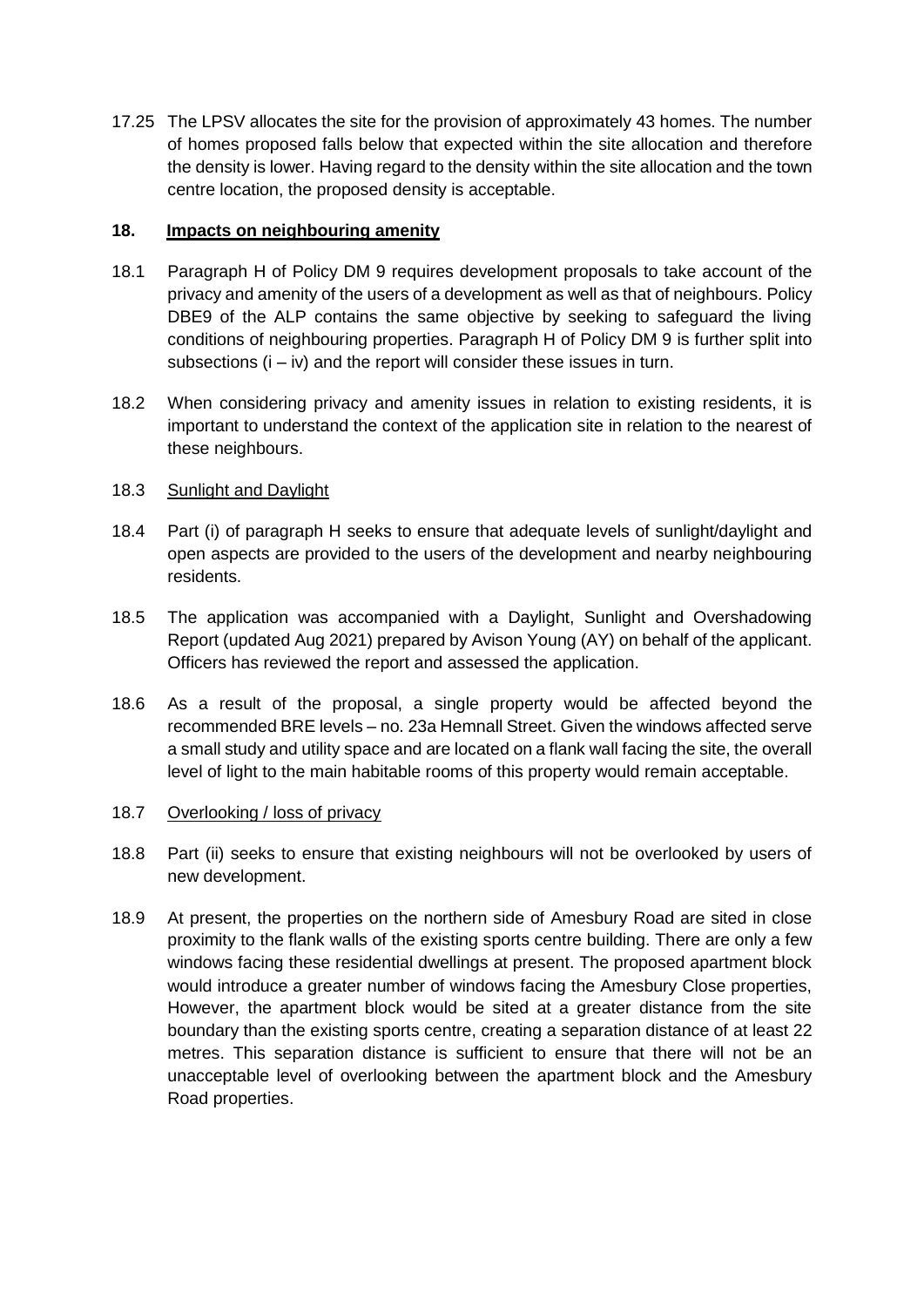17.25 The LPSV allocates the site for the provision of approximately 43 homes. The number of homes proposed falls below that expected within the site allocation and therefore the density is lower. Having regard to the density within the site allocation and the town centre location, the proposed density is acceptable.

### **18. Impacts on neighbouring amenity**

- 18.1 Paragraph H of Policy DM 9 requires development proposals to take account of the privacy and amenity of the users of a development as well as that of neighbours. Policy DBE9 of the ALP contains the same objective by seeking to safeguard the living conditions of neighbouring properties. Paragraph H of Policy DM 9 is further split into subsections  $(i - iv)$  and the report will consider these issues in turn.
- 18.2 When considering privacy and amenity issues in relation to existing residents, it is important to understand the context of the application site in relation to the nearest of these neighbours.

## 18.3 Sunlight and Daylight

- 18.4 Part (i) of paragraph H seeks to ensure that adequate levels of sunlight/daylight and open aspects are provided to the users of the development and nearby neighbouring residents.
- 18.5 The application was accompanied with a Daylight, Sunlight and Overshadowing Report (updated Aug 2021) prepared by Avison Young (AY) on behalf of the applicant. Officers has reviewed the report and assessed the application.
- 18.6 As a result of the proposal, a single property would be affected beyond the recommended BRE levels – no. 23a Hemnall Street. Given the windows affected serve a small study and utility space and are located on a flank wall facing the site, the overall level of light to the main habitable rooms of this property would remain acceptable.

## 18.7 Overlooking / loss of privacy

- 18.8 Part (ii) seeks to ensure that existing neighbours will not be overlooked by users of new development.
- 18.9 At present, the properties on the northern side of Amesbury Road are sited in close proximity to the flank walls of the existing sports centre building. There are only a few windows facing these residential dwellings at present. The proposed apartment block would introduce a greater number of windows facing the Amesbury Close properties, However, the apartment block would be sited at a greater distance from the site boundary than the existing sports centre, creating a separation distance of at least 22 metres. This separation distance is sufficient to ensure that there will not be an unacceptable level of overlooking between the apartment block and the Amesbury Road properties.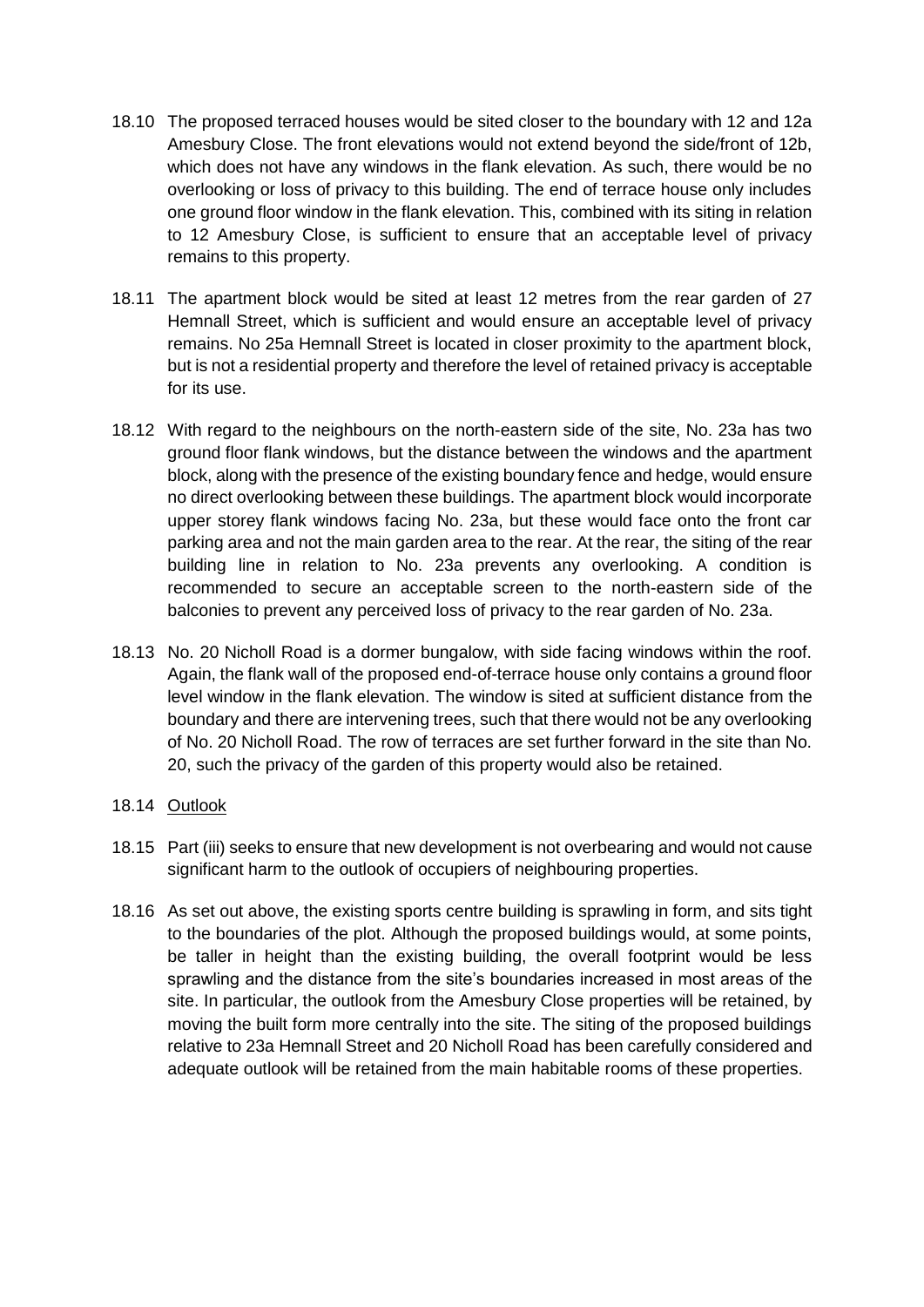- 18.10 The proposed terraced houses would be sited closer to the boundary with 12 and 12a Amesbury Close. The front elevations would not extend beyond the side/front of 12b, which does not have any windows in the flank elevation. As such, there would be no overlooking or loss of privacy to this building. The end of terrace house only includes one ground floor window in the flank elevation. This, combined with its siting in relation to 12 Amesbury Close, is sufficient to ensure that an acceptable level of privacy remains to this property.
- 18.11 The apartment block would be sited at least 12 metres from the rear garden of 27 Hemnall Street, which is sufficient and would ensure an acceptable level of privacy remains. No 25a Hemnall Street is located in closer proximity to the apartment block, but is not a residential property and therefore the level of retained privacy is acceptable for its use.
- 18.12 With regard to the neighbours on the north-eastern side of the site, No. 23a has two ground floor flank windows, but the distance between the windows and the apartment block, along with the presence of the existing boundary fence and hedge, would ensure no direct overlooking between these buildings. The apartment block would incorporate upper storey flank windows facing No. 23a, but these would face onto the front car parking area and not the main garden area to the rear. At the rear, the siting of the rear building line in relation to No. 23a prevents any overlooking. A condition is recommended to secure an acceptable screen to the north-eastern side of the balconies to prevent any perceived loss of privacy to the rear garden of No. 23a.
- 18.13 No. 20 Nicholl Road is a dormer bungalow, with side facing windows within the roof. Again, the flank wall of the proposed end-of-terrace house only contains a ground floor level window in the flank elevation. The window is sited at sufficient distance from the boundary and there are intervening trees, such that there would not be any overlooking of No. 20 Nicholl Road. The row of terraces are set further forward in the site than No. 20, such the privacy of the garden of this property would also be retained.

### 18.14 Outlook

- 18.15 Part (iii) seeks to ensure that new development is not overbearing and would not cause significant harm to the outlook of occupiers of neighbouring properties.
- 18.16 As set out above, the existing sports centre building is sprawling in form, and sits tight to the boundaries of the plot. Although the proposed buildings would, at some points, be taller in height than the existing building, the overall footprint would be less sprawling and the distance from the site's boundaries increased in most areas of the site. In particular, the outlook from the Amesbury Close properties will be retained, by moving the built form more centrally into the site. The siting of the proposed buildings relative to 23a Hemnall Street and 20 Nicholl Road has been carefully considered and adequate outlook will be retained from the main habitable rooms of these properties.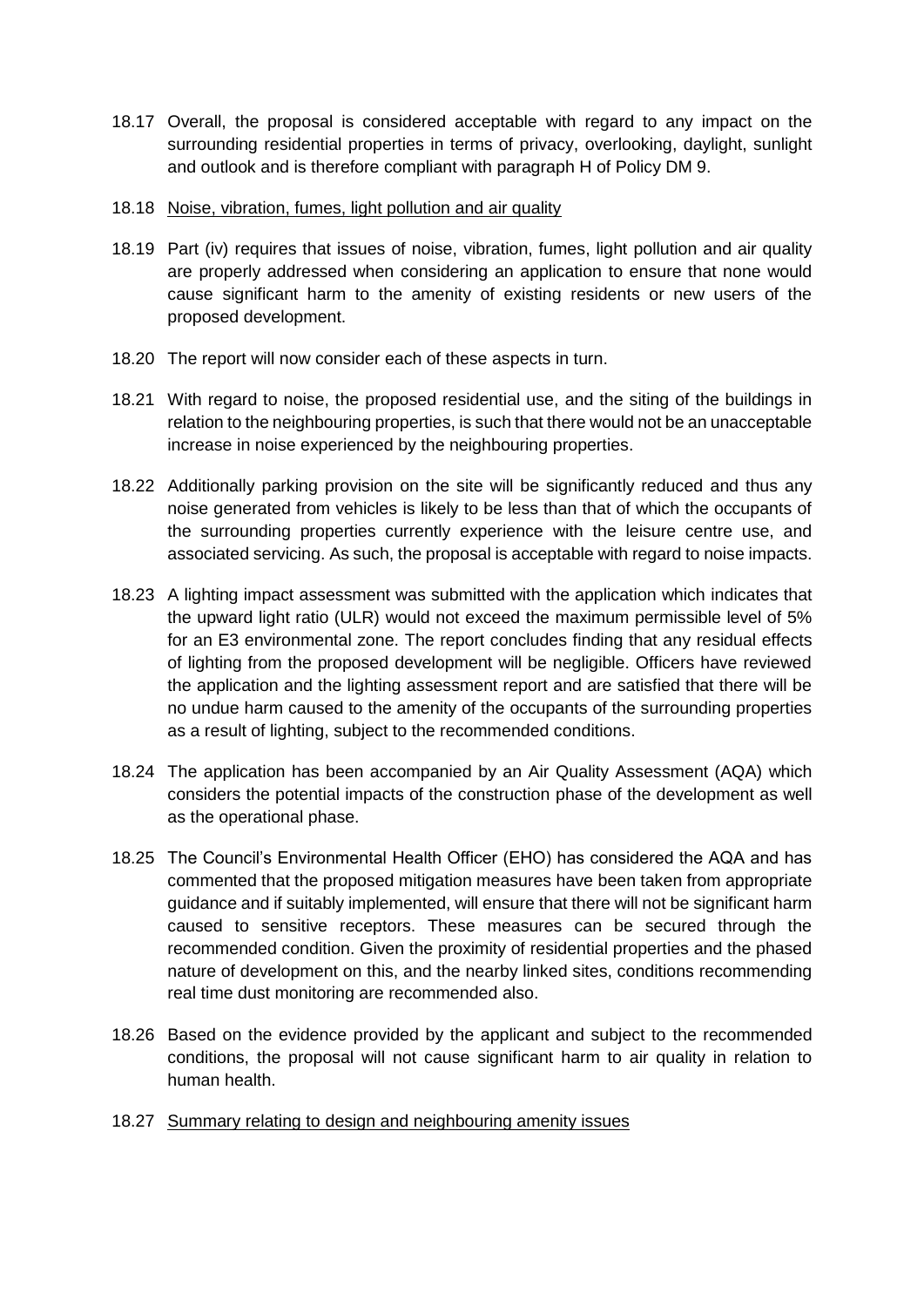18.17 Overall, the proposal is considered acceptable with regard to any impact on the surrounding residential properties in terms of privacy, overlooking, daylight, sunlight and outlook and is therefore compliant with paragraph H of Policy DM 9.

### 18.18 Noise, vibration, fumes, light pollution and air quality

- 18.19 Part (iv) requires that issues of noise, vibration, fumes, light pollution and air quality are properly addressed when considering an application to ensure that none would cause significant harm to the amenity of existing residents or new users of the proposed development.
- 18.20 The report will now consider each of these aspects in turn.
- 18.21 With regard to noise, the proposed residential use, and the siting of the buildings in relation to the neighbouring properties, is such that there would not be an unacceptable increase in noise experienced by the neighbouring properties.
- 18.22 Additionally parking provision on the site will be significantly reduced and thus any noise generated from vehicles is likely to be less than that of which the occupants of the surrounding properties currently experience with the leisure centre use, and associated servicing. As such, the proposal is acceptable with regard to noise impacts.
- 18.23 A lighting impact assessment was submitted with the application which indicates that the upward light ratio (ULR) would not exceed the maximum permissible level of 5% for an E3 environmental zone. The report concludes finding that any residual effects of lighting from the proposed development will be negligible. Officers have reviewed the application and the lighting assessment report and are satisfied that there will be no undue harm caused to the amenity of the occupants of the surrounding properties as a result of lighting, subject to the recommended conditions.
- 18.24 The application has been accompanied by an Air Quality Assessment (AQA) which considers the potential impacts of the construction phase of the development as well as the operational phase.
- 18.25 The Council's Environmental Health Officer (EHO) has considered the AQA and has commented that the proposed mitigation measures have been taken from appropriate guidance and if suitably implemented, will ensure that there will not be significant harm caused to sensitive receptors. These measures can be secured through the recommended condition. Given the proximity of residential properties and the phased nature of development on this, and the nearby linked sites, conditions recommending real time dust monitoring are recommended also.
- 18.26 Based on the evidence provided by the applicant and subject to the recommended conditions, the proposal will not cause significant harm to air quality in relation to human health.
- 18.27 Summary relating to design and neighbouring amenity issues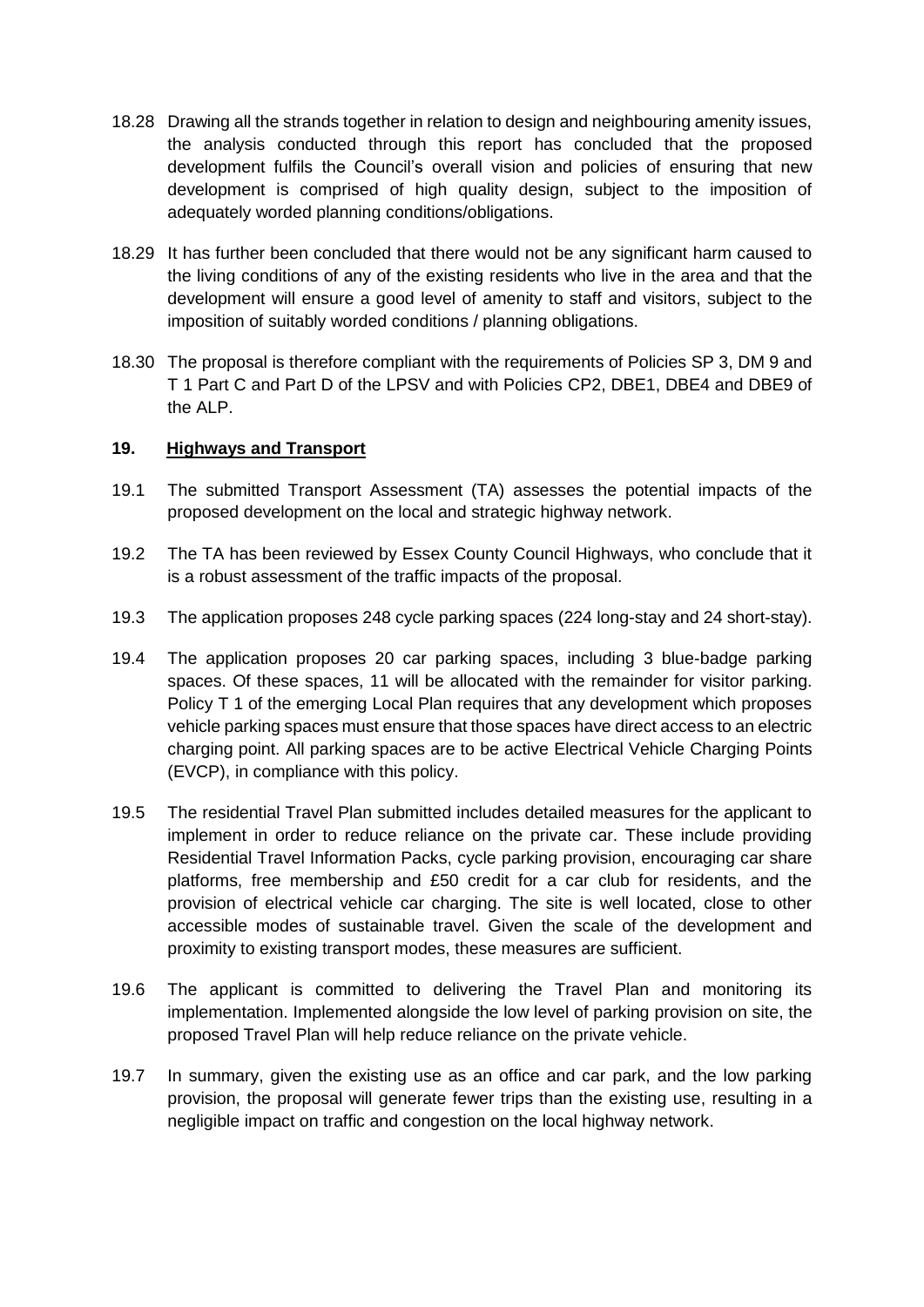- 18.28 Drawing all the strands together in relation to design and neighbouring amenity issues, the analysis conducted through this report has concluded that the proposed development fulfils the Council's overall vision and policies of ensuring that new development is comprised of high quality design, subject to the imposition of adequately worded planning conditions/obligations.
- 18.29 It has further been concluded that there would not be any significant harm caused to the living conditions of any of the existing residents who live in the area and that the development will ensure a good level of amenity to staff and visitors, subject to the imposition of suitably worded conditions / planning obligations.
- 18.30 The proposal is therefore compliant with the requirements of Policies SP 3, DM 9 and T 1 Part C and Part D of the LPSV and with Policies CP2, DBE1, DBE4 and DBE9 of the ALP.

### **19. Highways and Transport**

- 19.1 The submitted Transport Assessment (TA) assesses the potential impacts of the proposed development on the local and strategic highway network.
- 19.2 The TA has been reviewed by Essex County Council Highways, who conclude that it is a robust assessment of the traffic impacts of the proposal.
- 19.3 The application proposes 248 cycle parking spaces (224 long-stay and 24 short-stay).
- 19.4 The application proposes 20 car parking spaces, including 3 blue-badge parking spaces. Of these spaces, 11 will be allocated with the remainder for visitor parking. Policy T 1 of the emerging Local Plan requires that any development which proposes vehicle parking spaces must ensure that those spaces have direct access to an electric charging point. All parking spaces are to be active Electrical Vehicle Charging Points (EVCP), in compliance with this policy.
- 19.5 The residential Travel Plan submitted includes detailed measures for the applicant to implement in order to reduce reliance on the private car. These include providing Residential Travel Information Packs, cycle parking provision, encouraging car share platforms, free membership and £50 credit for a car club for residents, and the provision of electrical vehicle car charging. The site is well located, close to other accessible modes of sustainable travel. Given the scale of the development and proximity to existing transport modes, these measures are sufficient.
- 19.6 The applicant is committed to delivering the Travel Plan and monitoring its implementation. Implemented alongside the low level of parking provision on site, the proposed Travel Plan will help reduce reliance on the private vehicle.
- 19.7 In summary, given the existing use as an office and car park, and the low parking provision, the proposal will generate fewer trips than the existing use, resulting in a negligible impact on traffic and congestion on the local highway network.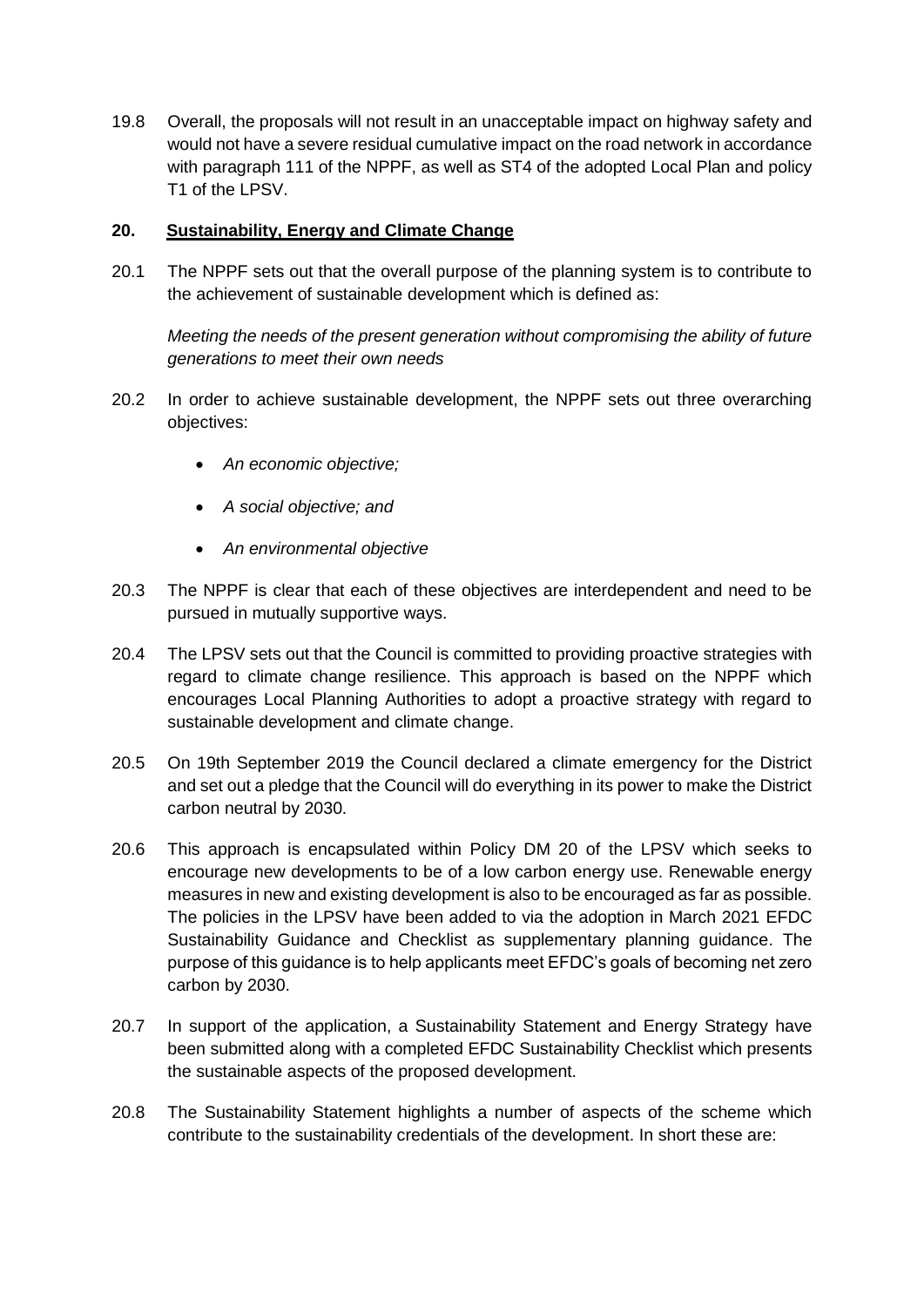19.8 Overall, the proposals will not result in an unacceptable impact on highway safety and would not have a severe residual cumulative impact on the road network in accordance with paragraph 111 of the NPPF, as well as ST4 of the adopted Local Plan and policy T1 of the LPSV.

### **20. Sustainability, Energy and Climate Change**

20.1 The NPPF sets out that the overall purpose of the planning system is to contribute to the achievement of sustainable development which is defined as:

*Meeting the needs of the present generation without compromising the ability of future generations to meet their own needs* 

- 20.2 In order to achieve sustainable development, the NPPF sets out three overarching objectives:
	- *An economic objective;*
	- *A social objective; and*
	- *An environmental objective*
- 20.3 The NPPF is clear that each of these objectives are interdependent and need to be pursued in mutually supportive ways.
- 20.4 The LPSV sets out that the Council is committed to providing proactive strategies with regard to climate change resilience. This approach is based on the NPPF which encourages Local Planning Authorities to adopt a proactive strategy with regard to sustainable development and climate change.
- 20.5 On 19th September 2019 the Council declared a climate emergency for the District and set out a pledge that the Council will do everything in its power to make the District carbon neutral by 2030.
- 20.6 This approach is encapsulated within Policy DM 20 of the LPSV which seeks to encourage new developments to be of a low carbon energy use. Renewable energy measures in new and existing development is also to be encouraged as far as possible. The policies in the LPSV have been added to via the adoption in March 2021 EFDC Sustainability Guidance and Checklist as supplementary planning guidance. The purpose of this guidance is to help applicants meet EFDC's goals of becoming net zero carbon by 2030.
- 20.7 In support of the application, a Sustainability Statement and Energy Strategy have been submitted along with a completed EFDC Sustainability Checklist which presents the sustainable aspects of the proposed development.
- 20.8 The Sustainability Statement highlights a number of aspects of the scheme which contribute to the sustainability credentials of the development. In short these are: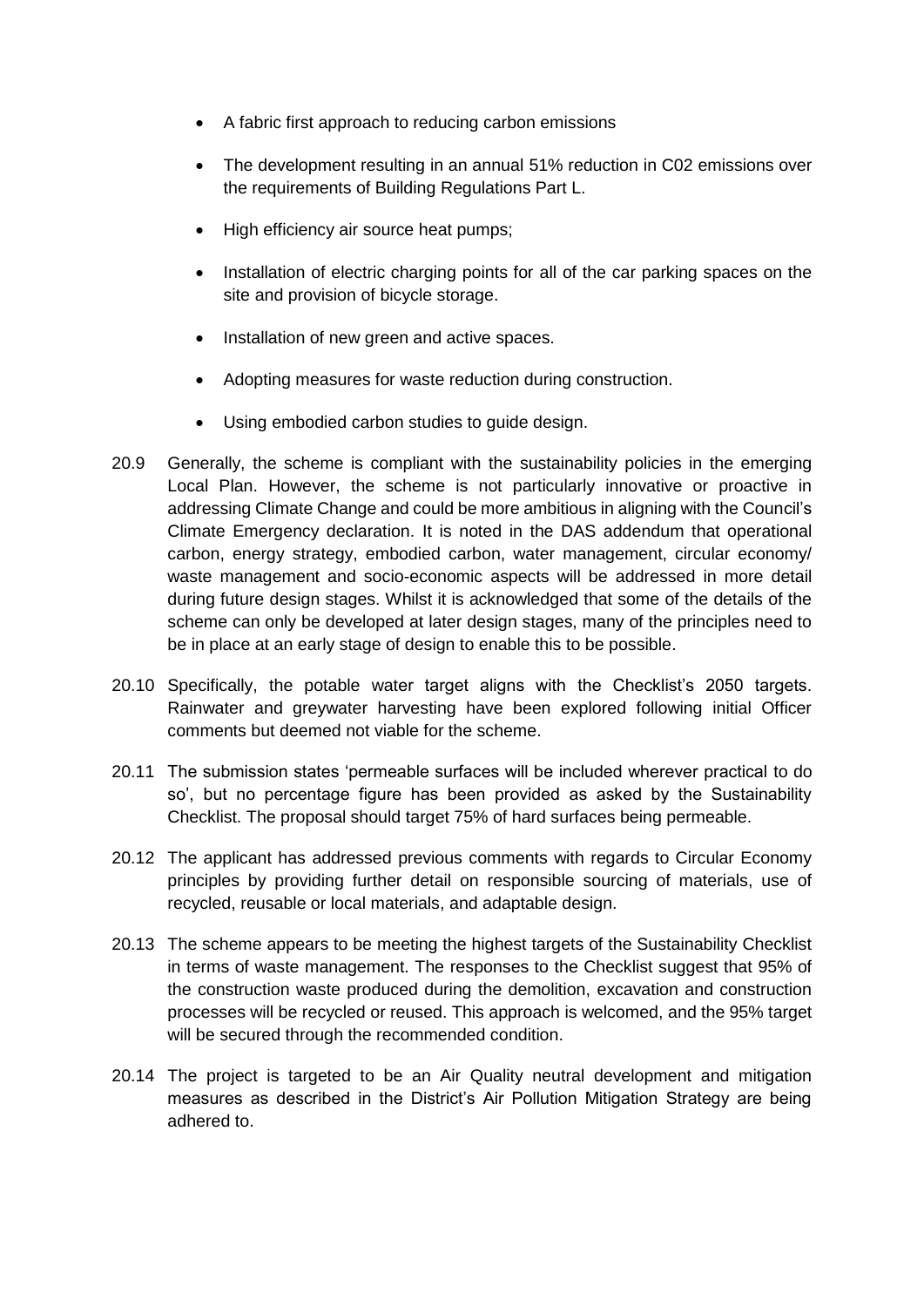- A fabric first approach to reducing carbon emissions
- The development resulting in an annual 51% reduction in C02 emissions over the requirements of Building Regulations Part L.
- High efficiency air source heat pumps;
- Installation of electric charging points for all of the car parking spaces on the site and provision of bicycle storage.
- Installation of new green and active spaces.
- Adopting measures for waste reduction during construction.
- Using embodied carbon studies to guide design.
- 20.9 Generally, the scheme is compliant with the sustainability policies in the emerging Local Plan. However, the scheme is not particularly innovative or proactive in addressing Climate Change and could be more ambitious in aligning with the Council's Climate Emergency declaration. It is noted in the DAS addendum that operational carbon, energy strategy, embodied carbon, water management, circular economy/ waste management and socio-economic aspects will be addressed in more detail during future design stages. Whilst it is acknowledged that some of the details of the scheme can only be developed at later design stages, many of the principles need to be in place at an early stage of design to enable this to be possible.
- 20.10 Specifically, the potable water target aligns with the Checklist's 2050 targets. Rainwater and greywater harvesting have been explored following initial Officer comments but deemed not viable for the scheme.
- 20.11 The submission states 'permeable surfaces will be included wherever practical to do so', but no percentage figure has been provided as asked by the Sustainability Checklist. The proposal should target 75% of hard surfaces being permeable.
- 20.12 The applicant has addressed previous comments with regards to Circular Economy principles by providing further detail on responsible sourcing of materials, use of recycled, reusable or local materials, and adaptable design.
- 20.13 The scheme appears to be meeting the highest targets of the Sustainability Checklist in terms of waste management. The responses to the Checklist suggest that 95% of the construction waste produced during the demolition, excavation and construction processes will be recycled or reused. This approach is welcomed, and the 95% target will be secured through the recommended condition.
- 20.14 The project is targeted to be an Air Quality neutral development and mitigation measures as described in the District's Air Pollution Mitigation Strategy are being adhered to.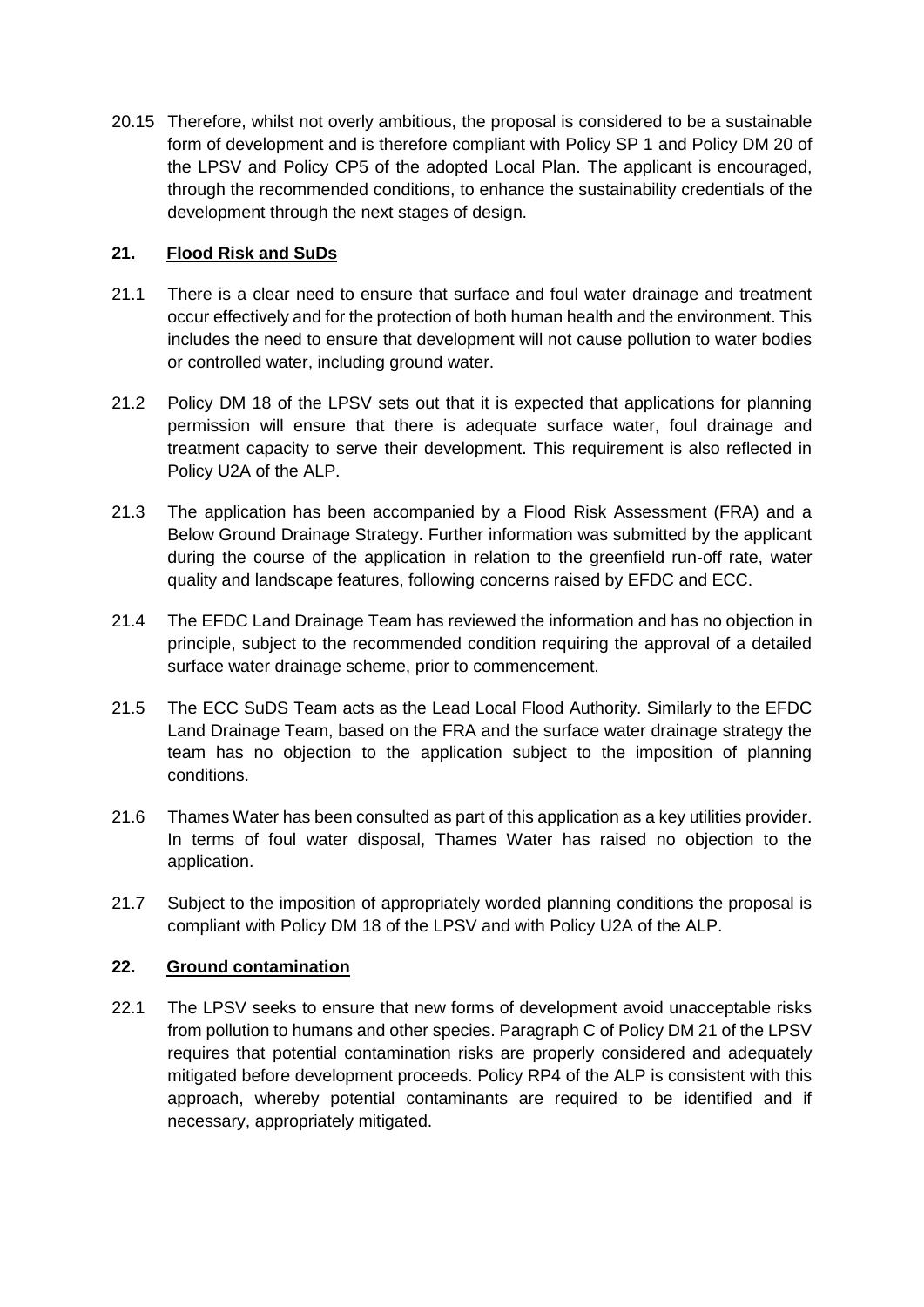20.15 Therefore, whilst not overly ambitious, the proposal is considered to be a sustainable form of development and is therefore compliant with Policy SP 1 and Policy DM 20 of the LPSV and Policy CP5 of the adopted Local Plan. The applicant is encouraged, through the recommended conditions, to enhance the sustainability credentials of the development through the next stages of design.

## **21. Flood Risk and SuDs**

- 21.1 There is a clear need to ensure that surface and foul water drainage and treatment occur effectively and for the protection of both human health and the environment. This includes the need to ensure that development will not cause pollution to water bodies or controlled water, including ground water.
- 21.2 Policy DM 18 of the LPSV sets out that it is expected that applications for planning permission will ensure that there is adequate surface water, foul drainage and treatment capacity to serve their development. This requirement is also reflected in Policy U2A of the ALP.
- 21.3 The application has been accompanied by a Flood Risk Assessment (FRA) and a Below Ground Drainage Strategy. Further information was submitted by the applicant during the course of the application in relation to the greenfield run-off rate, water quality and landscape features, following concerns raised by EFDC and ECC.
- 21.4 The EFDC Land Drainage Team has reviewed the information and has no objection in principle, subject to the recommended condition requiring the approval of a detailed surface water drainage scheme, prior to commencement.
- 21.5 The ECC SuDS Team acts as the Lead Local Flood Authority. Similarly to the EFDC Land Drainage Team, based on the FRA and the surface water drainage strategy the team has no objection to the application subject to the imposition of planning conditions.
- 21.6 Thames Water has been consulted as part of this application as a key utilities provider. In terms of foul water disposal, Thames Water has raised no objection to the application.
- 21.7 Subject to the imposition of appropriately worded planning conditions the proposal is compliant with Policy DM 18 of the LPSV and with Policy U2A of the ALP.

### **22. Ground contamination**

22.1 The LPSV seeks to ensure that new forms of development avoid unacceptable risks from pollution to humans and other species. Paragraph C of Policy DM 21 of the LPSV requires that potential contamination risks are properly considered and adequately mitigated before development proceeds. Policy RP4 of the ALP is consistent with this approach, whereby potential contaminants are required to be identified and if necessary, appropriately mitigated.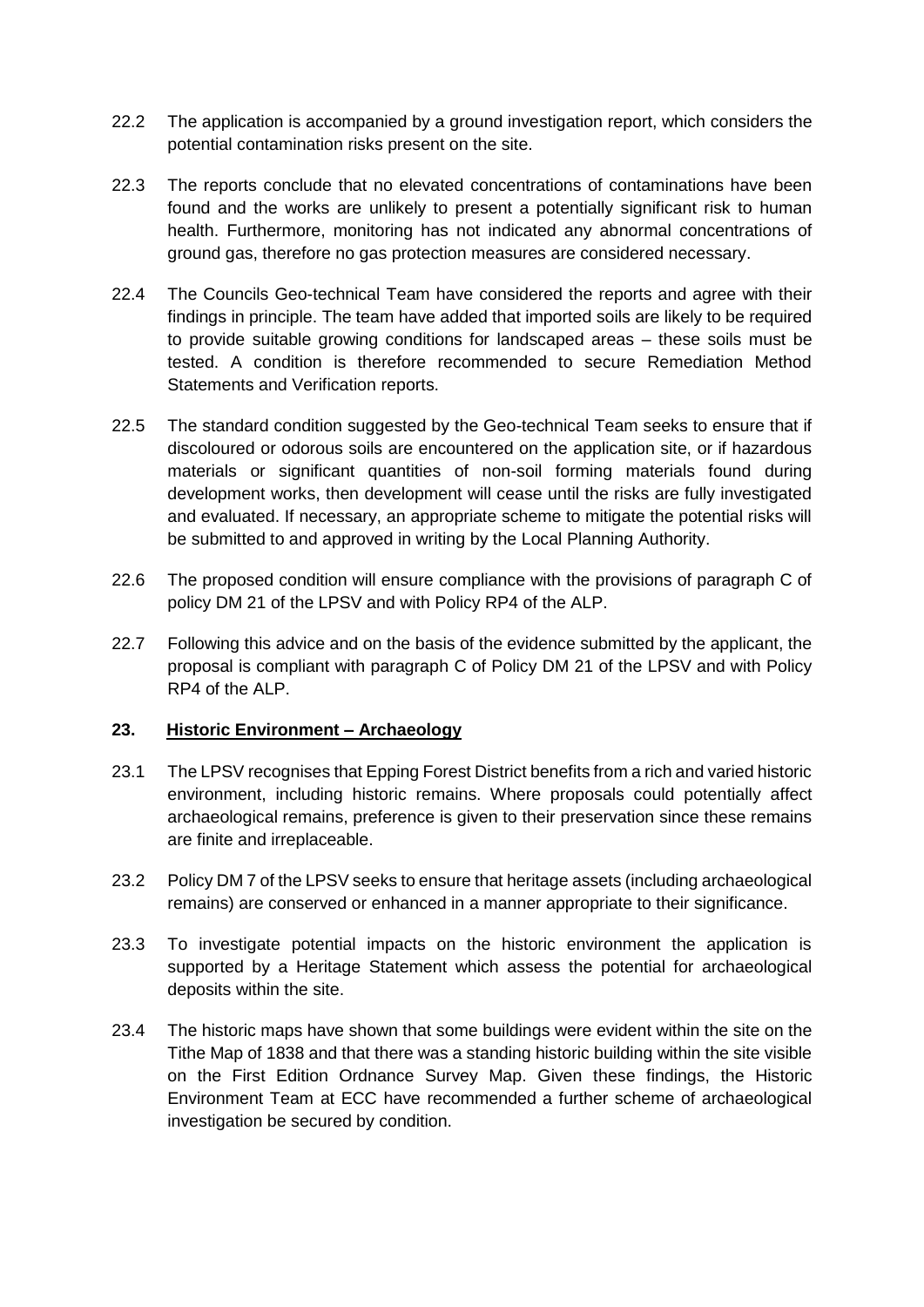- 22.2 The application is accompanied by a ground investigation report, which considers the potential contamination risks present on the site.
- 22.3 The reports conclude that no elevated concentrations of contaminations have been found and the works are unlikely to present a potentially significant risk to human health. Furthermore, monitoring has not indicated any abnormal concentrations of ground gas, therefore no gas protection measures are considered necessary.
- 22.4 The Councils Geo-technical Team have considered the reports and agree with their findings in principle. The team have added that imported soils are likely to be required to provide suitable growing conditions for landscaped areas – these soils must be tested. A condition is therefore recommended to secure Remediation Method Statements and Verification reports.
- 22.5 The standard condition suggested by the Geo-technical Team seeks to ensure that if discoloured or odorous soils are encountered on the application site, or if hazardous materials or significant quantities of non-soil forming materials found during development works, then development will cease until the risks are fully investigated and evaluated. If necessary, an appropriate scheme to mitigate the potential risks will be submitted to and approved in writing by the Local Planning Authority.
- 22.6 The proposed condition will ensure compliance with the provisions of paragraph C of policy DM 21 of the LPSV and with Policy RP4 of the ALP.
- 22.7 Following this advice and on the basis of the evidence submitted by the applicant, the proposal is compliant with paragraph C of Policy DM 21 of the LPSV and with Policy RP4 of the ALP.

### **23. Historic Environment – Archaeology**

- 23.1 The LPSV recognises that Epping Forest District benefits from a rich and varied historic environment, including historic remains. Where proposals could potentially affect archaeological remains, preference is given to their preservation since these remains are finite and irreplaceable.
- 23.2 Policy DM 7 of the LPSV seeks to ensure that heritage assets (including archaeological remains) are conserved or enhanced in a manner appropriate to their significance.
- 23.3 To investigate potential impacts on the historic environment the application is supported by a Heritage Statement which assess the potential for archaeological deposits within the site.
- 23.4 The historic maps have shown that some buildings were evident within the site on the Tithe Map of 1838 and that there was a standing historic building within the site visible on the First Edition Ordnance Survey Map. Given these findings, the Historic Environment Team at ECC have recommended a further scheme of archaeological investigation be secured by condition.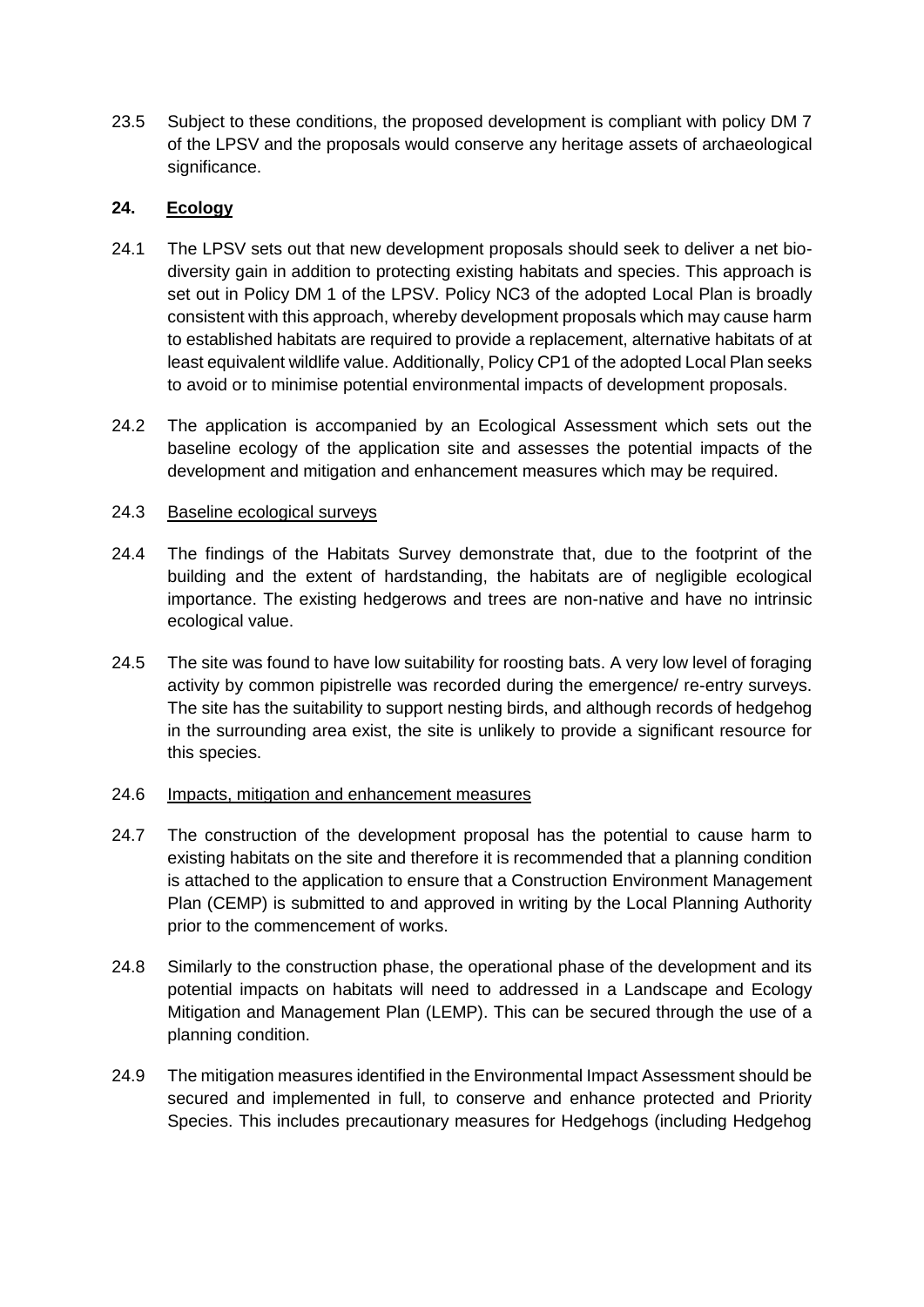23.5 Subject to these conditions, the proposed development is compliant with policy DM 7 of the LPSV and the proposals would conserve any heritage assets of archaeological significance.

## **24. Ecology**

- 24.1 The LPSV sets out that new development proposals should seek to deliver a net biodiversity gain in addition to protecting existing habitats and species. This approach is set out in Policy DM 1 of the LPSV. Policy NC3 of the adopted Local Plan is broadly consistent with this approach, whereby development proposals which may cause harm to established habitats are required to provide a replacement, alternative habitats of at least equivalent wildlife value. Additionally, Policy CP1 of the adopted Local Plan seeks to avoid or to minimise potential environmental impacts of development proposals.
- 24.2 The application is accompanied by an Ecological Assessment which sets out the baseline ecology of the application site and assesses the potential impacts of the development and mitigation and enhancement measures which may be required.

### 24.3 Baseline ecological surveys

- 24.4 The findings of the Habitats Survey demonstrate that, due to the footprint of the building and the extent of hardstanding, the habitats are of negligible ecological importance. The existing hedgerows and trees are non-native and have no intrinsic ecological value.
- 24.5 The site was found to have low suitability for roosting bats. A very low level of foraging activity by common pipistrelle was recorded during the emergence/ re-entry surveys. The site has the suitability to support nesting birds, and although records of hedgehog in the surrounding area exist, the site is unlikely to provide a significant resource for this species.

### 24.6 Impacts, mitigation and enhancement measures

- 24.7 The construction of the development proposal has the potential to cause harm to existing habitats on the site and therefore it is recommended that a planning condition is attached to the application to ensure that a Construction Environment Management Plan (CEMP) is submitted to and approved in writing by the Local Planning Authority prior to the commencement of works.
- 24.8 Similarly to the construction phase, the operational phase of the development and its potential impacts on habitats will need to addressed in a Landscape and Ecology Mitigation and Management Plan (LEMP). This can be secured through the use of a planning condition.
- 24.9 The mitigation measures identified in the Environmental Impact Assessment should be secured and implemented in full, to conserve and enhance protected and Priority Species. This includes precautionary measures for Hedgehogs (including Hedgehog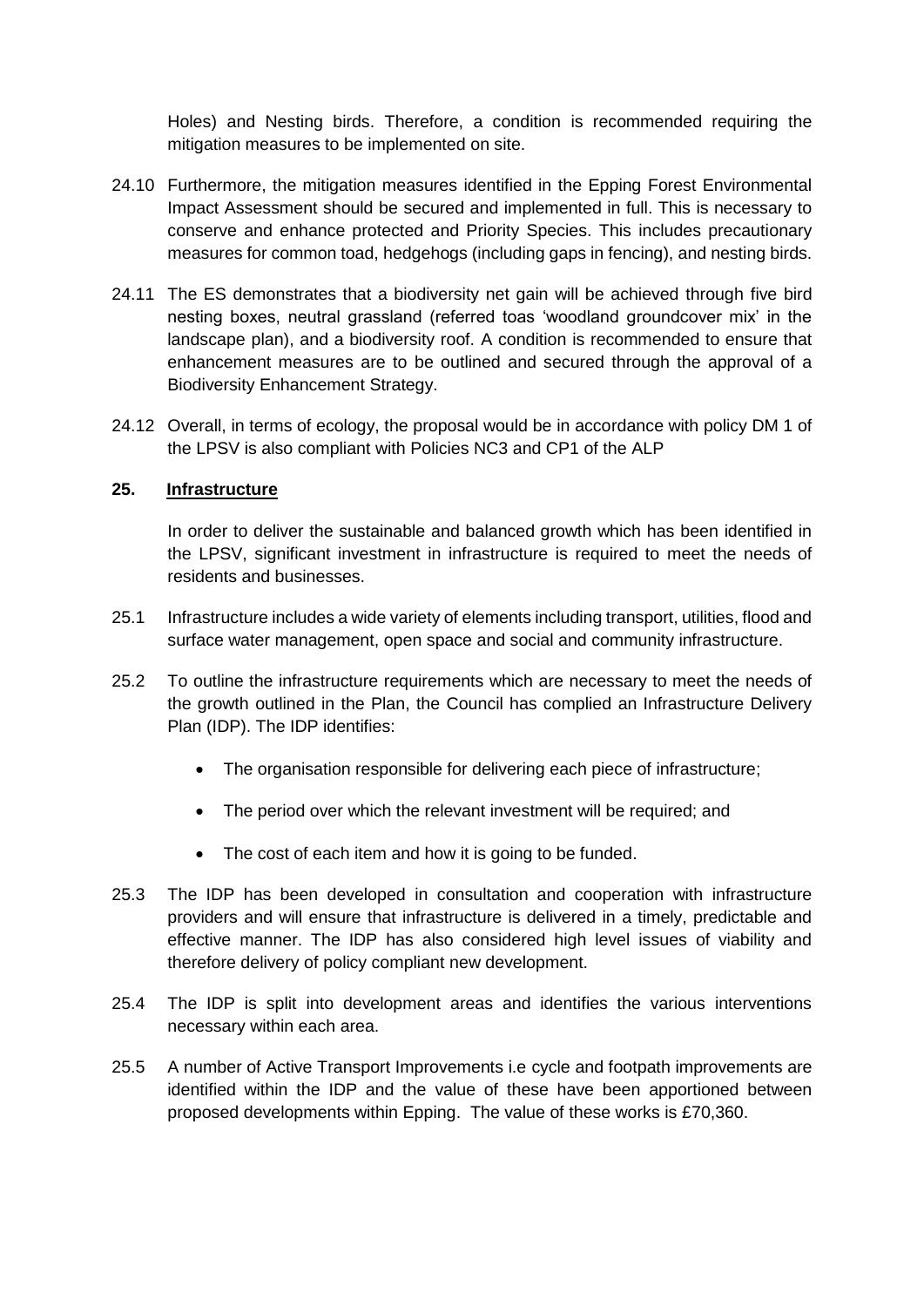Holes) and Nesting birds. Therefore, a condition is recommended requiring the mitigation measures to be implemented on site.

- 24.10 Furthermore, the mitigation measures identified in the Epping Forest Environmental Impact Assessment should be secured and implemented in full. This is necessary to conserve and enhance protected and Priority Species. This includes precautionary measures for common toad, hedgehogs (including gaps in fencing), and nesting birds.
- 24.11 The ES demonstrates that a biodiversity net gain will be achieved through five bird nesting boxes, neutral grassland (referred toas 'woodland groundcover mix' in the landscape plan), and a biodiversity roof. A condition is recommended to ensure that enhancement measures are to be outlined and secured through the approval of a Biodiversity Enhancement Strategy.
- 24.12 Overall, in terms of ecology, the proposal would be in accordance with policy DM 1 of the LPSV is also compliant with Policies NC3 and CP1 of the ALP

### **25. Infrastructure**

In order to deliver the sustainable and balanced growth which has been identified in the LPSV, significant investment in infrastructure is required to meet the needs of residents and businesses.

- 25.1 Infrastructure includes a wide variety of elements including transport, utilities, flood and surface water management, open space and social and community infrastructure.
- 25.2 To outline the infrastructure requirements which are necessary to meet the needs of the growth outlined in the Plan, the Council has complied an Infrastructure Delivery Plan (IDP). The IDP identifies:
	- The organisation responsible for delivering each piece of infrastructure;
	- The period over which the relevant investment will be required; and
	- The cost of each item and how it is going to be funded.
- 25.3 The IDP has been developed in consultation and cooperation with infrastructure providers and will ensure that infrastructure is delivered in a timely, predictable and effective manner. The IDP has also considered high level issues of viability and therefore delivery of policy compliant new development.
- 25.4 The IDP is split into development areas and identifies the various interventions necessary within each area.
- 25.5 A number of Active Transport Improvements i.e cycle and footpath improvements are identified within the IDP and the value of these have been apportioned between proposed developments within Epping. The value of these works is £70,360.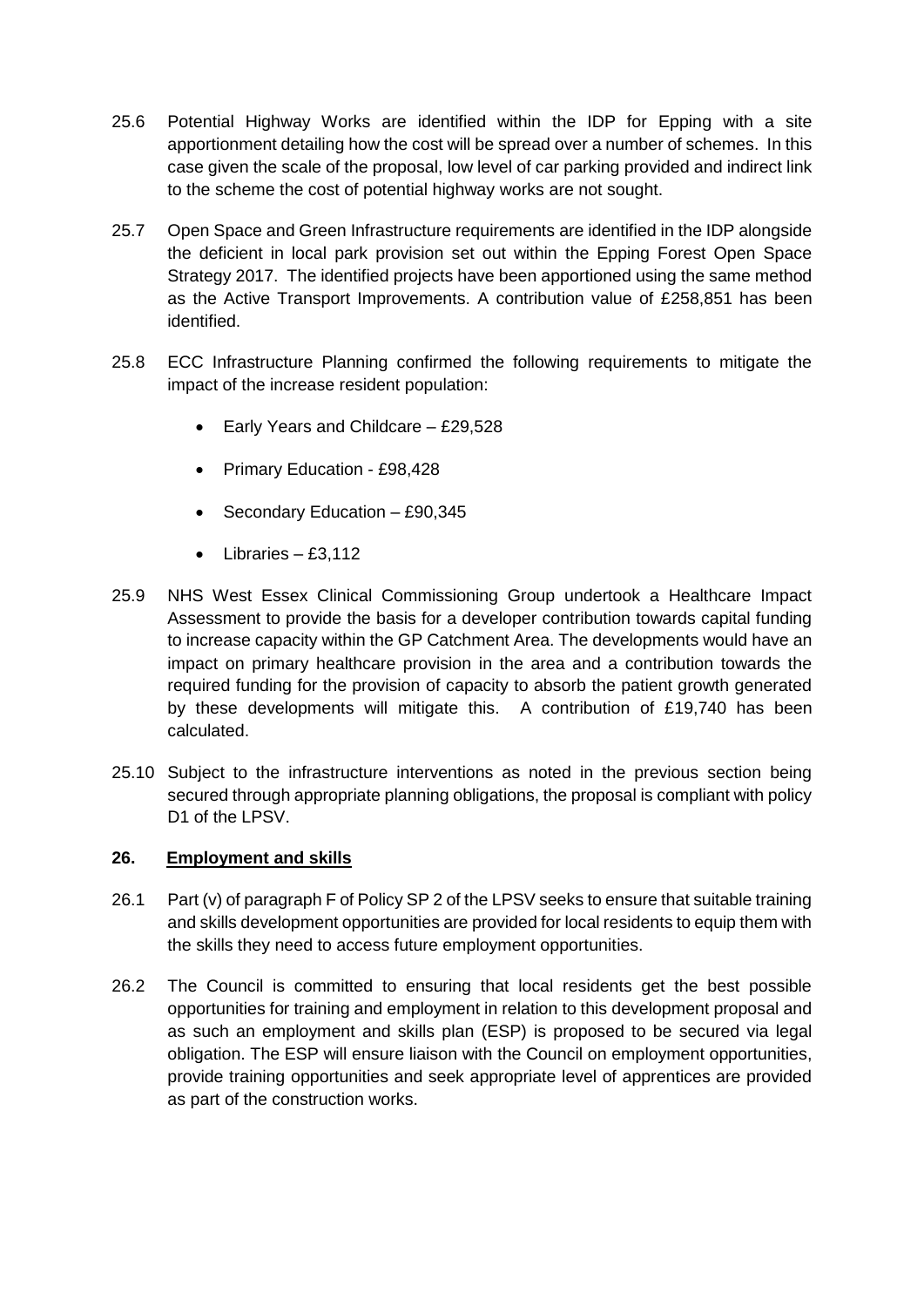- 25.6 Potential Highway Works are identified within the IDP for Epping with a site apportionment detailing how the cost will be spread over a number of schemes. In this case given the scale of the proposal, low level of car parking provided and indirect link to the scheme the cost of potential highway works are not sought.
- 25.7 Open Space and Green Infrastructure requirements are identified in the IDP alongside the deficient in local park provision set out within the Epping Forest Open Space Strategy 2017. The identified projects have been apportioned using the same method as the Active Transport Improvements. A contribution value of £258,851 has been identified.
- 25.8 ECC Infrastructure Planning confirmed the following requirements to mitigate the impact of the increase resident population:
	- $\bullet$  Early Years and Childcare £29,528
	- Primary Education £98,428
	- Secondary Education  $-$  £90,345
	- $\bullet$  Libraries £3,112
- 25.9 NHS West Essex Clinical Commissioning Group undertook a Healthcare Impact Assessment to provide the basis for a developer contribution towards capital funding to increase capacity within the GP Catchment Area. The developments would have an impact on primary healthcare provision in the area and a contribution towards the required funding for the provision of capacity to absorb the patient growth generated by these developments will mitigate this. A contribution of £19,740 has been calculated.
- 25.10 Subject to the infrastructure interventions as noted in the previous section being secured through appropriate planning obligations, the proposal is compliant with policy D<sub>1</sub> of the LPS<sub>V</sub>.

## **26. Employment and skills**

- 26.1 Part (v) of paragraph F of Policy SP 2 of the LPSV seeks to ensure that suitable training and skills development opportunities are provided for local residents to equip them with the skills they need to access future employment opportunities.
- 26.2 The Council is committed to ensuring that local residents get the best possible opportunities for training and employment in relation to this development proposal and as such an employment and skills plan (ESP) is proposed to be secured via legal obligation. The ESP will ensure liaison with the Council on employment opportunities, provide training opportunities and seek appropriate level of apprentices are provided as part of the construction works.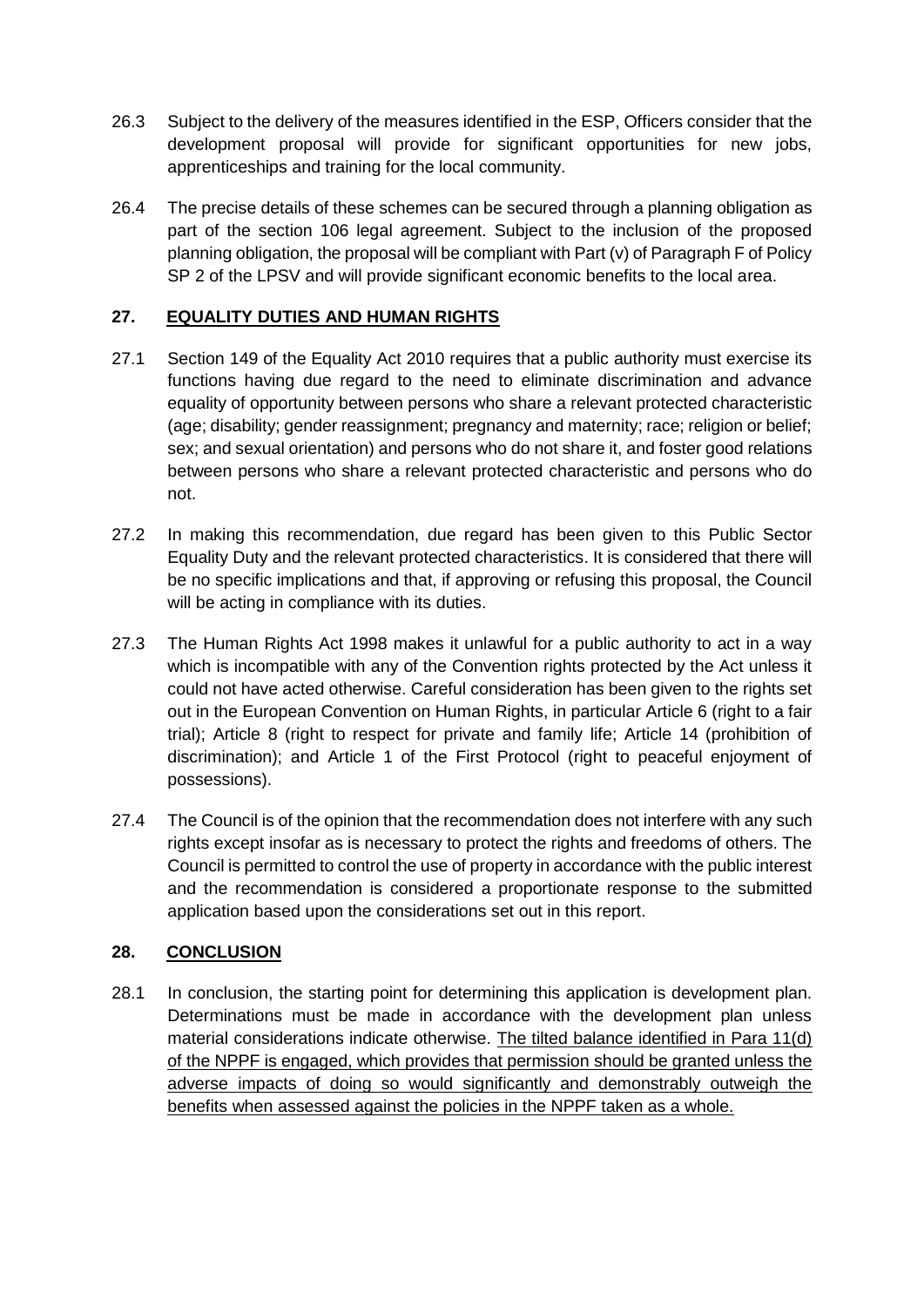- 26.3 Subject to the delivery of the measures identified in the ESP, Officers consider that the development proposal will provide for significant opportunities for new jobs, apprenticeships and training for the local community.
- 26.4 The precise details of these schemes can be secured through a planning obligation as part of the section 106 legal agreement. Subject to the inclusion of the proposed planning obligation, the proposal will be compliant with Part (v) of Paragraph F of Policy SP 2 of the LPSV and will provide significant economic benefits to the local area.

# **27. EQUALITY DUTIES AND HUMAN RIGHTS**

- 27.1 Section 149 of the Equality Act 2010 requires that a public authority must exercise its functions having due regard to the need to eliminate discrimination and advance equality of opportunity between persons who share a relevant protected characteristic (age; disability; gender reassignment; pregnancy and maternity; race; religion or belief; sex; and sexual orientation) and persons who do not share it, and foster good relations between persons who share a relevant protected characteristic and persons who do not.
- 27.2 In making this recommendation, due regard has been given to this Public Sector Equality Duty and the relevant protected characteristics. It is considered that there will be no specific implications and that, if approving or refusing this proposal, the Council will be acting in compliance with its duties.
- 27.3 The Human Rights Act 1998 makes it unlawful for a public authority to act in a way which is incompatible with any of the Convention rights protected by the Act unless it could not have acted otherwise. Careful consideration has been given to the rights set out in the European Convention on Human Rights, in particular Article 6 (right to a fair trial); Article 8 (right to respect for private and family life; Article 14 (prohibition of discrimination); and Article 1 of the First Protocol (right to peaceful enjoyment of possessions).
- 27.4 The Council is of the opinion that the recommendation does not interfere with any such rights except insofar as is necessary to protect the rights and freedoms of others. The Council is permitted to control the use of property in accordance with the public interest and the recommendation is considered a proportionate response to the submitted application based upon the considerations set out in this report.

## **28. CONCLUSION**

28.1 In conclusion, the starting point for determining this application is development plan. Determinations must be made in accordance with the development plan unless material considerations indicate otherwise. The tilted balance identified in Para 11(d) of the NPPF is engaged, which provides that permission should be granted unless the adverse impacts of doing so would significantly and demonstrably outweigh the benefits when assessed against the policies in the NPPF taken as a whole.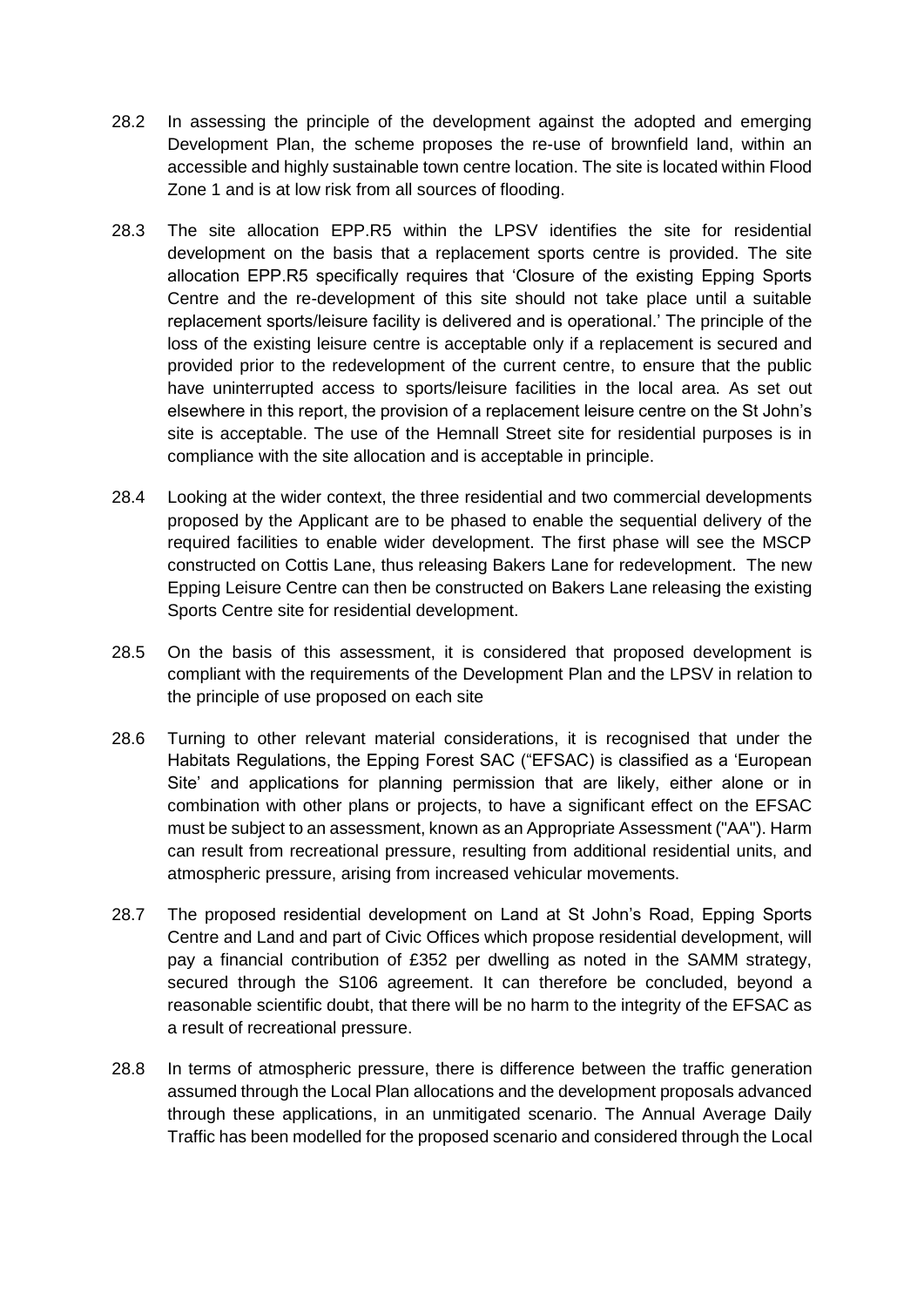- 28.2 In assessing the principle of the development against the adopted and emerging Development Plan, the scheme proposes the re-use of brownfield land, within an accessible and highly sustainable town centre location. The site is located within Flood Zone 1 and is at low risk from all sources of flooding.
- 28.3 The site allocation EPP.R5 within the LPSV identifies the site for residential development on the basis that a replacement sports centre is provided. The site allocation EPP.R5 specifically requires that 'Closure of the existing Epping Sports Centre and the re-development of this site should not take place until a suitable replacement sports/leisure facility is delivered and is operational.' The principle of the loss of the existing leisure centre is acceptable only if a replacement is secured and provided prior to the redevelopment of the current centre, to ensure that the public have uninterrupted access to sports/leisure facilities in the local area. As set out elsewhere in this report, the provision of a replacement leisure centre on the St John's site is acceptable. The use of the Hemnall Street site for residential purposes is in compliance with the site allocation and is acceptable in principle.
- 28.4 Looking at the wider context, the three residential and two commercial developments proposed by the Applicant are to be phased to enable the sequential delivery of the required facilities to enable wider development. The first phase will see the MSCP constructed on Cottis Lane, thus releasing Bakers Lane for redevelopment. The new Epping Leisure Centre can then be constructed on Bakers Lane releasing the existing Sports Centre site for residential development.
- 28.5 On the basis of this assessment, it is considered that proposed development is compliant with the requirements of the Development Plan and the LPSV in relation to the principle of use proposed on each site
- 28.6 Turning to other relevant material considerations, it is recognised that under the Habitats Regulations, the Epping Forest SAC ("EFSAC) is classified as a 'European Site' and applications for planning permission that are likely, either alone or in combination with other plans or projects, to have a significant effect on the EFSAC must be subject to an assessment, known as an Appropriate Assessment ("AA"). Harm can result from recreational pressure, resulting from additional residential units, and atmospheric pressure, arising from increased vehicular movements.
- 28.7 The proposed residential development on Land at St John's Road, Epping Sports Centre and Land and part of Civic Offices which propose residential development, will pay a financial contribution of £352 per dwelling as noted in the SAMM strategy, secured through the S106 agreement. It can therefore be concluded, beyond a reasonable scientific doubt, that there will be no harm to the integrity of the EFSAC as a result of recreational pressure.
- 28.8 In terms of atmospheric pressure, there is difference between the traffic generation assumed through the Local Plan allocations and the development proposals advanced through these applications, in an unmitigated scenario. The Annual Average Daily Traffic has been modelled for the proposed scenario and considered through the Local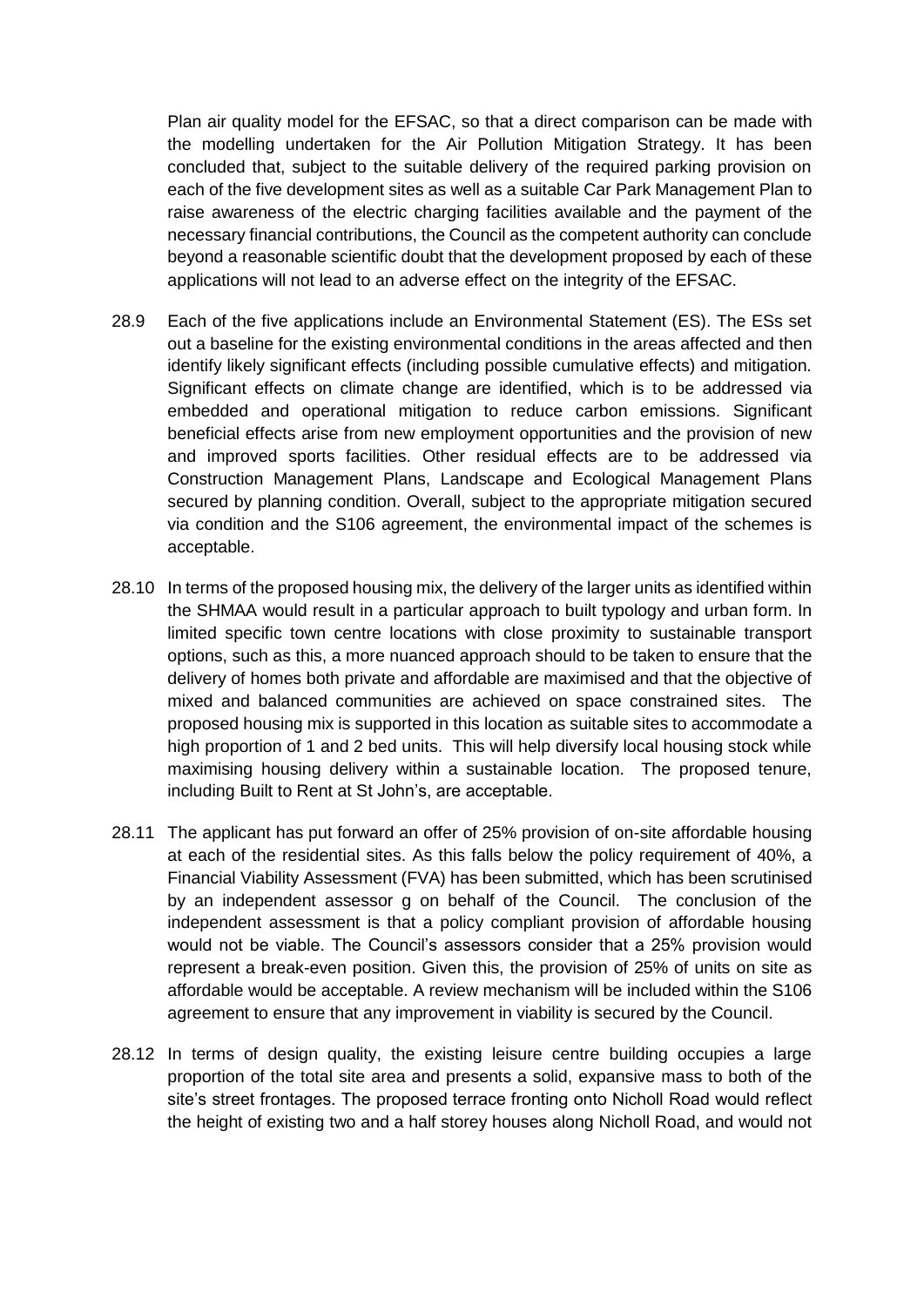Plan air quality model for the EFSAC, so that a direct comparison can be made with the modelling undertaken for the Air Pollution Mitigation Strategy. It has been concluded that, subject to the suitable delivery of the required parking provision on each of the five development sites as well as a suitable Car Park Management Plan to raise awareness of the electric charging facilities available and the payment of the necessary financial contributions, the Council as the competent authority can conclude beyond a reasonable scientific doubt that the development proposed by each of these applications will not lead to an adverse effect on the integrity of the EFSAC.

- 28.9 Each of the five applications include an Environmental Statement (ES). The ESs set out a baseline for the existing environmental conditions in the areas affected and then identify likely significant effects (including possible cumulative effects) and mitigation. Significant effects on climate change are identified, which is to be addressed via embedded and operational mitigation to reduce carbon emissions. Significant beneficial effects arise from new employment opportunities and the provision of new and improved sports facilities. Other residual effects are to be addressed via Construction Management Plans, Landscape and Ecological Management Plans secured by planning condition. Overall, subject to the appropriate mitigation secured via condition and the S106 agreement, the environmental impact of the schemes is acceptable.
- 28.10 In terms of the proposed housing mix, the delivery of the larger units as identified within the SHMAA would result in a particular approach to built typology and urban form. In limited specific town centre locations with close proximity to sustainable transport options, such as this, a more nuanced approach should to be taken to ensure that the delivery of homes both private and affordable are maximised and that the objective of mixed and balanced communities are achieved on space constrained sites. The proposed housing mix is supported in this location as suitable sites to accommodate a high proportion of 1 and 2 bed units. This will help diversify local housing stock while maximising housing delivery within a sustainable location. The proposed tenure, including Built to Rent at St John's, are acceptable.
- 28.11 The applicant has put forward an offer of 25% provision of on-site affordable housing at each of the residential sites. As this falls below the policy requirement of 40%, a Financial Viability Assessment (FVA) has been submitted, which has been scrutinised by an independent assessor g on behalf of the Council. The conclusion of the independent assessment is that a policy compliant provision of affordable housing would not be viable. The Council's assessors consider that a 25% provision would represent a break-even position. Given this, the provision of 25% of units on site as affordable would be acceptable. A review mechanism will be included within the S106 agreement to ensure that any improvement in viability is secured by the Council.
- 28.12 In terms of design quality, the existing leisure centre building occupies a large proportion of the total site area and presents a solid, expansive mass to both of the site's street frontages. The proposed terrace fronting onto Nicholl Road would reflect the height of existing two and a half storey houses along Nicholl Road, and would not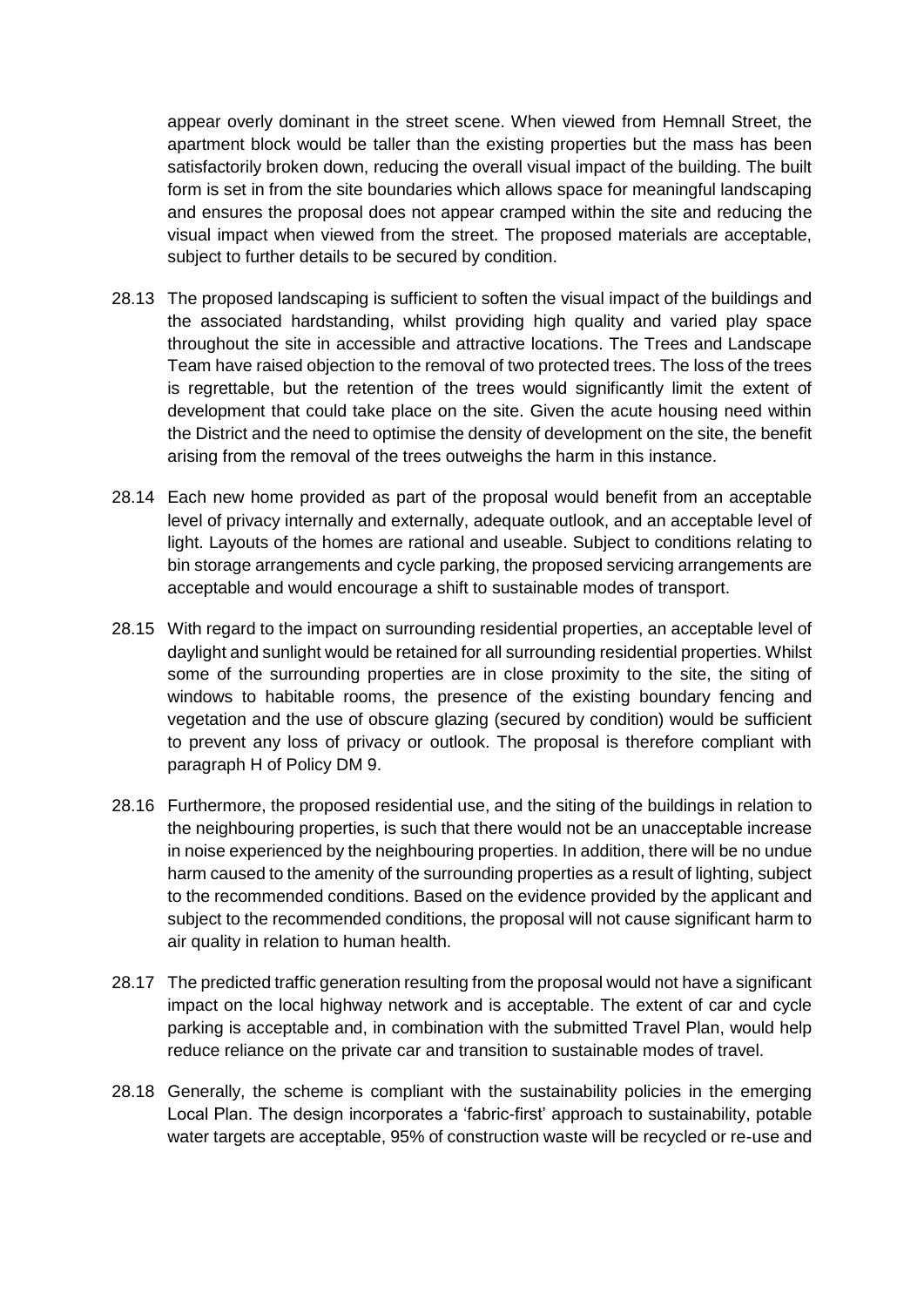appear overly dominant in the street scene. When viewed from Hemnall Street, the apartment block would be taller than the existing properties but the mass has been satisfactorily broken down, reducing the overall visual impact of the building. The built form is set in from the site boundaries which allows space for meaningful landscaping and ensures the proposal does not appear cramped within the site and reducing the visual impact when viewed from the street. The proposed materials are acceptable, subject to further details to be secured by condition.

- 28.13 The proposed landscaping is sufficient to soften the visual impact of the buildings and the associated hardstanding, whilst providing high quality and varied play space throughout the site in accessible and attractive locations. The Trees and Landscape Team have raised objection to the removal of two protected trees. The loss of the trees is regrettable, but the retention of the trees would significantly limit the extent of development that could take place on the site. Given the acute housing need within the District and the need to optimise the density of development on the site, the benefit arising from the removal of the trees outweighs the harm in this instance.
- 28.14 Each new home provided as part of the proposal would benefit from an acceptable level of privacy internally and externally, adequate outlook, and an acceptable level of light. Layouts of the homes are rational and useable. Subject to conditions relating to bin storage arrangements and cycle parking, the proposed servicing arrangements are acceptable and would encourage a shift to sustainable modes of transport.
- 28.15 With regard to the impact on surrounding residential properties, an acceptable level of daylight and sunlight would be retained for all surrounding residential properties. Whilst some of the surrounding properties are in close proximity to the site, the siting of windows to habitable rooms, the presence of the existing boundary fencing and vegetation and the use of obscure glazing (secured by condition) would be sufficient to prevent any loss of privacy or outlook. The proposal is therefore compliant with paragraph H of Policy DM 9.
- 28.16 Furthermore, the proposed residential use, and the siting of the buildings in relation to the neighbouring properties, is such that there would not be an unacceptable increase in noise experienced by the neighbouring properties. In addition, there will be no undue harm caused to the amenity of the surrounding properties as a result of lighting, subject to the recommended conditions. Based on the evidence provided by the applicant and subject to the recommended conditions, the proposal will not cause significant harm to air quality in relation to human health.
- 28.17 The predicted traffic generation resulting from the proposal would not have a significant impact on the local highway network and is acceptable. The extent of car and cycle parking is acceptable and, in combination with the submitted Travel Plan, would help reduce reliance on the private car and transition to sustainable modes of travel.
- 28.18 Generally, the scheme is compliant with the sustainability policies in the emerging Local Plan. The design incorporates a 'fabric-first' approach to sustainability, potable water targets are acceptable, 95% of construction waste will be recycled or re-use and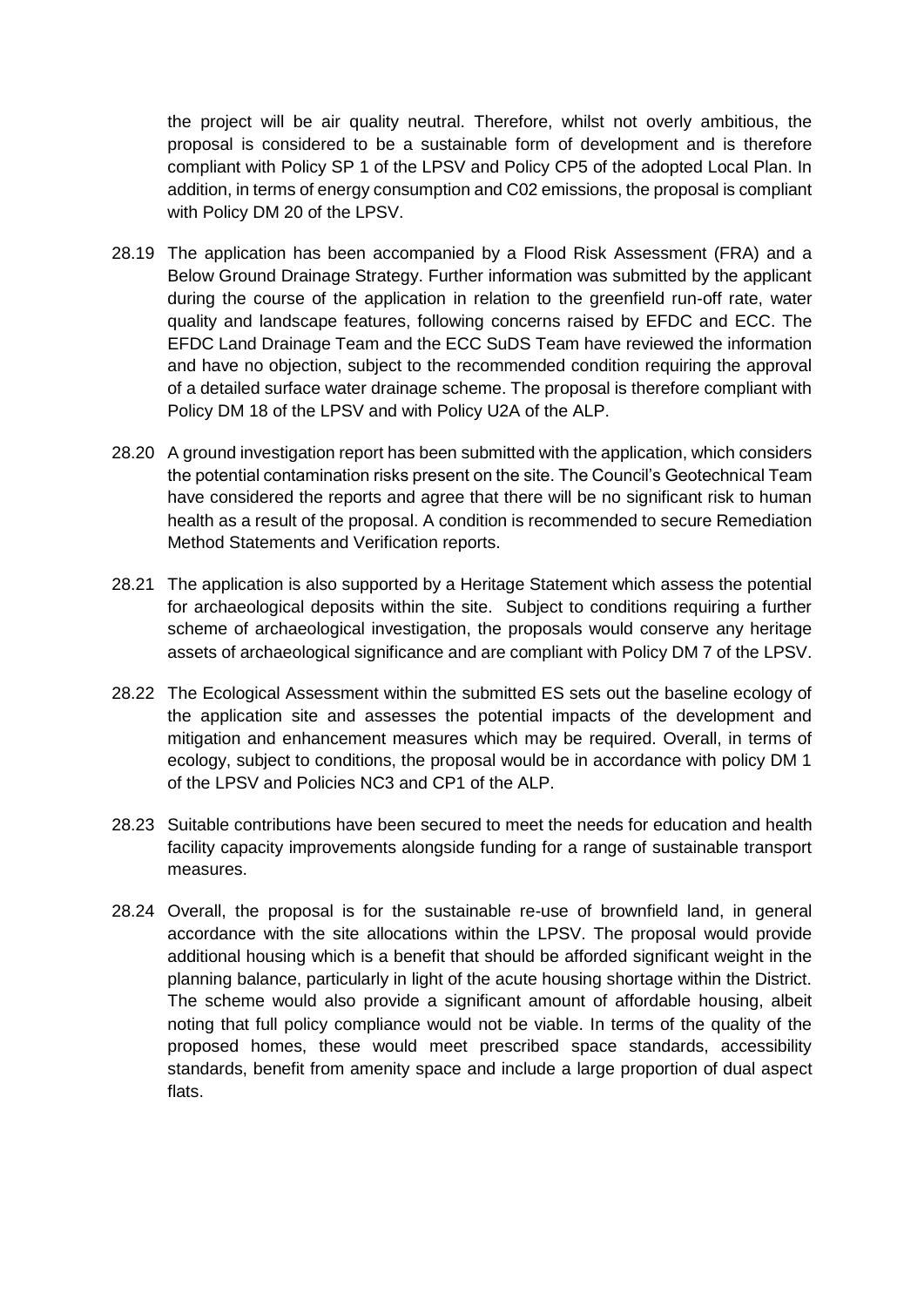the project will be air quality neutral. Therefore, whilst not overly ambitious, the proposal is considered to be a sustainable form of development and is therefore compliant with Policy SP 1 of the LPSV and Policy CP5 of the adopted Local Plan. In addition, in terms of energy consumption and C02 emissions, the proposal is compliant with Policy DM 20 of the LPSV.

- 28.19 The application has been accompanied by a Flood Risk Assessment (FRA) and a Below Ground Drainage Strategy. Further information was submitted by the applicant during the course of the application in relation to the greenfield run-off rate, water quality and landscape features, following concerns raised by EFDC and ECC. The EFDC Land Drainage Team and the ECC SuDS Team have reviewed the information and have no objection, subject to the recommended condition requiring the approval of a detailed surface water drainage scheme. The proposal is therefore compliant with Policy DM 18 of the LPSV and with Policy U2A of the ALP.
- 28.20 A ground investigation report has been submitted with the application, which considers the potential contamination risks present on the site. The Council's Geotechnical Team have considered the reports and agree that there will be no significant risk to human health as a result of the proposal. A condition is recommended to secure Remediation Method Statements and Verification reports.
- 28.21 The application is also supported by a Heritage Statement which assess the potential for archaeological deposits within the site. Subject to conditions requiring a further scheme of archaeological investigation, the proposals would conserve any heritage assets of archaeological significance and are compliant with Policy DM 7 of the LPSV.
- 28.22 The Ecological Assessment within the submitted ES sets out the baseline ecology of the application site and assesses the potential impacts of the development and mitigation and enhancement measures which may be required. Overall, in terms of ecology, subject to conditions, the proposal would be in accordance with policy DM 1 of the LPSV and Policies NC3 and CP1 of the ALP.
- 28.23 Suitable contributions have been secured to meet the needs for education and health facility capacity improvements alongside funding for a range of sustainable transport measures.
- 28.24 Overall, the proposal is for the sustainable re-use of brownfield land, in general accordance with the site allocations within the LPSV. The proposal would provide additional housing which is a benefit that should be afforded significant weight in the planning balance, particularly in light of the acute housing shortage within the District. The scheme would also provide a significant amount of affordable housing, albeit noting that full policy compliance would not be viable. In terms of the quality of the proposed homes, these would meet prescribed space standards, accessibility standards, benefit from amenity space and include a large proportion of dual aspect flats.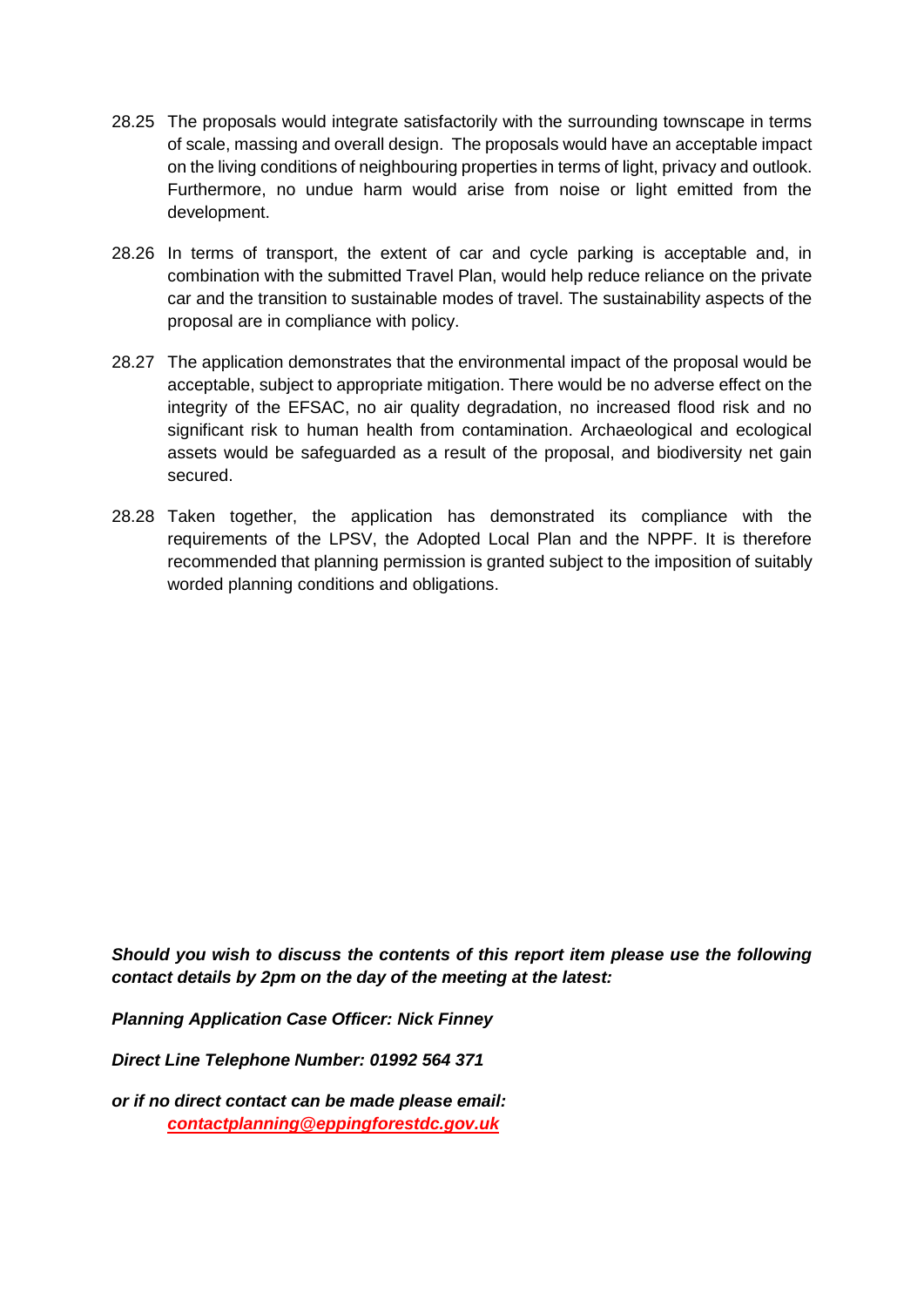- 28.25 The proposals would integrate satisfactorily with the surrounding townscape in terms of scale, massing and overall design. The proposals would have an acceptable impact on the living conditions of neighbouring properties in terms of light, privacy and outlook. Furthermore, no undue harm would arise from noise or light emitted from the development.
- 28.26 In terms of transport, the extent of car and cycle parking is acceptable and, in combination with the submitted Travel Plan, would help reduce reliance on the private car and the transition to sustainable modes of travel. The sustainability aspects of the proposal are in compliance with policy.
- 28.27 The application demonstrates that the environmental impact of the proposal would be acceptable, subject to appropriate mitigation. There would be no adverse effect on the integrity of the EFSAC, no air quality degradation, no increased flood risk and no significant risk to human health from contamination. Archaeological and ecological assets would be safeguarded as a result of the proposal, and biodiversity net gain secured.
- 28.28 Taken together, the application has demonstrated its compliance with the requirements of the LPSV, the Adopted Local Plan and the NPPF. It is therefore recommended that planning permission is granted subject to the imposition of suitably worded planning conditions and obligations.

*Should you wish to discuss the contents of this report item please use the following contact details by 2pm on the day of the meeting at the latest:*

*Planning Application Case Officer: Nick Finney*

*Direct Line Telephone Number: 01992 564 371*

*or if no direct contact can be made please email: contactplanning@eppingforestdc.gov.uk*